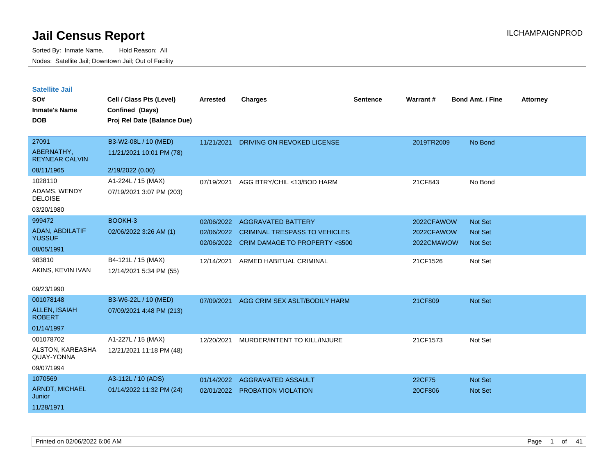| <b>Satellite Jail</b> |  |
|-----------------------|--|
|                       |  |

| SO#<br><b>Inmate's Name</b><br><b>DOB</b>                  | Cell / Class Pts (Level)<br>Confined (Days)<br>Proj Rel Date (Balance Due) | Arrested                 | <b>Charges</b>                                                                                                 | <b>Sentence</b> | Warrant#                               | <b>Bond Amt. / Fine</b>              | <b>Attorney</b> |
|------------------------------------------------------------|----------------------------------------------------------------------------|--------------------------|----------------------------------------------------------------------------------------------------------------|-----------------|----------------------------------------|--------------------------------------|-----------------|
| 27091<br>ABERNATHY,<br><b>REYNEAR CALVIN</b><br>08/11/1965 | B3-W2-08L / 10 (MED)<br>11/21/2021 10:01 PM (78)<br>2/19/2022 (0.00)       |                          | 11/21/2021 DRIVING ON REVOKED LICENSE                                                                          |                 | 2019TR2009                             | No Bond                              |                 |
| 1028110<br>ADAMS, WENDY<br><b>DELOISE</b><br>03/20/1980    | A1-224L / 15 (MAX)<br>07/19/2021 3:07 PM (203)                             | 07/19/2021               | AGG BTRY/CHIL <13/BOD HARM                                                                                     |                 | 21CF843                                | No Bond                              |                 |
| 999472<br>ADAN, ABDILATIF<br><b>YUSSUF</b><br>08/05/1991   | BOOKH-3<br>02/06/2022 3:26 AM (1)                                          | 02/06/2022<br>02/06/2022 | <b>AGGRAVATED BATTERY</b><br><b>CRIMINAL TRESPASS TO VEHICLES</b><br>02/06/2022 CRIM DAMAGE TO PROPERTY <\$500 |                 | 2022CFAWOW<br>2022CFAWOW<br>2022CMAWOW | Not Set<br>Not Set<br><b>Not Set</b> |                 |
| 983810<br>AKINS, KEVIN IVAN<br>09/23/1990                  | B4-121L / 15 (MAX)<br>12/14/2021 5:34 PM (55)                              | 12/14/2021               | ARMED HABITUAL CRIMINAL                                                                                        |                 | 21CF1526                               | Not Set                              |                 |
| 001078148<br>ALLEN, ISAIAH<br><b>ROBERT</b><br>01/14/1997  | B3-W6-22L / 10 (MED)<br>07/09/2021 4:48 PM (213)                           | 07/09/2021               | AGG CRIM SEX ASLT/BODILY HARM                                                                                  |                 | 21CF809                                | <b>Not Set</b>                       |                 |
| 001078702<br>ALSTON, KAREASHA<br>QUAY-YONNA<br>09/07/1994  | A1-227L / 15 (MAX)<br>12/21/2021 11:18 PM (48)                             | 12/20/2021               | MURDER/INTENT TO KILL/INJURE                                                                                   |                 | 21CF1573                               | Not Set                              |                 |
| 1070569<br>ARNDT, MICHAEL<br>Junior<br>11/28/1971          | A3-112L / 10 (ADS)<br>01/14/2022 11:32 PM (24)                             | 01/14/2022<br>02/01/2022 | AGGRAVATED ASSAULT<br><b>PROBATION VIOLATION</b>                                                               |                 | 22CF75<br>20CF806                      | <b>Not Set</b><br>Not Set            |                 |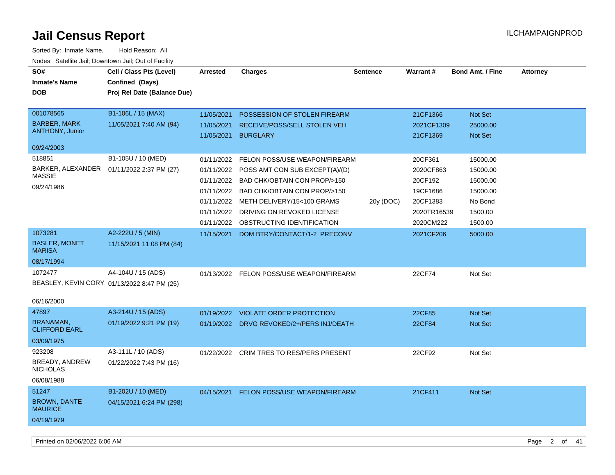| SO#<br><b>Inmate's Name</b><br><b>DOB</b>                            | Cell / Class Pts (Level)<br>Confined (Days)<br>Proj Rel Date (Balance Due) | <b>Arrested</b>                                                    | <b>Charges</b>                                                                                                                                                                                         | <b>Sentence</b> | Warrant#                                                               | <b>Bond Amt. / Fine</b>                                            | <b>Attorney</b> |
|----------------------------------------------------------------------|----------------------------------------------------------------------------|--------------------------------------------------------------------|--------------------------------------------------------------------------------------------------------------------------------------------------------------------------------------------------------|-----------------|------------------------------------------------------------------------|--------------------------------------------------------------------|-----------------|
| 001078565<br><b>BARBER, MARK</b><br><b>ANTHONY, Junior</b>           | B1-106L / 15 (MAX)<br>11/05/2021 7:40 AM (94)                              | 11/05/2021<br>11/05/2021<br>11/05/2021                             | POSSESSION OF STOLEN FIREARM<br>RECEIVE/POSS/SELL STOLEN VEH<br><b>BURGLARY</b>                                                                                                                        |                 | 21CF1366<br>2021CF1309<br>21CF1369                                     | Not Set<br>25000.00<br>Not Set                                     |                 |
| 09/24/2003                                                           |                                                                            |                                                                    |                                                                                                                                                                                                        |                 |                                                                        |                                                                    |                 |
| 518851<br>BARKER, ALEXANDER<br><b>MASSIE</b><br>09/24/1986           | B1-105U / 10 (MED)<br>01/11/2022 2:37 PM (27)                              | 01/11/2022<br>01/11/2022<br>01/11/2022<br>01/11/2022<br>01/11/2022 | FELON POSS/USE WEAPON/FIREARM<br>POSS AMT CON SUB EXCEPT(A)/(D)<br>BAD CHK/OBTAIN CON PROP/>150<br>BAD CHK/OBTAIN CON PROP/>150<br>01/11/2022 METH DELIVERY/15<100 GRAMS<br>DRIVING ON REVOKED LICENSE | 20y (DOC)       | 20CF361<br>2020CF863<br>20CF192<br>19CF1686<br>20CF1383<br>2020TR16539 | 15000.00<br>15000.00<br>15000.00<br>15000.00<br>No Bond<br>1500.00 |                 |
|                                                                      |                                                                            | 01/11/2022                                                         | OBSTRUCTING IDENTIFICATION                                                                                                                                                                             |                 | 2020CM222                                                              | 1500.00                                                            |                 |
| 1073281<br><b>BASLER, MONET</b><br><b>MARISA</b><br>08/17/1994       | A2-222U / 5 (MIN)<br>11/15/2021 11:08 PM (84)                              | 11/15/2021                                                         | DOM BTRY/CONTACT/1-2 PRECONV                                                                                                                                                                           |                 | 2021CF206                                                              | 5000.00                                                            |                 |
| 1072477<br>BEASLEY, KEVIN CORY 01/13/2022 8:47 PM (25)<br>06/16/2000 | A4-104U / 15 (ADS)                                                         |                                                                    | 01/13/2022 FELON POSS/USE WEAPON/FIREARM                                                                                                                                                               |                 | 22CF74                                                                 | Not Set                                                            |                 |
| 47897                                                                | A3-214U / 15 (ADS)                                                         | 01/19/2022                                                         | <b>VIOLATE ORDER PROTECTION</b>                                                                                                                                                                        |                 | 22CF85                                                                 | Not Set                                                            |                 |
| BRANAMAN,<br><b>CLIFFORD EARL</b>                                    | 01/19/2022 9:21 PM (19)                                                    | 01/19/2022                                                         | DRVG REVOKED/2+/PERS INJ/DEATH                                                                                                                                                                         |                 | 22CF84                                                                 | Not Set                                                            |                 |
| 03/09/1975                                                           |                                                                            |                                                                    |                                                                                                                                                                                                        |                 |                                                                        |                                                                    |                 |
| 923208<br>BREADY, ANDREW<br><b>NICHOLAS</b><br>06/08/1988            | A3-111L / 10 (ADS)<br>01/22/2022 7:43 PM (16)                              |                                                                    | 01/22/2022 CRIM TRES TO RES/PERS PRESENT                                                                                                                                                               |                 | 22CF92                                                                 | Not Set                                                            |                 |
| 51247<br><b>BROWN, DANTE</b><br><b>MAURICE</b><br>04/19/1979         | B1-202U / 10 (MED)<br>04/15/2021 6:24 PM (298)                             | 04/15/2021                                                         | FELON POSS/USE WEAPON/FIREARM                                                                                                                                                                          |                 | 21CF411                                                                | <b>Not Set</b>                                                     |                 |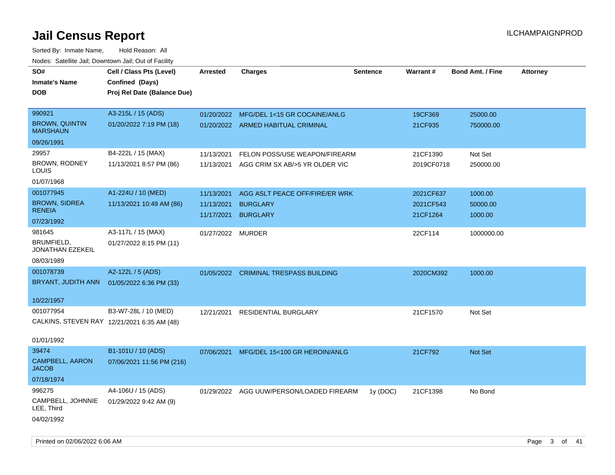| SO#                                         | Cell / Class Pts (Level)    | Arrested          | <b>Charges</b>                           | <b>Sentence</b> | Warrant#   | <b>Bond Amt. / Fine</b> | <b>Attorney</b> |
|---------------------------------------------|-----------------------------|-------------------|------------------------------------------|-----------------|------------|-------------------------|-----------------|
| <b>Inmate's Name</b>                        | Confined (Days)             |                   |                                          |                 |            |                         |                 |
| <b>DOB</b>                                  | Proj Rel Date (Balance Due) |                   |                                          |                 |            |                         |                 |
|                                             |                             |                   |                                          |                 |            |                         |                 |
| 990921                                      | A3-215L / 15 (ADS)          | 01/20/2022        | MFG/DEL 1<15 GR COCAINE/ANLG             |                 | 19CF369    | 25000.00                |                 |
| <b>BROWN, QUINTIN</b><br><b>MARSHAUN</b>    | 01/20/2022 7:19 PM (18)     |                   | 01/20/2022 ARMED HABITUAL CRIMINAL       |                 | 21CF935    | 750000.00               |                 |
| 09/26/1991                                  |                             |                   |                                          |                 |            |                         |                 |
| 29957                                       | B4-222L / 15 (MAX)          | 11/13/2021        | FELON POSS/USE WEAPON/FIREARM            |                 | 21CF1390   | Not Set                 |                 |
| BROWN, RODNEY<br>LOUIS                      | 11/13/2021 8:57 PM (86)     | 11/13/2021        | AGG CRIM SX AB/>5 YR OLDER VIC           |                 | 2019CF0718 | 250000.00               |                 |
| 01/07/1968                                  |                             |                   |                                          |                 |            |                         |                 |
| 001077945                                   | A1-224U / 10 (MED)          | 11/13/2021        | AGG ASLT PEACE OFF/FIRE/ER WRK           |                 | 2021CF637  | 1000.00                 |                 |
| <b>BROWN, SIDREA</b>                        | 11/13/2021 10:49 AM (86)    | 11/13/2021        | <b>BURGLARY</b>                          |                 | 2021CF543  | 50000.00                |                 |
| <b>RENEIA</b>                               |                             | 11/17/2021        | <b>BURGLARY</b>                          |                 | 21CF1264   | 1000.00                 |                 |
| 07/23/1992                                  |                             |                   |                                          |                 |            |                         |                 |
| 981645                                      | A3-117L / 15 (MAX)          | 01/27/2022 MURDER |                                          |                 | 22CF114    | 1000000.00              |                 |
| BRUMFIELD,<br>JONATHAN EZEKEIL              | 01/27/2022 8:15 PM (11)     |                   |                                          |                 |            |                         |                 |
| 08/03/1989                                  |                             |                   |                                          |                 |            |                         |                 |
| 001078739                                   | A2-122L / 5 (ADS)           |                   | 01/05/2022 CRIMINAL TRESPASS BUILDING    |                 | 2020CM392  | 1000.00                 |                 |
| BRYANT, JUDITH ANN                          | 01/05/2022 6:36 PM (33)     |                   |                                          |                 |            |                         |                 |
|                                             |                             |                   |                                          |                 |            |                         |                 |
| 10/22/1957                                  |                             |                   |                                          |                 |            |                         |                 |
| 001077954                                   | B3-W7-28L / 10 (MED)        | 12/21/2021        | <b>RESIDENTIAL BURGLARY</b>              |                 | 21CF1570   | Not Set                 |                 |
| CALKINS, STEVEN RAY 12/21/2021 6:35 AM (48) |                             |                   |                                          |                 |            |                         |                 |
|                                             |                             |                   |                                          |                 |            |                         |                 |
| 01/01/1992                                  |                             |                   |                                          |                 |            |                         |                 |
| 39474                                       | B1-101U / 10 (ADS)          | 07/06/2021        | MFG/DEL 15<100 GR HEROIN/ANLG            |                 | 21CF792    | <b>Not Set</b>          |                 |
| <b>CAMPBELL, AARON</b><br><b>JACOB</b>      | 07/06/2021 11:56 PM (216)   |                   |                                          |                 |            |                         |                 |
| 07/18/1974                                  |                             |                   |                                          |                 |            |                         |                 |
| 996275                                      | A4-106U / 15 (ADS)          |                   | 01/29/2022 AGG UUW/PERSON/LOADED FIREARM | 1y (DOC)        | 21CF1398   | No Bond                 |                 |
| CAMPBELL, JOHNNIE<br>LEE, Third             | 01/29/2022 9:42 AM (9)      |                   |                                          |                 |            |                         |                 |
| 04/02/1992                                  |                             |                   |                                          |                 |            |                         |                 |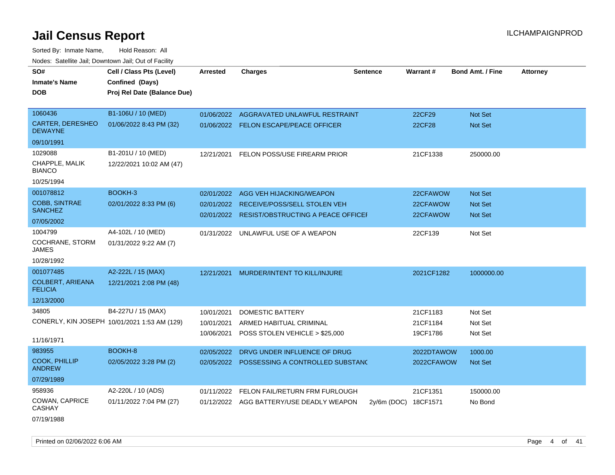Sorted By: Inmate Name, Hold Reason: All Nodes: Satellite Jail; Downtown Jail; Out of Facility

| SO#                                       | Cell / Class Pts (Level)                     | <b>Arrested</b> | <b>Charges</b>                           | <b>Sentence</b> | Warrant#   | <b>Bond Amt. / Fine</b> | <b>Attorney</b> |
|-------------------------------------------|----------------------------------------------|-----------------|------------------------------------------|-----------------|------------|-------------------------|-----------------|
| <b>Inmate's Name</b>                      | Confined (Days)                              |                 |                                          |                 |            |                         |                 |
| <b>DOB</b>                                | Proj Rel Date (Balance Due)                  |                 |                                          |                 |            |                         |                 |
|                                           |                                              |                 |                                          |                 |            |                         |                 |
| 1060436                                   | B1-106U / 10 (MED)                           | 01/06/2022      | AGGRAVATED UNLAWFUL RESTRAINT            |                 | 22CF29     | Not Set                 |                 |
| <b>CARTER, DERESHEO</b><br><b>DEWAYNE</b> | 01/06/2022 8:43 PM (32)                      |                 | 01/06/2022 FELON ESCAPE/PEACE OFFICER    |                 | 22CF28     | Not Set                 |                 |
| 09/10/1991                                |                                              |                 |                                          |                 |            |                         |                 |
| 1029088                                   | B1-201U / 10 (MED)                           | 12/21/2021      | FELON POSS/USE FIREARM PRIOR             |                 | 21CF1338   | 250000.00               |                 |
| CHAPPLE, MALIK<br><b>BIANCO</b>           | 12/22/2021 10:02 AM (47)                     |                 |                                          |                 |            |                         |                 |
| 10/25/1994                                |                                              |                 |                                          |                 |            |                         |                 |
| 001078812                                 | BOOKH-3                                      | 02/01/2022      | AGG VEH HIJACKING/WEAPON                 |                 | 22CFAWOW   | Not Set                 |                 |
| COBB, SINTRAE                             | 02/01/2022 8:33 PM (6)                       |                 | 02/01/2022 RECEIVE/POSS/SELL STOLEN VEH  |                 | 22CFAWOW   | <b>Not Set</b>          |                 |
| <b>SANCHEZ</b>                            |                                              | 02/01/2022      | RESIST/OBSTRUCTING A PEACE OFFICEI       |                 | 22CFAWOW   | <b>Not Set</b>          |                 |
| 07/05/2002                                |                                              |                 |                                          |                 |            |                         |                 |
| 1004799                                   | A4-102L / 10 (MED)                           | 01/31/2022      | UNLAWFUL USE OF A WEAPON                 |                 | 22CF139    | Not Set                 |                 |
| <b>COCHRANE, STORM</b><br><b>JAMES</b>    | 01/31/2022 9:22 AM (7)                       |                 |                                          |                 |            |                         |                 |
| 10/28/1992                                |                                              |                 |                                          |                 |            |                         |                 |
| 001077485                                 | A2-222L / 15 (MAX)                           | 12/21/2021      | MURDER/INTENT TO KILL/INJURE             |                 | 2021CF1282 | 1000000.00              |                 |
| <b>COLBERT, ARIEANA</b><br><b>FELICIA</b> | 12/21/2021 2:08 PM (48)                      |                 |                                          |                 |            |                         |                 |
| 12/13/2000                                |                                              |                 |                                          |                 |            |                         |                 |
| 34805                                     | B4-227U / 15 (MAX)                           | 10/01/2021      | DOMESTIC BATTERY                         |                 | 21CF1183   | Not Set                 |                 |
|                                           | CONERLY, KIN JOSEPH 10/01/2021 1:53 AM (129) | 10/01/2021      | ARMED HABITUAL CRIMINAL                  |                 | 21CF1184   | Not Set                 |                 |
|                                           |                                              | 10/06/2021      | POSS STOLEN VEHICLE > \$25,000           |                 | 19CF1786   | Not Set                 |                 |
| 11/16/1971                                |                                              |                 |                                          |                 |            |                         |                 |
| 983955                                    | BOOKH-8                                      | 02/05/2022      | DRVG UNDER INFLUENCE OF DRUG             |                 | 2022DTAWOW | 1000.00                 |                 |
| <b>COOK, PHILLIP</b><br><b>ANDREW</b>     | 02/05/2022 3:28 PM (2)                       | 02/05/2022      | POSSESSING A CONTROLLED SUBSTANC         |                 | 2022CFAWOW | Not Set                 |                 |
| 07/29/1989                                |                                              |                 |                                          |                 |            |                         |                 |
| 958936                                    | A2-220L / 10 (ADS)                           | 01/11/2022      | FELON FAIL/RETURN FRM FURLOUGH           |                 | 21CF1351   | 150000.00               |                 |
| COWAN, CAPRICE<br><b>CASHAY</b>           | 01/11/2022 7:04 PM (27)                      |                 | 01/12/2022 AGG BATTERY/USE DEADLY WEAPON | $2y/6m$ (DOC)   | 18CF1571   | No Bond                 |                 |

07/19/1988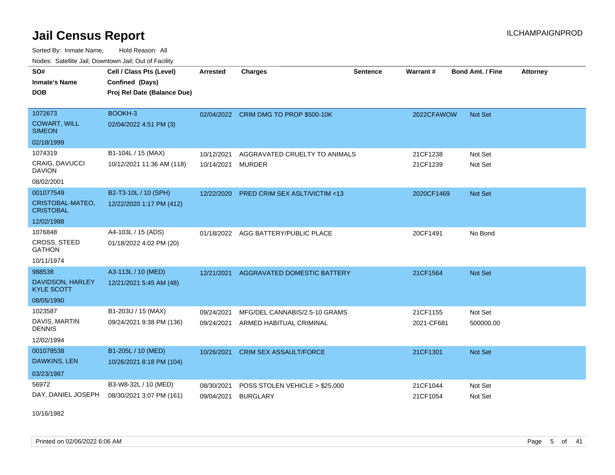Sorted By: Inmate Name, Hold Reason: All Nodes: Satellite Jail; Downtown Jail; Out of Facility

| <u>Houcs.</u> Oatchite Jail, Downtown Jail, Out of Facility |                             |                 |                                         |                 |            |                         |                 |
|-------------------------------------------------------------|-----------------------------|-----------------|-----------------------------------------|-----------------|------------|-------------------------|-----------------|
| SO#                                                         | Cell / Class Pts (Level)    | <b>Arrested</b> | <b>Charges</b>                          | <b>Sentence</b> | Warrant#   | <b>Bond Amt. / Fine</b> | <b>Attorney</b> |
| <b>Inmate's Name</b>                                        | Confined (Days)             |                 |                                         |                 |            |                         |                 |
| <b>DOB</b>                                                  | Proj Rel Date (Balance Due) |                 |                                         |                 |            |                         |                 |
|                                                             |                             |                 |                                         |                 |            |                         |                 |
| 1072673                                                     | BOOKH-3                     |                 | 02/04/2022 CRIM DMG TO PROP \$500-10K   |                 | 2022CFAWOW | <b>Not Set</b>          |                 |
| <b>COWART, WILL</b><br><b>SIMEON</b>                        | 02/04/2022 4:51 PM (3)      |                 |                                         |                 |            |                         |                 |
| 02/18/1999                                                  |                             |                 |                                         |                 |            |                         |                 |
| 1074319                                                     | B1-104L / 15 (MAX)          | 10/12/2021      | AGGRAVATED CRUELTY TO ANIMALS           |                 | 21CF1238   | Not Set                 |                 |
| CRAIG, DAVUCCI<br><b>DAVION</b>                             | 10/12/2021 11:36 AM (118)   | 10/14/2021      | <b>MURDER</b>                           |                 | 21CF1239   | Not Set                 |                 |
| 08/02/2001                                                  |                             |                 |                                         |                 |            |                         |                 |
| 001077549                                                   | B2-T3-10L / 10 (SPH)        | 12/22/2020      | <b>PRED CRIM SEX ASLT/VICTIM &lt;13</b> |                 | 2020CF1469 | <b>Not Set</b>          |                 |
| CRISTOBAL-MATEO,<br><b>CRISTOBAL</b>                        | 12/22/2020 1:17 PM (412)    |                 |                                         |                 |            |                         |                 |
| 12/02/1988                                                  |                             |                 |                                         |                 |            |                         |                 |
| 1076848                                                     | A4-103L / 15 (ADS)          |                 | 01/18/2022 AGG BATTERY/PUBLIC PLACE     |                 | 20CF1491   | No Bond                 |                 |
| <b>CROSS, STEED</b><br><b>GATHON</b>                        | 01/18/2022 4:02 PM (20)     |                 |                                         |                 |            |                         |                 |
| 10/11/1974                                                  |                             |                 |                                         |                 |            |                         |                 |
| 988538                                                      | A3-113L / 10 (MED)          | 12/21/2021      | AGGRAVATED DOMESTIC BATTERY             |                 | 21CF1564   | <b>Not Set</b>          |                 |
| DAVIDSON, HARLEY<br><b>KYLE SCOTT</b>                       | 12/21/2021 5:45 AM (48)     |                 |                                         |                 |            |                         |                 |
| 08/05/1990                                                  |                             |                 |                                         |                 |            |                         |                 |
| 1023587                                                     | B1-203U / 15 (MAX)          | 09/24/2021      | MFG/DEL CANNABIS/2.5-10 GRAMS           |                 | 21CF1155   | Not Set                 |                 |
| DAVIS, MARTIN<br><b>DENNIS</b>                              | 09/24/2021 9:38 PM (136)    | 09/24/2021      | ARMED HABITUAL CRIMINAL                 |                 | 2021-CF681 | 500000.00               |                 |
| 12/02/1994                                                  |                             |                 |                                         |                 |            |                         |                 |
| 001078538                                                   | B1-205L / 10 (MED)          | 10/26/2021      | <b>CRIM SEX ASSAULT/FORCE</b>           |                 | 21CF1301   | Not Set                 |                 |
| DAWKINS, LEN                                                | 10/26/2021 8:18 PM (104)    |                 |                                         |                 |            |                         |                 |
| 03/23/1987                                                  |                             |                 |                                         |                 |            |                         |                 |
| 56972                                                       | B3-W8-32L / 10 (MED)        | 08/30/2021      | POSS STOLEN VEHICLE > \$25,000          |                 | 21CF1044   | Not Set                 |                 |
| DAY, DANIEL JOSEPH                                          | 08/30/2021 3:07 PM (161)    | 09/04/2021      | <b>BURGLARY</b>                         |                 | 21CF1054   | Not Set                 |                 |

10/16/1982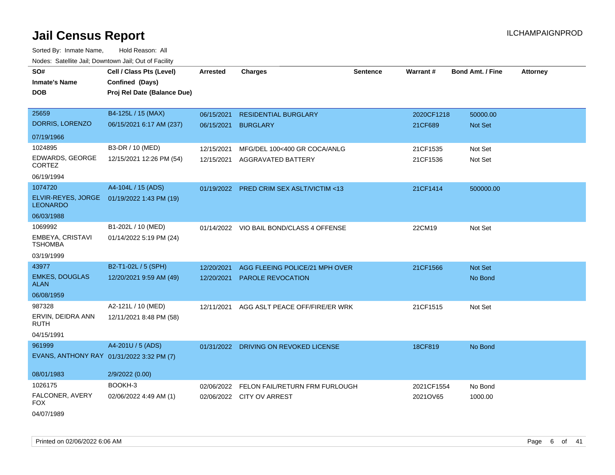| roaco. Catolino cali, Downtown cali, Out of Fability |                             |                 |                                          |                 |                 |                         |                 |
|------------------------------------------------------|-----------------------------|-----------------|------------------------------------------|-----------------|-----------------|-------------------------|-----------------|
| SO#                                                  | Cell / Class Pts (Level)    | <b>Arrested</b> | Charges                                  | <b>Sentence</b> | <b>Warrant#</b> | <b>Bond Amt. / Fine</b> | <b>Attorney</b> |
| <b>Inmate's Name</b>                                 | Confined (Days)             |                 |                                          |                 |                 |                         |                 |
| <b>DOB</b>                                           | Proj Rel Date (Balance Due) |                 |                                          |                 |                 |                         |                 |
|                                                      |                             |                 |                                          |                 |                 |                         |                 |
| 25659                                                | B4-125L / 15 (MAX)          | 06/15/2021      | <b>RESIDENTIAL BURGLARY</b>              |                 | 2020CF1218      | 50000.00                |                 |
| DORRIS, LORENZO                                      | 06/15/2021 6:17 AM (237)    | 06/15/2021      | <b>BURGLARY</b>                          |                 | 21CF689         | Not Set                 |                 |
| 07/19/1966                                           |                             |                 |                                          |                 |                 |                         |                 |
| 1024895                                              | B3-DR / 10 (MED)            | 12/15/2021      | MFG/DEL 100<400 GR COCA/ANLG             |                 | 21CF1535        | Not Set                 |                 |
| EDWARDS, GEORGE<br><b>CORTEZ</b>                     | 12/15/2021 12:26 PM (54)    | 12/15/2021      | <b>AGGRAVATED BATTERY</b>                |                 | 21CF1536        | Not Set                 |                 |
| 06/19/1994                                           |                             |                 |                                          |                 |                 |                         |                 |
| 1074720                                              | A4-104L / 15 (ADS)          | 01/19/2022      | PRED CRIM SEX ASLT/VICTIM <13            |                 | 21CF1414        | 500000.00               |                 |
| ELVIR-REYES, JORGE<br><b>LEONARDO</b>                | 01/19/2022 1:43 PM (19)     |                 |                                          |                 |                 |                         |                 |
| 06/03/1988                                           |                             |                 |                                          |                 |                 |                         |                 |
| 1069992                                              | B1-202L / 10 (MED)          |                 | 01/14/2022 VIO BAIL BOND/CLASS 4 OFFENSE |                 | 22CM19          | Not Set                 |                 |
| EMBEYA, CRISTAVI<br><b>TSHOMBA</b>                   | 01/14/2022 5:19 PM (24)     |                 |                                          |                 |                 |                         |                 |
| 03/19/1999                                           |                             |                 |                                          |                 |                 |                         |                 |
| 43977                                                | B2-T1-02L / 5 (SPH)         | 12/20/2021      | AGG FLEEING POLICE/21 MPH OVER           |                 | 21CF1566        | Not Set                 |                 |
| <b>EMKES, DOUGLAS</b><br>ALAN                        | 12/20/2021 9:59 AM (49)     | 12/20/2021      | PAROLE REVOCATION                        |                 |                 | No Bond                 |                 |
| 06/08/1959                                           |                             |                 |                                          |                 |                 |                         |                 |
| 987328                                               | A2-121L / 10 (MED)          | 12/11/2021      | AGG ASLT PEACE OFF/FIRE/ER WRK           |                 | 21CF1515        | Not Set                 |                 |
| ERVIN, DEIDRA ANN<br>RUTH                            | 12/11/2021 8:48 PM (58)     |                 |                                          |                 |                 |                         |                 |
| 04/15/1991                                           |                             |                 |                                          |                 |                 |                         |                 |
| 961999                                               | A4-201U / 5 (ADS)           |                 | 01/31/2022 DRIVING ON REVOKED LICENSE    |                 | 18CF819         | No Bond                 |                 |
| EVANS, ANTHONY RAY 01/31/2022 3:32 PM (7)            |                             |                 |                                          |                 |                 |                         |                 |
| 08/01/1983                                           | 2/9/2022 (0.00)             |                 |                                          |                 |                 |                         |                 |
| 1026175                                              | BOOKH-3                     | 02/06/2022      | FELON FAIL/RETURN FRM FURLOUGH           |                 | 2021CF1554      | No Bond                 |                 |
| FALCONER, AVERY<br>FOX                               | 02/06/2022 4:49 AM (1)      |                 | 02/06/2022 CITY OV ARREST                |                 | 2021OV65        | 1000.00                 |                 |
| 04/07/1989                                           |                             |                 |                                          |                 |                 |                         |                 |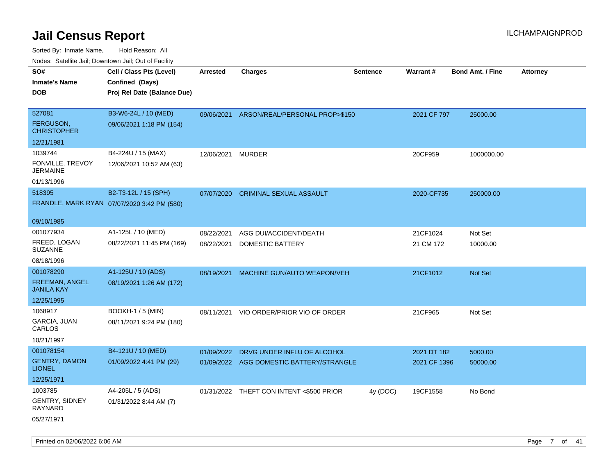| ivouss. Satellite Jali, Downtown Jali, Out of Facility |                                             |            |                                          |          |              |                         |                 |
|--------------------------------------------------------|---------------------------------------------|------------|------------------------------------------|----------|--------------|-------------------------|-----------------|
| SO#                                                    | Cell / Class Pts (Level)                    | Arrested   | <b>Charges</b>                           | Sentence | Warrant#     | <b>Bond Amt. / Fine</b> | <b>Attorney</b> |
| <b>Inmate's Name</b>                                   | Confined (Days)                             |            |                                          |          |              |                         |                 |
| <b>DOB</b>                                             | Proj Rel Date (Balance Due)                 |            |                                          |          |              |                         |                 |
|                                                        |                                             |            |                                          |          |              |                         |                 |
| 527081                                                 | B3-W6-24L / 10 (MED)                        | 09/06/2021 | ARSON/REAL/PERSONAL PROP>\$150           |          | 2021 CF 797  | 25000.00                |                 |
| <b>FERGUSON,</b><br><b>CHRISTOPHER</b>                 | 09/06/2021 1:18 PM (154)                    |            |                                          |          |              |                         |                 |
| 12/21/1981                                             |                                             |            |                                          |          |              |                         |                 |
| 1039744                                                | B4-224U / 15 (MAX)                          | 12/06/2021 | <b>MURDER</b>                            |          | 20CF959      | 1000000.00              |                 |
| FONVILLE, TREVOY<br><b>JERMAINE</b>                    | 12/06/2021 10:52 AM (63)                    |            |                                          |          |              |                         |                 |
| 01/13/1996                                             |                                             |            |                                          |          |              |                         |                 |
| 518395                                                 | B2-T3-12L / 15 (SPH)                        | 07/07/2020 | <b>CRIMINAL SEXUAL ASSAULT</b>           |          | 2020-CF735   | 250000.00               |                 |
|                                                        | FRANDLE, MARK RYAN 07/07/2020 3:42 PM (580) |            |                                          |          |              |                         |                 |
| 09/10/1985                                             |                                             |            |                                          |          |              |                         |                 |
| 001077934                                              | A1-125L / 10 (MED)                          | 08/22/2021 | AGG DUI/ACCIDENT/DEATH                   |          | 21CF1024     | Not Set                 |                 |
| FREED, LOGAN<br><b>SUZANNE</b>                         | 08/22/2021 11:45 PM (169)                   | 08/22/2021 | DOMESTIC BATTERY                         |          | 21 CM 172    | 10000.00                |                 |
| 08/18/1996                                             |                                             |            |                                          |          |              |                         |                 |
| 001078290                                              | A1-125U / 10 (ADS)                          | 08/19/2021 | MACHINE GUN/AUTO WEAPON/VEH              |          | 21CF1012     | <b>Not Set</b>          |                 |
| <b>FREEMAN, ANGEL</b><br><b>JANILA KAY</b>             | 08/19/2021 1:26 AM (172)                    |            |                                          |          |              |                         |                 |
| 12/25/1995                                             |                                             |            |                                          |          |              |                         |                 |
| 1068917                                                | <b>BOOKH-1 / 5 (MIN)</b>                    | 08/11/2021 | VIO ORDER/PRIOR VIO OF ORDER             |          | 21CF965      | Not Set                 |                 |
| GARCIA, JUAN<br>CARLOS                                 | 08/11/2021 9:24 PM (180)                    |            |                                          |          |              |                         |                 |
| 10/21/1997                                             |                                             |            |                                          |          |              |                         |                 |
| 001078154                                              | B4-121U / 10 (MED)                          | 01/09/2022 | DRVG UNDER INFLU OF ALCOHOL              |          | 2021 DT 182  | 5000.00                 |                 |
| <b>GENTRY, DAMON</b><br><b>LIONEL</b>                  | 01/09/2022 4:41 PM (29)                     |            | 01/09/2022 AGG DOMESTIC BATTERY/STRANGLE |          | 2021 CF 1396 | 50000.00                |                 |
| 12/25/1971                                             |                                             |            |                                          |          |              |                         |                 |
| 1003785                                                | A4-205L / 5 (ADS)                           |            | 01/31/2022 THEFT CON INTENT <\$500 PRIOR | 4y (DOC) | 19CF1558     | No Bond                 |                 |
| <b>GENTRY, SIDNEY</b><br>RAYNARD                       | 01/31/2022 8:44 AM (7)                      |            |                                          |          |              |                         |                 |
| 05/27/1971                                             |                                             |            |                                          |          |              |                         |                 |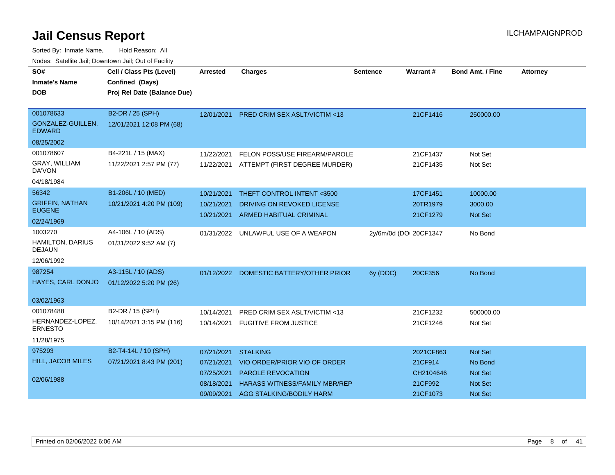| SO#<br><b>Inmate's Name</b><br><b>DOB</b> | Cell / Class Pts (Level)<br>Confined (Days)<br>Proj Rel Date (Balance Due) | <b>Arrested</b> | <b>Charges</b>                           | Sentence | Warrant#               | <b>Bond Amt. / Fine</b> | <b>Attorney</b> |
|-------------------------------------------|----------------------------------------------------------------------------|-----------------|------------------------------------------|----------|------------------------|-------------------------|-----------------|
| 001078633                                 | B2-DR / 25 (SPH)                                                           | 12/01/2021      | <b>PRED CRIM SEX ASLT/VICTIM &lt;13</b>  |          | 21CF1416               | 250000.00               |                 |
| GONZALEZ-GUILLEN,<br><b>EDWARD</b>        | 12/01/2021 12:08 PM (68)                                                   |                 |                                          |          |                        |                         |                 |
| 08/25/2002                                |                                                                            |                 |                                          |          |                        |                         |                 |
| 001078607                                 | B4-221L / 15 (MAX)                                                         | 11/22/2021      | FELON POSS/USE FIREARM/PAROLE            |          | 21CF1437               | Not Set                 |                 |
| GRAY, WILLIAM<br>DA'VON                   | 11/22/2021 2:57 PM (77)                                                    |                 | 11/22/2021 ATTEMPT (FIRST DEGREE MURDER) |          | 21CF1435               | Not Set                 |                 |
| 04/18/1984                                |                                                                            |                 |                                          |          |                        |                         |                 |
| 56342                                     | B1-206L / 10 (MED)                                                         | 10/21/2021      | THEFT CONTROL INTENT <\$500              |          | 17CF1451               | 10000.00                |                 |
| <b>GRIFFIN, NATHAN</b>                    | 10/21/2021 4:20 PM (109)                                                   | 10/21/2021      | DRIVING ON REVOKED LICENSE               |          | 20TR1979               | 3000.00                 |                 |
| <b>EUGENE</b>                             |                                                                            | 10/21/2021      | <b>ARMED HABITUAL CRIMINAL</b>           |          | 21CF1279               | <b>Not Set</b>          |                 |
| 02/24/1969                                |                                                                            |                 |                                          |          |                        |                         |                 |
| 1003270                                   | A4-106L / 10 (ADS)                                                         | 01/31/2022      | UNLAWFUL USE OF A WEAPON                 |          | 2y/6m/0d (DOI 20CF1347 | No Bond                 |                 |
| <b>HAMILTON, DARIUS</b><br><b>DEJAUN</b>  | 01/31/2022 9:52 AM (7)                                                     |                 |                                          |          |                        |                         |                 |
| 12/06/1992                                |                                                                            |                 |                                          |          |                        |                         |                 |
| 987254                                    | A3-115L / 10 (ADS)                                                         |                 | 01/12/2022 DOMESTIC BATTERY/OTHER PRIOR  | 6y (DOC) | 20CF356                | No Bond                 |                 |
| HAYES, CARL DONJO                         | 01/12/2022 5:20 PM (26)                                                    |                 |                                          |          |                        |                         |                 |
| 03/02/1963                                |                                                                            |                 |                                          |          |                        |                         |                 |
| 001078488                                 | B2-DR / 15 (SPH)                                                           | 10/14/2021      | <b>PRED CRIM SEX ASLT/VICTIM &lt;13</b>  |          | 21CF1232               | 500000.00               |                 |
| HERNANDEZ-LOPEZ,<br><b>ERNESTO</b>        | 10/14/2021 3:15 PM (116)                                                   | 10/14/2021      | <b>FUGITIVE FROM JUSTICE</b>             |          | 21CF1246               | Not Set                 |                 |
| 11/28/1975                                |                                                                            |                 |                                          |          |                        |                         |                 |
| 975293                                    | B2-T4-14L / 10 (SPH)                                                       | 07/21/2021      | <b>STALKING</b>                          |          | 2021CF863              | Not Set                 |                 |
| <b>HILL, JACOB MILES</b>                  | 07/21/2021 8:43 PM (201)                                                   | 07/21/2021      | VIO ORDER/PRIOR VIO OF ORDER             |          | 21CF914                | No Bond                 |                 |
|                                           |                                                                            | 07/25/2021      | PAROLE REVOCATION                        |          | CH2104646              | Not Set                 |                 |
| 02/06/1988                                |                                                                            | 08/18/2021      | <b>HARASS WITNESS/FAMILY MBR/REP</b>     |          | 21CF992                | <b>Not Set</b>          |                 |
|                                           |                                                                            | 09/09/2021      | AGG STALKING/BODILY HARM                 |          | 21CF1073               | Not Set                 |                 |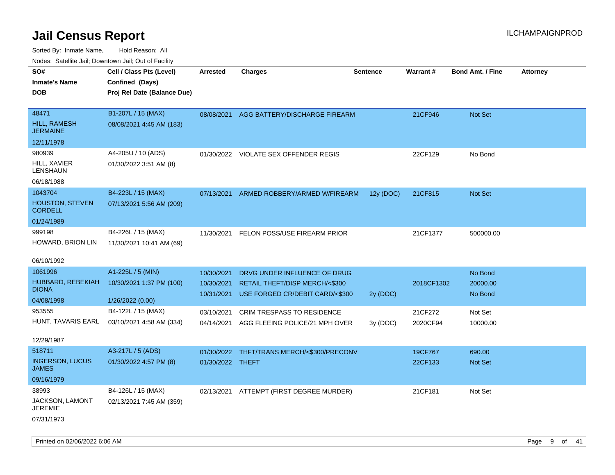| SO#<br>Inmate's Name<br>DOB                         | Cell / Class Pts (Level)<br>Confined (Days)<br>Proj Rel Date (Balance Due) | Arrested                               | <b>Charges</b>                                                                                              | <b>Sentence</b> | Warrant#            | <b>Bond Amt. / Fine</b>        | <b>Attorney</b> |
|-----------------------------------------------------|----------------------------------------------------------------------------|----------------------------------------|-------------------------------------------------------------------------------------------------------------|-----------------|---------------------|--------------------------------|-----------------|
| 48471<br>HILL, RAMESH<br><b>JERMAINE</b>            | B1-207L / 15 (MAX)<br>08/08/2021 4:45 AM (183)                             |                                        | 08/08/2021 AGG BATTERY/DISCHARGE FIREARM                                                                    |                 | 21CF946             | Not Set                        |                 |
| 12/11/1978                                          |                                                                            |                                        |                                                                                                             |                 |                     |                                |                 |
| 980939<br>HILL, XAVIER<br>LENSHAUN                  | A4-205U / 10 (ADS)<br>01/30/2022 3:51 AM (8)                               |                                        | 01/30/2022 VIOLATE SEX OFFENDER REGIS                                                                       |                 | 22CF129             | No Bond                        |                 |
| 06/18/1988                                          |                                                                            |                                        |                                                                                                             |                 |                     |                                |                 |
| 1043704<br><b>HOUSTON, STEVEN</b><br><b>CORDELL</b> | B4-223L / 15 (MAX)<br>07/13/2021 5:56 AM (209)                             | 07/13/2021                             | ARMED ROBBERY/ARMED W/FIREARM                                                                               | 12y (DOC)       | 21CF815             | <b>Not Set</b>                 |                 |
| 01/24/1989                                          |                                                                            |                                        |                                                                                                             |                 |                     |                                |                 |
| 999198<br>HOWARD, BRION LIN                         | B4-226L / 15 (MAX)<br>11/30/2021 10:41 AM (69)                             | 11/30/2021                             | FELON POSS/USE FIREARM PRIOR                                                                                |                 | 21CF1377            | 500000.00                      |                 |
| 06/10/1992                                          |                                                                            |                                        |                                                                                                             |                 |                     |                                |                 |
| 1061996<br>HUBBARD, REBEKIAH<br>DIONA               | A1-225L / 5 (MIN)<br>10/30/2021 1:37 PM (100)                              | 10/30/2021<br>10/30/2021<br>10/31/2021 | DRVG UNDER INFLUENCE OF DRUG<br><b>RETAIL THEFT/DISP MERCH/&lt;\$300</b><br>USE FORGED CR/DEBIT CARD/<\$300 | 2y (DOC)        | 2018CF1302          | No Bond<br>20000.00<br>No Bond |                 |
| 04/08/1998                                          | 1/26/2022(0.00)                                                            |                                        |                                                                                                             |                 |                     |                                |                 |
| 953555<br>12/29/1987                                | B4-122L / 15 (MAX)<br>HUNT, TAVARIS EARL 03/10/2021 4:58 AM (334)          | 03/10/2021<br>04/14/2021               | <b>CRIM TRESPASS TO RESIDENCE</b><br>AGG FLEEING POLICE/21 MPH OVER                                         | 3y(DOC)         | 21CF272<br>2020CF94 | Not Set<br>10000.00            |                 |
| 518711                                              | A3-217L / 5 (ADS)                                                          |                                        |                                                                                                             |                 |                     |                                |                 |
| <b>INGERSON, LUCUS</b><br>JAMES                     | 01/30/2022 4:57 PM (8)                                                     | 01/30/2022<br>01/30/2022 THEFT         | THFT/TRANS MERCH/<\$300/PRECONV                                                                             |                 | 19CF767<br>22CF133  | 690.00<br><b>Not Set</b>       |                 |
| 09/16/1979                                          |                                                                            |                                        |                                                                                                             |                 |                     |                                |                 |
| 38993<br>JACKSON, LAMONT<br>JEREMIE<br>07/31/1973   | B4-126L / 15 (MAX)<br>02/13/2021 7:45 AM (359)                             |                                        | 02/13/2021 ATTEMPT (FIRST DEGREE MURDER)                                                                    |                 | 21CF181             | Not Set                        |                 |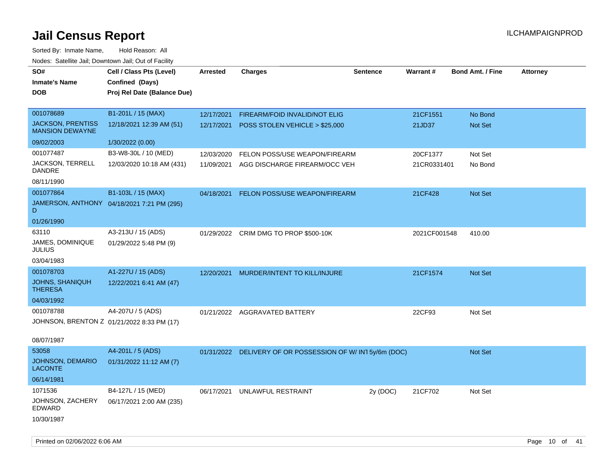| rouco. Calcillo Jali, Downtown Jali, Out of Facility |                                            |                 |                                                          |                 |              |                         |                 |
|------------------------------------------------------|--------------------------------------------|-----------------|----------------------------------------------------------|-----------------|--------------|-------------------------|-----------------|
| SO#                                                  | Cell / Class Pts (Level)                   | <b>Arrested</b> | <b>Charges</b>                                           | <b>Sentence</b> | Warrant#     | <b>Bond Amt. / Fine</b> | <b>Attorney</b> |
| <b>Inmate's Name</b>                                 | Confined (Days)                            |                 |                                                          |                 |              |                         |                 |
| <b>DOB</b>                                           | Proj Rel Date (Balance Due)                |                 |                                                          |                 |              |                         |                 |
|                                                      |                                            |                 |                                                          |                 |              |                         |                 |
| 001078689                                            | B1-201L / 15 (MAX)                         | 12/17/2021      | FIREARM/FOID INVALID/NOT ELIG                            |                 | 21CF1551     | No Bond                 |                 |
| <b>JACKSON, PRENTISS</b><br><b>MANSION DEWAYNE</b>   | 12/18/2021 12:39 AM (51)                   | 12/17/2021      | POSS STOLEN VEHICLE > \$25,000                           |                 | 21JD37       | <b>Not Set</b>          |                 |
| 09/02/2003                                           | 1/30/2022 (0.00)                           |                 |                                                          |                 |              |                         |                 |
| 001077487                                            | B3-W8-30L / 10 (MED)                       | 12/03/2020      | FELON POSS/USE WEAPON/FIREARM                            |                 | 20CF1377     | Not Set                 |                 |
| JACKSON, TERRELL<br>DANDRE                           | 12/03/2020 10:18 AM (431)                  | 11/09/2021      | AGG DISCHARGE FIREARM/OCC VEH                            |                 | 21CR0331401  | No Bond                 |                 |
| 08/11/1990                                           |                                            |                 |                                                          |                 |              |                         |                 |
| 001077864                                            | B1-103L / 15 (MAX)                         | 04/18/2021      | <b>FELON POSS/USE WEAPON/FIREARM</b>                     |                 | 21CF428      | Not Set                 |                 |
| D.                                                   | JAMERSON, ANTHONY 04/18/2021 7:21 PM (295) |                 |                                                          |                 |              |                         |                 |
| 01/26/1990                                           |                                            |                 |                                                          |                 |              |                         |                 |
| 63110                                                | A3-213U / 15 (ADS)                         |                 | 01/29/2022 CRIM DMG TO PROP \$500-10K                    |                 | 2021CF001548 | 410.00                  |                 |
| <b>JAMES, DOMINIQUE</b><br>JULIUS                    | 01/29/2022 5:48 PM (9)                     |                 |                                                          |                 |              |                         |                 |
| 03/04/1983                                           |                                            |                 |                                                          |                 |              |                         |                 |
| 001078703                                            | A1-227U / 15 (ADS)                         | 12/20/2021      | MURDER/INTENT TO KILL/INJURE                             |                 | 21CF1574     | <b>Not Set</b>          |                 |
| <b>JOHNS, SHANIQUH</b><br><b>THERESA</b>             | 12/22/2021 6:41 AM (47)                    |                 |                                                          |                 |              |                         |                 |
| 04/03/1992                                           |                                            |                 |                                                          |                 |              |                         |                 |
| 001078788                                            | A4-207U / 5 (ADS)                          |                 | 01/21/2022 AGGRAVATED BATTERY                            |                 | 22CF93       | Not Set                 |                 |
| JOHNSON, BRENTON Z 01/21/2022 8:33 PM (17)           |                                            |                 |                                                          |                 |              |                         |                 |
|                                                      |                                            |                 |                                                          |                 |              |                         |                 |
| 08/07/1987                                           |                                            |                 |                                                          |                 |              |                         |                 |
| 53058<br>JOHNSON, DEMARIO                            | A4-201L / 5 (ADS)                          |                 | 01/31/2022 DELIVERY OF OR POSSESSION OF W/IN15y/6m (DOC) |                 |              | <b>Not Set</b>          |                 |
| <b>LACONTE</b>                                       | 01/31/2022 11:12 AM (7)                    |                 |                                                          |                 |              |                         |                 |
| 06/14/1981                                           |                                            |                 |                                                          |                 |              |                         |                 |
| 1071536                                              | B4-127L / 15 (MED)                         | 06/17/2021      | UNLAWFUL RESTRAINT                                       | 2y (DOC)        | 21CF702      | Not Set                 |                 |
| JOHNSON, ZACHERY<br>EDWARD                           | 06/17/2021 2:00 AM (235)                   |                 |                                                          |                 |              |                         |                 |
| 10/30/1987                                           |                                            |                 |                                                          |                 |              |                         |                 |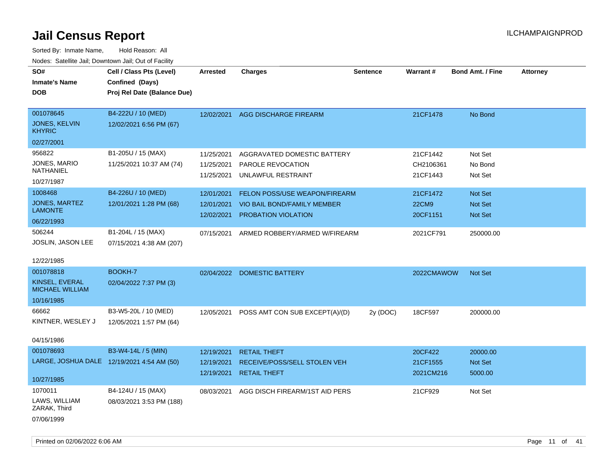| 110a00. Odtomto odm, Domntonn odm, Odt or I domt,<br>SO#<br><b>Inmate's Name</b><br><b>DOB</b> | Cell / Class Pts (Level)<br>Confined (Days)<br>Proj Rel Date (Balance Due) | <b>Arrested</b> | <b>Charges</b>                     | <b>Sentence</b> | Warrant#     | <b>Bond Amt. / Fine</b> | <b>Attorney</b> |
|------------------------------------------------------------------------------------------------|----------------------------------------------------------------------------|-----------------|------------------------------------|-----------------|--------------|-------------------------|-----------------|
|                                                                                                |                                                                            |                 |                                    |                 |              |                         |                 |
| 001078645                                                                                      | B4-222U / 10 (MED)                                                         | 12/02/2021      | AGG DISCHARGE FIREARM              |                 | 21CF1478     | No Bond                 |                 |
| JONES, KELVIN<br><b>KHYRIC</b>                                                                 | 12/02/2021 6:56 PM (67)                                                    |                 |                                    |                 |              |                         |                 |
| 02/27/2001                                                                                     |                                                                            |                 |                                    |                 |              |                         |                 |
| 956822                                                                                         | B1-205U / 15 (MAX)                                                         | 11/25/2021      | AGGRAVATED DOMESTIC BATTERY        |                 | 21CF1442     | Not Set                 |                 |
| JONES, MARIO                                                                                   | 11/25/2021 10:37 AM (74)                                                   | 11/25/2021      | PAROLE REVOCATION                  |                 | CH2106361    | No Bond                 |                 |
| NATHANIEL                                                                                      |                                                                            | 11/25/2021      | UNLAWFUL RESTRAINT                 |                 | 21CF1443     | Not Set                 |                 |
| 10/27/1987                                                                                     |                                                                            |                 |                                    |                 |              |                         |                 |
| 1008468                                                                                        | B4-226U / 10 (MED)                                                         | 12/01/2021      | FELON POSS/USE WEAPON/FIREARM      |                 | 21CF1472     | Not Set                 |                 |
| <b>JONES, MARTEZ</b><br><b>LAMONTE</b>                                                         | 12/01/2021 1:28 PM (68)                                                    | 12/01/2021      | <b>VIO BAIL BOND/FAMILY MEMBER</b> |                 | <b>22CM9</b> | <b>Not Set</b>          |                 |
| 06/22/1993                                                                                     |                                                                            | 12/02/2021      | <b>PROBATION VIOLATION</b>         |                 | 20CF1151     | <b>Not Set</b>          |                 |
|                                                                                                |                                                                            |                 |                                    |                 |              |                         |                 |
| 506244                                                                                         | B1-204L / 15 (MAX)                                                         | 07/15/2021      | ARMED ROBBERY/ARMED W/FIREARM      |                 | 2021CF791    | 250000.00               |                 |
| JOSLIN, JASON LEE                                                                              | 07/15/2021 4:38 AM (207)                                                   |                 |                                    |                 |              |                         |                 |
| 12/22/1985                                                                                     |                                                                            |                 |                                    |                 |              |                         |                 |
| 001078818                                                                                      | BOOKH-7                                                                    | 02/04/2022      | <b>DOMESTIC BATTERY</b>            |                 | 2022CMAWOW   | <b>Not Set</b>          |                 |
| KINSEL, EVERAL                                                                                 | 02/04/2022 7:37 PM (3)                                                     |                 |                                    |                 |              |                         |                 |
| <b>MICHAEL WILLIAM</b>                                                                         |                                                                            |                 |                                    |                 |              |                         |                 |
| 10/16/1985                                                                                     |                                                                            |                 |                                    |                 |              |                         |                 |
| 66662                                                                                          | B3-W5-20L / 10 (MED)                                                       | 12/05/2021      | POSS AMT CON SUB EXCEPT(A)/(D)     | 2y (DOC)        | 18CF597      | 200000.00               |                 |
| KINTNER, WESLEY J                                                                              | 12/05/2021 1:57 PM (64)                                                    |                 |                                    |                 |              |                         |                 |
|                                                                                                |                                                                            |                 |                                    |                 |              |                         |                 |
| 04/15/1986                                                                                     |                                                                            |                 |                                    |                 |              |                         |                 |
| 001078693                                                                                      | B3-W4-14L / 5 (MIN)                                                        | 12/19/2021      | <b>RETAIL THEFT</b>                |                 | 20CF422      | 20000.00                |                 |
|                                                                                                | LARGE, JOSHUA DALE 12/19/2021 4:54 AM (50)                                 | 12/19/2021      | RECEIVE/POSS/SELL STOLEN VEH       |                 | 21CF1555     | Not Set                 |                 |
| 10/27/1985                                                                                     |                                                                            | 12/19/2021      | <b>RETAIL THEFT</b>                |                 | 2021CM216    | 5000.00                 |                 |
| 1070011                                                                                        | B4-124U / 15 (MAX)                                                         | 08/03/2021      | AGG DISCH FIREARM/1ST AID PERS     |                 | 21CF929      | Not Set                 |                 |
| LAWS, WILLIAM<br>ZARAK, Third                                                                  | 08/03/2021 3:53 PM (188)                                                   |                 |                                    |                 |              |                         |                 |
| 07/06/1999                                                                                     |                                                                            |                 |                                    |                 |              |                         |                 |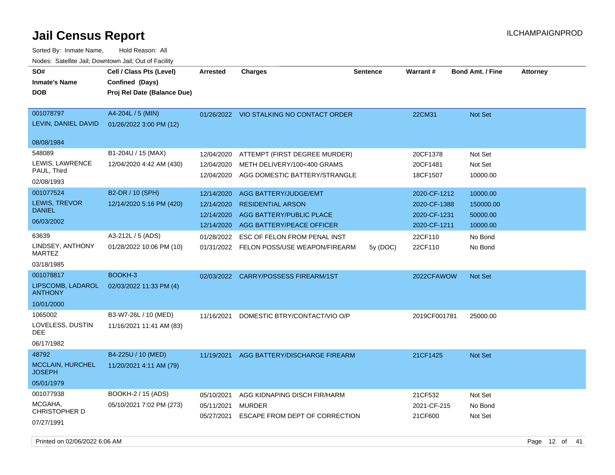| SO#<br><b>Inmate's Name</b><br><b>DOB</b> | Cell / Class Pts (Level)<br>Confined (Days)<br>Proj Rel Date (Balance Due) | <b>Arrested</b>          | <b>Charges</b>                                               | <b>Sentence</b> | Warrant#                     | <b>Bond Amt. / Fine</b> | <b>Attorney</b> |
|-------------------------------------------|----------------------------------------------------------------------------|--------------------------|--------------------------------------------------------------|-----------------|------------------------------|-------------------------|-----------------|
| 001078797<br>LEVIN, DANIEL DAVID          | A4-204L / 5 (MIN)<br>01/26/2022 3:00 PM (12)                               |                          | 01/26/2022 VIO STALKING NO CONTACT ORDER                     |                 | 22CM31                       | Not Set                 |                 |
| 08/08/1984                                |                                                                            |                          |                                                              |                 |                              |                         |                 |
| 548089                                    | B1-204U / 15 (MAX)                                                         | 12/04/2020               | ATTEMPT (FIRST DEGREE MURDER)                                |                 | 20CF1378                     | Not Set                 |                 |
| LEWIS, LAWRENCE<br>PAUL, Third            | 12/04/2020 4:42 AM (430)                                                   | 12/04/2020<br>12/04/2020 | METH DELIVERY/100<400 GRAMS<br>AGG DOMESTIC BATTERY/STRANGLE |                 | 20CF1481<br>18CF1507         | Not Set<br>10000.00     |                 |
| 02/08/1993                                |                                                                            |                          |                                                              |                 |                              |                         |                 |
| 001077524                                 | B2-DR / 10 (SPH)                                                           | 12/14/2020               | AGG BATTERY/JUDGE/EMT                                        |                 | 2020-CF-1212                 | 10000.00                |                 |
| LEWIS, TREVOR<br><b>DANIEL</b>            | 12/14/2020 5:16 PM (420)                                                   | 12/14/2020<br>12/14/2020 | <b>RESIDENTIAL ARSON</b><br>AGG BATTERY/PUBLIC PLACE         |                 | 2020-CF-1388<br>2020-CF-1231 | 150000.00<br>50000.00   |                 |
| 06/03/2002                                |                                                                            | 12/14/2020               | AGG BATTERY/PEACE OFFICER                                    |                 | 2020-CF-1211                 | 10000.00                |                 |
| 63639                                     | A3-212L / 5 (ADS)                                                          | 01/28/2022               | ESC OF FELON FROM PENAL INST                                 |                 | 22CF110                      | No Bond                 |                 |
| LINDSEY, ANTHONY<br><b>MARTEZ</b>         | 01/28/2022 10:06 PM (10)                                                   |                          | 01/31/2022 FELON POSS/USE WEAPON/FIREARM                     | 5y(DOC)         | 22CF110                      | No Bond                 |                 |
| 03/18/1985                                |                                                                            |                          |                                                              |                 |                              |                         |                 |
| 001078817                                 | BOOKH-3                                                                    |                          | 02/03/2022 CARRY/POSSESS FIREARM/1ST                         |                 | 2022CFAWOW                   | Not Set                 |                 |
| LIPSCOMB, LADAROL<br><b>ANTHONY</b>       | 02/03/2022 11:33 PM (4)                                                    |                          |                                                              |                 |                              |                         |                 |
| 10/01/2000                                |                                                                            |                          |                                                              |                 |                              |                         |                 |
| 1065002<br>LOVELESS, DUSTIN<br><b>DEE</b> | B3-W7-26L / 10 (MED)<br>11/16/2021 11:41 AM (83)                           | 11/16/2021               | DOMESTIC BTRY/CONTACT/VIO O/P                                |                 | 2019CF001781                 | 25000.00                |                 |
| 06/17/1982                                |                                                                            |                          |                                                              |                 |                              |                         |                 |
| 48792                                     | B4-225U / 10 (MED)                                                         | 11/19/2021               | AGG BATTERY/DISCHARGE FIREARM                                |                 | 21CF1425                     | Not Set                 |                 |
| <b>MCCLAIN, HURCHEL</b><br><b>JOSEPH</b>  | 11/20/2021 4:11 AM (79)                                                    |                          |                                                              |                 |                              |                         |                 |
| 05/01/1979                                |                                                                            |                          |                                                              |                 |                              |                         |                 |
| 001077938                                 | BOOKH-2 / 15 (ADS)                                                         | 05/10/2021               | AGG KIDNAPING DISCH FIR/HARM                                 |                 | 21CF532                      | Not Set                 |                 |
| MCGAHA,<br>CHRISTOPHER D                  | 05/10/2021 7:02 PM (273)                                                   | 05/11/2021<br>05/27/2021 | <b>MURDER</b><br>ESCAPE FROM DEPT OF CORRECTION              |                 | 2021-CF-215<br>21CF600       | No Bond<br>Not Set      |                 |
| 07/27/1991                                |                                                                            |                          |                                                              |                 |                              |                         |                 |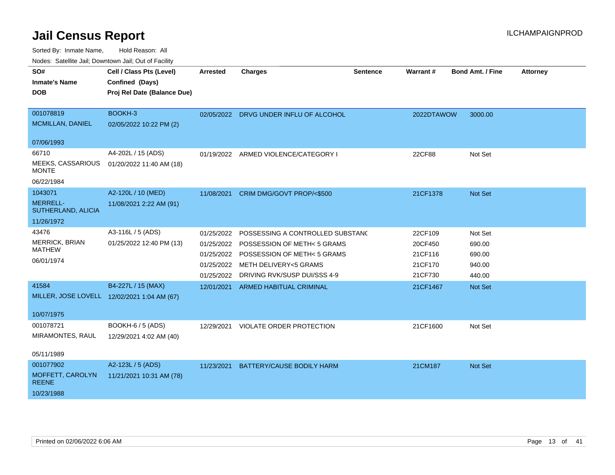Sorted By: Inmate Name, Hold Reason: All

Nodes: Satellite Jail; Downtown Jail; Out of Facility

| SO#                                   | Cell / Class Pts (Level)                    | <b>Arrested</b> | <b>Charges</b>                         | <b>Sentence</b> | Warrant#   | <b>Bond Amt. / Fine</b> | <b>Attorney</b> |
|---------------------------------------|---------------------------------------------|-----------------|----------------------------------------|-----------------|------------|-------------------------|-----------------|
| <b>Inmate's Name</b>                  | Confined (Days)                             |                 |                                        |                 |            |                         |                 |
| <b>DOB</b>                            | Proj Rel Date (Balance Due)                 |                 |                                        |                 |            |                         |                 |
|                                       |                                             |                 |                                        |                 |            |                         |                 |
| 001078819                             | BOOKH-3                                     |                 | 02/05/2022 DRVG UNDER INFLU OF ALCOHOL |                 | 2022DTAWOW | 3000.00                 |                 |
| <b>MCMILLAN, DANIEL</b>               | 02/05/2022 10:22 PM (2)                     |                 |                                        |                 |            |                         |                 |
|                                       |                                             |                 |                                        |                 |            |                         |                 |
| 07/06/1993                            |                                             |                 |                                        |                 |            |                         |                 |
| 66710                                 | A4-202L / 15 (ADS)                          |                 | 01/19/2022 ARMED VIOLENCE/CATEGORY I   |                 | 22CF88     | Not Set                 |                 |
| MEEKS, CASSARIOUS<br><b>MONTE</b>     | 01/20/2022 11:40 AM (18)                    |                 |                                        |                 |            |                         |                 |
| 06/22/1984                            |                                             |                 |                                        |                 |            |                         |                 |
| 1043071                               | A2-120L / 10 (MED)                          |                 |                                        |                 |            |                         |                 |
|                                       |                                             | 11/08/2021      | CRIM DMG/GOVT PROP/<\$500              |                 | 21CF1378   | Not Set                 |                 |
| <b>MERRELL-</b><br>SUTHERLAND, ALICIA | 11/08/2021 2:22 AM (91)                     |                 |                                        |                 |            |                         |                 |
| 11/26/1972                            |                                             |                 |                                        |                 |            |                         |                 |
| 43476                                 | A3-116L / 5 (ADS)                           | 01/25/2022      | POSSESSING A CONTROLLED SUBSTAND       |                 | 22CF109    | Not Set                 |                 |
| <b>MERRICK, BRIAN</b>                 | 01/25/2022 12:40 PM (13)                    | 01/25/2022      | POSSESSION OF METH< 5 GRAMS            |                 | 20CF450    | 690.00                  |                 |
| <b>MATHEW</b>                         |                                             |                 | 01/25/2022 POSSESSION OF METH< 5 GRAMS |                 | 21CF116    | 690.00                  |                 |
| 06/01/1974                            |                                             |                 | 01/25/2022 METH DELIVERY<5 GRAMS       |                 | 21CF170    | 940.00                  |                 |
|                                       |                                             | 01/25/2022      | DRIVING RVK/SUSP DUI/SSS 4-9           |                 | 21CF730    | 440.00                  |                 |
| 41584                                 | B4-227L / 15 (MAX)                          |                 | 12/01/2021 ARMED HABITUAL CRIMINAL     |                 | 21CF1467   | <b>Not Set</b>          |                 |
|                                       | MILLER, JOSE LOVELL 12/02/2021 1:04 AM (67) |                 |                                        |                 |            |                         |                 |
|                                       |                                             |                 |                                        |                 |            |                         |                 |
| 10/07/1975                            |                                             |                 |                                        |                 |            |                         |                 |
| 001078721                             | <b>BOOKH-6 / 5 (ADS)</b>                    |                 | 12/29/2021 VIOLATE ORDER PROTECTION    |                 | 21CF1600   | Not Set                 |                 |
| MIRAMONTES, RAUL                      | 12/29/2021 4:02 AM (40)                     |                 |                                        |                 |            |                         |                 |
|                                       |                                             |                 |                                        |                 |            |                         |                 |
| 05/11/1989                            |                                             |                 |                                        |                 |            |                         |                 |
| 001077902                             | A2-123L / 5 (ADS)                           | 11/23/2021      | BATTERY/CAUSE BODILY HARM              |                 | 21CM187    | Not Set                 |                 |
| MOFFETT, CAROLYN<br><b>REENE</b>      | 11/21/2021 10:31 AM (78)                    |                 |                                        |                 |            |                         |                 |
| 10/23/1988                            |                                             |                 |                                        |                 |            |                         |                 |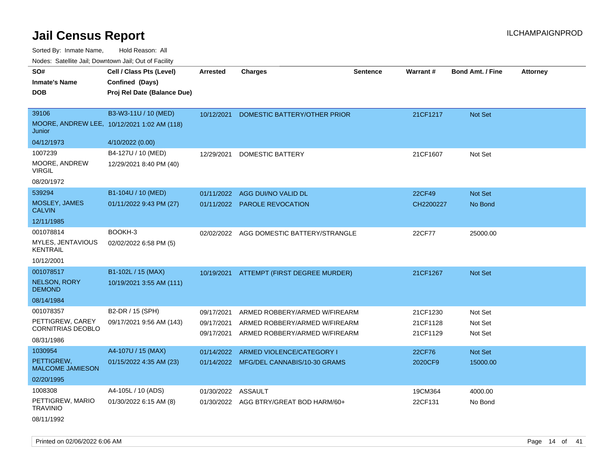Sorted By: Inmate Name, Hold Reason: All Nodes: Satellite Jail; Downtown Jail; Out of Facility

| SO#                                          | Cell / Class Pts (Level)                    | <b>Arrested</b>          | <b>Charges</b>                                                 | <b>Sentence</b> | Warrant#             | <b>Bond Amt. / Fine</b> | <b>Attorney</b> |
|----------------------------------------------|---------------------------------------------|--------------------------|----------------------------------------------------------------|-----------------|----------------------|-------------------------|-----------------|
| <b>Inmate's Name</b>                         | Confined (Days)                             |                          |                                                                |                 |                      |                         |                 |
| <b>DOB</b>                                   | Proj Rel Date (Balance Due)                 |                          |                                                                |                 |                      |                         |                 |
|                                              |                                             |                          |                                                                |                 |                      |                         |                 |
| 39106                                        | B3-W3-11U / 10 (MED)                        | 10/12/2021               | DOMESTIC BATTERY/OTHER PRIOR                                   |                 | 21CF1217             | <b>Not Set</b>          |                 |
| Junior                                       | MOORE, ANDREW LEE, 10/12/2021 1:02 AM (118) |                          |                                                                |                 |                      |                         |                 |
| 04/12/1973                                   | 4/10/2022 (0.00)                            |                          |                                                                |                 |                      |                         |                 |
| 1007239                                      | B4-127U / 10 (MED)                          | 12/29/2021               | DOMESTIC BATTERY                                               |                 | 21CF1607             | Not Set                 |                 |
| MOORE, ANDREW<br>VIRGIL                      | 12/29/2021 8:40 PM (40)                     |                          |                                                                |                 |                      |                         |                 |
| 08/20/1972                                   |                                             |                          |                                                                |                 |                      |                         |                 |
| 539294                                       | B1-104U / 10 (MED)                          | 01/11/2022               | AGG DUI/NO VALID DL                                            |                 | 22CF49               | Not Set                 |                 |
| MOSLEY, JAMES<br><b>CALVIN</b>               | 01/11/2022 9:43 PM (27)                     |                          | 01/11/2022 PAROLE REVOCATION                                   |                 | CH2200227            | No Bond                 |                 |
| 12/11/1985                                   |                                             |                          |                                                                |                 |                      |                         |                 |
| 001078814                                    | BOOKH-3                                     | 02/02/2022               | AGG DOMESTIC BATTERY/STRANGLE                                  |                 | 22CF77               | 25000.00                |                 |
| MYLES, JENTAVIOUS<br><b>KENTRAIL</b>         | 02/02/2022 6:58 PM (5)                      |                          |                                                                |                 |                      |                         |                 |
| 10/12/2001                                   |                                             |                          |                                                                |                 |                      |                         |                 |
| 001078517                                    | B1-102L / 15 (MAX)                          | 10/19/2021               | ATTEMPT (FIRST DEGREE MURDER)                                  |                 | 21CF1267             | Not Set                 |                 |
| <b>NELSON, RORY</b><br><b>DEMOND</b>         | 10/19/2021 3:55 AM (111)                    |                          |                                                                |                 |                      |                         |                 |
| 08/14/1984                                   |                                             |                          |                                                                |                 |                      |                         |                 |
| 001078357                                    | B2-DR / 15 (SPH)                            | 09/17/2021               | ARMED ROBBERY/ARMED W/FIREARM                                  |                 | 21CF1230             | Not Set                 |                 |
| PETTIGREW, CAREY<br><b>CORNITRIAS DEOBLO</b> | 09/17/2021 9:56 AM (143)                    | 09/17/2021<br>09/17/2021 | ARMED ROBBERY/ARMED W/FIREARM<br>ARMED ROBBERY/ARMED W/FIREARM |                 | 21CF1128<br>21CF1129 | Not Set<br>Not Set      |                 |
| 08/31/1986                                   |                                             |                          |                                                                |                 |                      |                         |                 |
| 1030954                                      | A4-107U / 15 (MAX)                          | 01/14/2022               | ARMED VIOLENCE/CATEGORY I                                      |                 | 22CF76               | Not Set                 |                 |
| PETTIGREW.<br><b>MALCOME JAMIESON</b>        | 01/15/2022 4:35 AM (23)                     |                          | 01/14/2022 MFG/DEL CANNABIS/10-30 GRAMS                        |                 | 2020CF9              | 15000.00                |                 |
| 02/20/1995                                   |                                             |                          |                                                                |                 |                      |                         |                 |
| 1008308                                      | A4-105L / 10 (ADS)                          | 01/30/2022               | ASSAULT                                                        |                 | 19CM364              | 4000.00                 |                 |
| PETTIGREW, MARIO<br><b>TRAVINIO</b>          | 01/30/2022 6:15 AM (8)                      |                          | 01/30/2022 AGG BTRY/GREAT BOD HARM/60+                         |                 | 22CF131              | No Bond                 |                 |

08/11/1992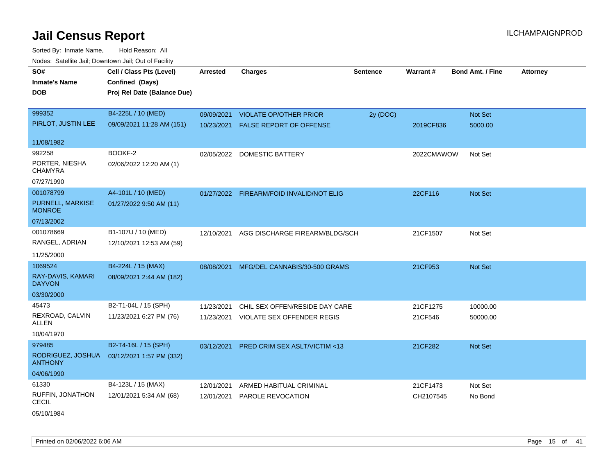Sorted By: Inmate Name, Hold Reason: All Nodes: Satellite Jail; Downtown Jail; Out of Facility

| waco. Catolino can, Downtown can, Out of Faoint |                                             |                 |                                          |                 |            |                         |                 |
|-------------------------------------------------|---------------------------------------------|-----------------|------------------------------------------|-----------------|------------|-------------------------|-----------------|
| SO#<br><b>Inmate's Name</b>                     | Cell / Class Pts (Level)<br>Confined (Days) | <b>Arrested</b> | <b>Charges</b>                           | <b>Sentence</b> | Warrant#   | <b>Bond Amt. / Fine</b> | <b>Attorney</b> |
| <b>DOB</b>                                      | Proj Rel Date (Balance Due)                 |                 |                                          |                 |            |                         |                 |
| 999352                                          | B4-225L / 10 (MED)                          | 09/09/2021      | <b>VIOLATE OP/OTHER PRIOR</b>            | 2y (DOC)        |            | Not Set                 |                 |
| PIRLOT, JUSTIN LEE                              | 09/09/2021 11:28 AM (151)                   | 10/23/2021      | <b>FALSE REPORT OF OFFENSE</b>           |                 | 2019CF836  | 5000.00                 |                 |
| 11/08/1982                                      |                                             |                 |                                          |                 |            |                         |                 |
| 992258                                          | BOOKF-2                                     |                 | 02/05/2022 DOMESTIC BATTERY              |                 | 2022CMAWOW | Not Set                 |                 |
| PORTER, NIESHA<br><b>CHAMYRA</b>                | 02/06/2022 12:20 AM (1)                     |                 |                                          |                 |            |                         |                 |
| 07/27/1990                                      |                                             |                 |                                          |                 |            |                         |                 |
| 001078799                                       | A4-101L / 10 (MED)                          |                 | 01/27/2022 FIREARM/FOID INVALID/NOT ELIG |                 | 22CF116    | Not Set                 |                 |
| PURNELL, MARKISE<br><b>MONROE</b>               | 01/27/2022 9:50 AM (11)                     |                 |                                          |                 |            |                         |                 |
| 07/13/2002                                      |                                             |                 |                                          |                 |            |                         |                 |
| 001078669                                       | B1-107U / 10 (MED)                          | 12/10/2021      | AGG DISCHARGE FIREARM/BLDG/SCH           |                 | 21CF1507   | Not Set                 |                 |
| RANGEL, ADRIAN                                  | 12/10/2021 12:53 AM (59)                    |                 |                                          |                 |            |                         |                 |
| 11/25/2000                                      |                                             |                 |                                          |                 |            |                         |                 |
| 1069524                                         | B4-224L / 15 (MAX)                          | 08/08/2021      | MFG/DEL CANNABIS/30-500 GRAMS            |                 | 21CF953    | <b>Not Set</b>          |                 |
| RAY-DAVIS, KAMARI<br><b>DAYVON</b>              | 08/09/2021 2:44 AM (182)                    |                 |                                          |                 |            |                         |                 |
| 03/30/2000                                      |                                             |                 |                                          |                 |            |                         |                 |
| 45473                                           | B2-T1-04L / 15 (SPH)                        | 11/23/2021      | CHIL SEX OFFEN/RESIDE DAY CARE           |                 | 21CF1275   | 10000.00                |                 |
| REXROAD, CALVIN<br>ALLEN                        | 11/23/2021 6:27 PM (76)                     | 11/23/2021      | <b>VIOLATE SEX OFFENDER REGIS</b>        |                 | 21CF546    | 50000.00                |                 |
| 10/04/1970                                      |                                             |                 |                                          |                 |            |                         |                 |
| 979485                                          | B2-T4-16L / 15 (SPH)                        | 03/12/2021      | <b>PRED CRIM SEX ASLT/VICTIM &lt;13</b>  |                 | 21CF282    | <b>Not Set</b>          |                 |
| RODRIGUEZ, JOSHUA<br><b>ANTHONY</b>             | 03/12/2021 1:57 PM (332)                    |                 |                                          |                 |            |                         |                 |
| 04/06/1990                                      |                                             |                 |                                          |                 |            |                         |                 |
| 61330                                           | B4-123L / 15 (MAX)                          | 12/01/2021      | ARMED HABITUAL CRIMINAL                  |                 | 21CF1473   | Not Set                 |                 |
| RUFFIN, JONATHON<br><b>CECIL</b>                | 12/01/2021 5:34 AM (68)                     | 12/01/2021      | PAROLE REVOCATION                        |                 | CH2107545  | No Bond                 |                 |

05/10/1984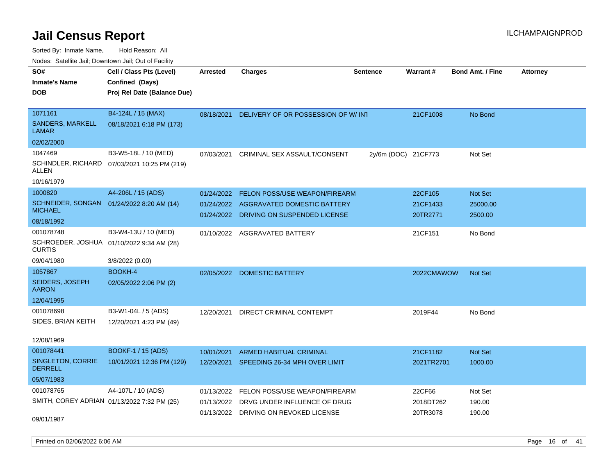| Nodes. Salenne Jan, Downtown Jan, Out of Facility          |                                              |                 |                                    |                     |                 |                         |                 |
|------------------------------------------------------------|----------------------------------------------|-----------------|------------------------------------|---------------------|-----------------|-------------------------|-----------------|
| SO#                                                        | Cell / Class Pts (Level)                     | <b>Arrested</b> | Charges                            | <b>Sentence</b>     | <b>Warrant#</b> | <b>Bond Amt. / Fine</b> | <b>Attorney</b> |
| <b>Inmate's Name</b>                                       | Confined (Days)                              |                 |                                    |                     |                 |                         |                 |
| <b>DOB</b>                                                 | Proj Rel Date (Balance Due)                  |                 |                                    |                     |                 |                         |                 |
|                                                            |                                              |                 |                                    |                     |                 |                         |                 |
| 1071161                                                    | B4-124L / 15 (MAX)                           | 08/18/2021      | DELIVERY OF OR POSSESSION OF W/INT |                     | 21CF1008        | No Bond                 |                 |
| <b>SANDERS, MARKELL</b><br><b>LAMAR</b>                    | 08/18/2021 6:18 PM (173)                     |                 |                                    |                     |                 |                         |                 |
| 02/02/2000                                                 |                                              |                 |                                    |                     |                 |                         |                 |
| 1047469                                                    | B3-W5-18L / 10 (MED)                         | 07/03/2021      | CRIMINAL SEX ASSAULT/CONSENT       | 2y/6m (DOC) 21CF773 |                 | Not Set                 |                 |
| ALLEN                                                      | SCHINDLER, RICHARD 07/03/2021 10:25 PM (219) |                 |                                    |                     |                 |                         |                 |
| 10/16/1979                                                 |                                              |                 |                                    |                     |                 |                         |                 |
| 1000820                                                    | A4-206L / 15 (ADS)                           | 01/24/2022      | FELON POSS/USE WEAPON/FIREARM      |                     | 22CF105         | <b>Not Set</b>          |                 |
| SCHNEIDER, SONGAN 01/24/2022 8:20 AM (14)                  |                                              | 01/24/2022      | AGGRAVATED DOMESTIC BATTERY        |                     | 21CF1433        | 25000.00                |                 |
| <b>MICHAEL</b>                                             |                                              | 01/24/2022      | DRIVING ON SUSPENDED LICENSE       |                     | 20TR2771        | 2500.00                 |                 |
| 08/18/1992                                                 |                                              |                 |                                    |                     |                 |                         |                 |
| 001078748                                                  | B3-W4-13U / 10 (MED)                         |                 | 01/10/2022 AGGRAVATED BATTERY      |                     | 21CF151         | No Bond                 |                 |
| SCHROEDER, JOSHUA 01/10/2022 9:34 AM (28)<br><b>CURTIS</b> |                                              |                 |                                    |                     |                 |                         |                 |
| 09/04/1980                                                 | 3/8/2022 (0.00)                              |                 |                                    |                     |                 |                         |                 |
| 1057867                                                    | <b>BOOKH-4</b>                               | 02/05/2022      | <b>DOMESTIC BATTERY</b>            |                     | 2022CMAWOW      | <b>Not Set</b>          |                 |
| SEIDERS, JOSEPH<br><b>AARON</b>                            | 02/05/2022 2:06 PM (2)                       |                 |                                    |                     |                 |                         |                 |
| 12/04/1995                                                 |                                              |                 |                                    |                     |                 |                         |                 |
| 001078698                                                  | B3-W1-04L / 5 (ADS)                          | 12/20/2021      | DIRECT CRIMINAL CONTEMPT           |                     | 2019F44         | No Bond                 |                 |
| SIDES, BRIAN KEITH                                         | 12/20/2021 4:23 PM (49)                      |                 |                                    |                     |                 |                         |                 |
|                                                            |                                              |                 |                                    |                     |                 |                         |                 |
| 12/08/1969                                                 |                                              |                 |                                    |                     |                 |                         |                 |
| 001078441                                                  | <b>BOOKF-1/15 (ADS)</b>                      | 10/01/2021      | ARMED HABITUAL CRIMINAL            |                     | 21CF1182        | <b>Not Set</b>          |                 |
| SINGLETON, CORRIE<br><b>DERRELL</b>                        | 10/01/2021 12:36 PM (129)                    | 12/20/2021      | SPEEDING 26-34 MPH OVER LIMIT      |                     | 2021TR2701      | 1000.00                 |                 |
| 05/07/1983                                                 |                                              |                 |                                    |                     |                 |                         |                 |
| 001078765                                                  | A4-107L / 10 (ADS)                           | 01/13/2022      | FELON POSS/USE WEAPON/FIREARM      |                     | 22CF66          | Not Set                 |                 |
| SMITH, COREY ADRIAN 01/13/2022 7:32 PM (25)                |                                              | 01/13/2022      | DRVG UNDER INFLUENCE OF DRUG       |                     | 2018DT262       | 190.00                  |                 |
|                                                            |                                              | 01/13/2022      | DRIVING ON REVOKED LICENSE         |                     | 20TR3078        | 190.00                  |                 |
| 09/01/1987                                                 |                                              |                 |                                    |                     |                 |                         |                 |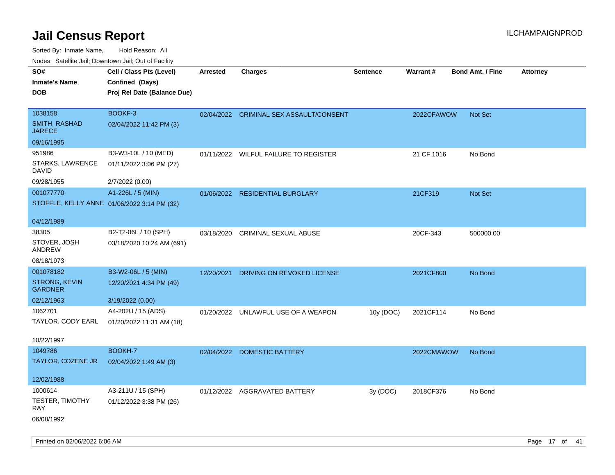| rouco. Calcillo Jali, Downtown Jali, Out of Facility |                                             |                 |                                         |                 |                 |                         |                 |
|------------------------------------------------------|---------------------------------------------|-----------------|-----------------------------------------|-----------------|-----------------|-------------------------|-----------------|
| SO#                                                  | Cell / Class Pts (Level)                    | <b>Arrested</b> | <b>Charges</b>                          | <b>Sentence</b> | <b>Warrant#</b> | <b>Bond Amt. / Fine</b> | <b>Attorney</b> |
| <b>Inmate's Name</b>                                 | Confined (Days)                             |                 |                                         |                 |                 |                         |                 |
| DOB                                                  | Proj Rel Date (Balance Due)                 |                 |                                         |                 |                 |                         |                 |
|                                                      |                                             |                 |                                         |                 |                 |                         |                 |
| 1038158                                              | BOOKF-3                                     |                 | 02/04/2022 CRIMINAL SEX ASSAULT/CONSENT |                 | 2022CFAWOW      | <b>Not Set</b>          |                 |
| <b>SMITH, RASHAD</b><br>JARECE                       | 02/04/2022 11:42 PM (3)                     |                 |                                         |                 |                 |                         |                 |
| 09/16/1995                                           |                                             |                 |                                         |                 |                 |                         |                 |
| 951986                                               | B3-W3-10L / 10 (MED)                        |                 | 01/11/2022 WILFUL FAILURE TO REGISTER   |                 | 21 CF 1016      | No Bond                 |                 |
| STARKS, LAWRENCE<br>DAVID                            | 01/11/2022 3:06 PM (27)                     |                 |                                         |                 |                 |                         |                 |
| 09/28/1955                                           | 2/7/2022 (0.00)                             |                 |                                         |                 |                 |                         |                 |
| 001077770                                            | A1-226L / 5 (MIN)                           |                 | 01/06/2022 RESIDENTIAL BURGLARY         |                 | 21CF319         | <b>Not Set</b>          |                 |
|                                                      | STOFFLE, KELLY ANNE 01/06/2022 3:14 PM (32) |                 |                                         |                 |                 |                         |                 |
| 04/12/1989                                           |                                             |                 |                                         |                 |                 |                         |                 |
| 38305                                                | B2-T2-06L / 10 (SPH)                        | 03/18/2020      | CRIMINAL SEXUAL ABUSE                   |                 | 20CF-343        | 500000.00               |                 |
| STOVER, JOSH<br>ANDREW                               | 03/18/2020 10:24 AM (691)                   |                 |                                         |                 |                 |                         |                 |
| 08/18/1973                                           |                                             |                 |                                         |                 |                 |                         |                 |
| 001078182                                            | B3-W2-06L / 5 (MIN)                         | 12/20/2021      | DRIVING ON REVOKED LICENSE              |                 | 2021CF800       | No Bond                 |                 |
| STRONG, KEVIN<br>GARDNER                             | 12/20/2021 4:34 PM (49)                     |                 |                                         |                 |                 |                         |                 |
| 02/12/1963                                           | 3/19/2022 (0.00)                            |                 |                                         |                 |                 |                         |                 |
| 1062701                                              | A4-202U / 15 (ADS)                          |                 | 01/20/2022 UNLAWFUL USE OF A WEAPON     | 10y (DOC)       | 2021CF114       | No Bond                 |                 |
| TAYLOR, CODY EARL                                    | 01/20/2022 11:31 AM (18)                    |                 |                                         |                 |                 |                         |                 |
|                                                      |                                             |                 |                                         |                 |                 |                         |                 |
| 10/22/1997                                           |                                             |                 |                                         |                 |                 |                         |                 |
| 1049786                                              | BOOKH-7                                     | 02/04/2022      | DOMESTIC BATTERY                        |                 | 2022CMAWOW      | No Bond                 |                 |
| TAYLOR, COZENE JR                                    | 02/04/2022 1:49 AM (3)                      |                 |                                         |                 |                 |                         |                 |
| 12/02/1988                                           |                                             |                 |                                         |                 |                 |                         |                 |
| 1000614                                              | A3-211U / 15 (SPH)                          |                 | 01/12/2022 AGGRAVATED BATTERY           | 3y (DOC)        | 2018CF376       | No Bond                 |                 |
| TESTER, TIMOTHY<br>RAY                               | 01/12/2022 3:38 PM (26)                     |                 |                                         |                 |                 |                         |                 |
| 06/08/1992                                           |                                             |                 |                                         |                 |                 |                         |                 |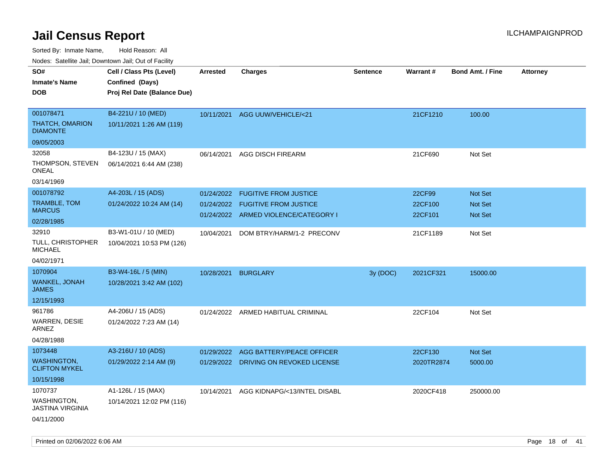Sorted By: Inmate Name, Hold Reason: All

Nodes: Satellite Jail; Downtown Jail; Out of Facility

| ivoues. Salellite Jali, Downtown Jali, Out of Facility |                             |            |                                       |                 |            |                         |                 |
|--------------------------------------------------------|-----------------------------|------------|---------------------------------------|-----------------|------------|-------------------------|-----------------|
| SO#                                                    | Cell / Class Pts (Level)    | Arrested   | <b>Charges</b>                        | <b>Sentence</b> | Warrant#   | <b>Bond Amt. / Fine</b> | <b>Attorney</b> |
| <b>Inmate's Name</b>                                   | Confined (Days)             |            |                                       |                 |            |                         |                 |
| <b>DOB</b>                                             | Proj Rel Date (Balance Due) |            |                                       |                 |            |                         |                 |
|                                                        |                             |            |                                       |                 |            |                         |                 |
| 001078471                                              | B4-221U / 10 (MED)          |            | 10/11/2021 AGG UUW/VEHICLE/<21        |                 | 21CF1210   | 100.00                  |                 |
| <b>THATCH, OMARION</b><br><b>DIAMONTE</b>              | 10/11/2021 1:26 AM (119)    |            |                                       |                 |            |                         |                 |
| 09/05/2003                                             |                             |            |                                       |                 |            |                         |                 |
| 32058                                                  | B4-123U / 15 (MAX)          | 06/14/2021 | AGG DISCH FIREARM                     |                 | 21CF690    | Not Set                 |                 |
| THOMPSON, STEVEN<br>ONEAL                              | 06/14/2021 6:44 AM (238)    |            |                                       |                 |            |                         |                 |
| 03/14/1969                                             |                             |            |                                       |                 |            |                         |                 |
| 001078792                                              | A4-203L / 15 (ADS)          | 01/24/2022 | <b>FUGITIVE FROM JUSTICE</b>          |                 | 22CF99     | Not Set                 |                 |
| <b>TRAMBLE, TOM</b>                                    | 01/24/2022 10:24 AM (14)    | 01/24/2022 | <b>FUGITIVE FROM JUSTICE</b>          |                 | 22CF100    | <b>Not Set</b>          |                 |
| <b>MARCUS</b>                                          |                             |            | 01/24/2022 ARMED VIOLENCE/CATEGORY I  |                 | 22CF101    | <b>Not Set</b>          |                 |
| 02/28/1985                                             |                             |            |                                       |                 |            |                         |                 |
| 32910                                                  | B3-W1-01U / 10 (MED)        | 10/04/2021 | DOM BTRY/HARM/1-2 PRECONV             |                 | 21CF1189   | Not Set                 |                 |
| TULL, CHRISTOPHER<br><b>MICHAEL</b>                    | 10/04/2021 10:53 PM (126)   |            |                                       |                 |            |                         |                 |
| 04/02/1971                                             |                             |            |                                       |                 |            |                         |                 |
| 1070904                                                | B3-W4-16L / 5 (MIN)         | 10/28/2021 | <b>BURGLARY</b>                       | 3y (DOC)        | 2021CF321  | 15000.00                |                 |
| WANKEL, JONAH<br>JAMES                                 | 10/28/2021 3:42 AM (102)    |            |                                       |                 |            |                         |                 |
| 12/15/1993                                             |                             |            |                                       |                 |            |                         |                 |
| 961786                                                 | A4-206U / 15 (ADS)          |            | 01/24/2022 ARMED HABITUAL CRIMINAL    |                 | 22CF104    | Not Set                 |                 |
| WARREN, DESIE<br>ARNEZ                                 | 01/24/2022 7:23 AM (14)     |            |                                       |                 |            |                         |                 |
| 04/28/1988                                             |                             |            |                                       |                 |            |                         |                 |
| 1073448                                                | A3-216U / 10 (ADS)          | 01/29/2022 | AGG BATTERY/PEACE OFFICER             |                 | 22CF130    | Not Set                 |                 |
| <b>WASHINGTON,</b><br><b>CLIFTON MYKEL</b>             | 01/29/2022 2:14 AM (9)      |            | 01/29/2022 DRIVING ON REVOKED LICENSE |                 | 2020TR2874 | 5000.00                 |                 |
| 10/15/1998                                             |                             |            |                                       |                 |            |                         |                 |
| 1070737                                                | A1-126L / 15 (MAX)          | 10/14/2021 | AGG KIDNAPG/<13/INTEL DISABL          |                 | 2020CF418  | 250000.00               |                 |
| WASHINGTON,<br><b>JASTINA VIRGINIA</b>                 | 10/14/2021 12:02 PM (116)   |            |                                       |                 |            |                         |                 |
| 04/11/2000                                             |                             |            |                                       |                 |            |                         |                 |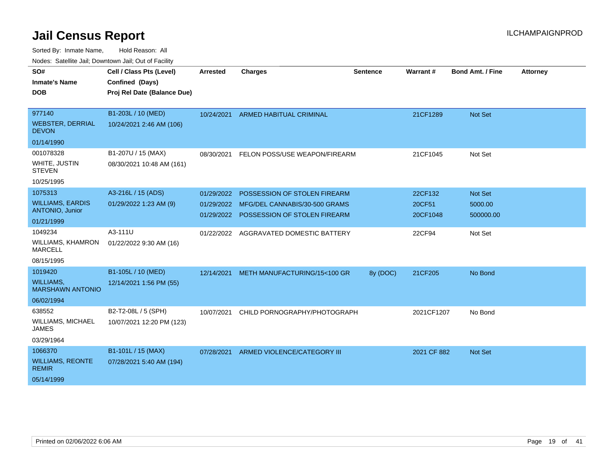Sorted By: Inmate Name, Hold Reason: All

Nodes: Satellite Jail; Downtown Jail; Out of Facility

| SO#<br><b>Inmate's Name</b><br><b>DOB</b>         | Cell / Class Pts (Level)<br>Confined (Days)<br>Proj Rel Date (Balance Due) | Arrested   | <b>Charges</b>                           | Sentence | Warrant#    | <b>Bond Amt. / Fine</b> | <b>Attorney</b> |
|---------------------------------------------------|----------------------------------------------------------------------------|------------|------------------------------------------|----------|-------------|-------------------------|-----------------|
| 977140                                            | B1-203L / 10 (MED)                                                         |            | 10/24/2021 ARMED HABITUAL CRIMINAL       |          | 21CF1289    | <b>Not Set</b>          |                 |
| <b>WEBSTER, DERRIAL</b><br><b>DEVON</b>           | 10/24/2021 2:46 AM (106)                                                   |            |                                          |          |             |                         |                 |
| 01/14/1990                                        |                                                                            |            |                                          |          |             |                         |                 |
| 001078328                                         | B1-207U / 15 (MAX)                                                         | 08/30/2021 | FELON POSS/USE WEAPON/FIREARM            |          | 21CF1045    | Not Set                 |                 |
| WHITE, JUSTIN<br><b>STEVEN</b>                    | 08/30/2021 10:48 AM (161)                                                  |            |                                          |          |             |                         |                 |
| 10/25/1995                                        |                                                                            |            |                                          |          |             |                         |                 |
| 1075313                                           | A3-216L / 15 (ADS)                                                         | 01/29/2022 | POSSESSION OF STOLEN FIREARM             |          | 22CF132     | <b>Not Set</b>          |                 |
| <b>WILLIAMS, EARDIS</b><br><b>ANTONIO, Junior</b> | 01/29/2022 1:23 AM (9)                                                     |            | 01/29/2022 MFG/DEL CANNABIS/30-500 GRAMS |          | 20CF51      | 5000.00                 |                 |
| 01/21/1999                                        |                                                                            | 01/29/2022 | POSSESSION OF STOLEN FIREARM             |          | 20CF1048    | 500000.00               |                 |
| 1049234                                           | A3-111U                                                                    | 01/22/2022 | AGGRAVATED DOMESTIC BATTERY              |          | 22CF94      | Not Set                 |                 |
| WILLIAMS, KHAMRON<br><b>MARCELL</b>               | 01/22/2022 9:30 AM (16)                                                    |            |                                          |          |             |                         |                 |
| 08/15/1995                                        |                                                                            |            |                                          |          |             |                         |                 |
| 1019420                                           | B1-105L / 10 (MED)                                                         | 12/14/2021 | METH MANUFACTURING/15<100 GR             | 8y (DOC) | 21CF205     | No Bond                 |                 |
| <b>WILLIAMS,</b><br><b>MARSHAWN ANTONIO</b>       | 12/14/2021 1:56 PM (55)                                                    |            |                                          |          |             |                         |                 |
| 06/02/1994                                        |                                                                            |            |                                          |          |             |                         |                 |
| 638552                                            | B2-T2-08L / 5 (SPH)                                                        | 10/07/2021 | CHILD PORNOGRAPHY/PHOTOGRAPH             |          | 2021CF1207  | No Bond                 |                 |
| <b>WILLIAMS, MICHAEL</b><br><b>JAMES</b>          | 10/07/2021 12:20 PM (123)                                                  |            |                                          |          |             |                         |                 |
| 03/29/1964                                        |                                                                            |            |                                          |          |             |                         |                 |
| 1066370                                           | B1-101L / 15 (MAX)                                                         | 07/28/2021 | ARMED VIOLENCE/CATEGORY III              |          | 2021 CF 882 | <b>Not Set</b>          |                 |
| <b>WILLIAMS, REONTE</b><br><b>REMIR</b>           | 07/28/2021 5:40 AM (194)                                                   |            |                                          |          |             |                         |                 |
| 05/14/1999                                        |                                                                            |            |                                          |          |             |                         |                 |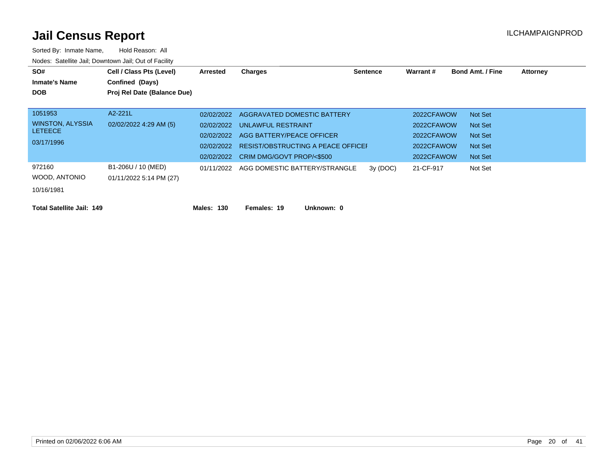| SO#                              | Cell / Class Pts (Level)    | Arrested   | Charges                                  | Sentence | Warrant#   | <b>Bond Amt. / Fine</b> | <b>Attorney</b> |
|----------------------------------|-----------------------------|------------|------------------------------------------|----------|------------|-------------------------|-----------------|
| <b>Inmate's Name</b>             | Confined (Days)             |            |                                          |          |            |                         |                 |
| <b>DOB</b>                       | Proj Rel Date (Balance Due) |            |                                          |          |            |                         |                 |
|                                  |                             |            |                                          |          |            |                         |                 |
| 1051953                          | A2-221L                     | 02/02/2022 | AGGRAVATED DOMESTIC BATTERY              |          | 2022CFAWOW | Not Set                 |                 |
| WINSTON, ALYSSIA                 | 02/02/2022 4:29 AM (5)      |            | 02/02/2022 UNLAWFUL RESTRAINT            |          | 2022CFAWOW | Not Set                 |                 |
| <b>LETEECE</b>                   |                             | 02/02/2022 | AGG BATTERY/PEACE OFFICER                |          | 2022CFAWOW | Not Set                 |                 |
| 03/17/1996                       |                             | 02/02/2022 | RESIST/OBSTRUCTING A PEACE OFFICEI       |          | 2022CFAWOW | Not Set                 |                 |
|                                  |                             | 02/02/2022 | CRIM DMG/GOVT PROP/<\$500                |          | 2022CFAWOW | Not Set                 |                 |
| 972160                           | B1-206U / 10 (MED)          |            | 01/11/2022 AGG DOMESTIC BATTERY/STRANGLE | 3y(DOC)  | 21-CF-917  | Not Set                 |                 |
| WOOD, ANTONIO                    | 01/11/2022 5:14 PM (27)     |            |                                          |          |            |                         |                 |
| 10/16/1981                       |                             |            |                                          |          |            |                         |                 |
|                                  |                             |            |                                          |          |            |                         |                 |
| <b>Total Satellite Jail: 149</b> |                             | Males: 130 | Females: 19<br>Unknown: 0                |          |            |                         |                 |
|                                  |                             |            |                                          |          |            |                         |                 |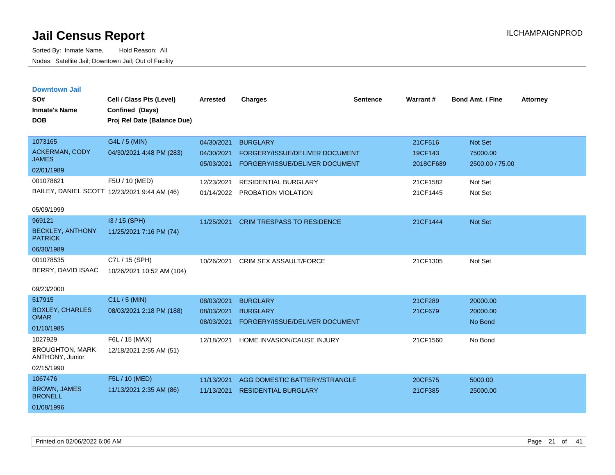| <b>Downtown Jail</b><br>SO#<br><b>Inmate's Name</b><br><b>DOB</b> | Cell / Class Pts (Level)<br>Confined (Days)<br>Proj Rel Date (Balance Due) | <b>Arrested</b>          | <b>Charges</b>                                                   | <b>Sentence</b> | Warrant#             | <b>Bond Amt. / Fine</b>     | <b>Attorney</b> |
|-------------------------------------------------------------------|----------------------------------------------------------------------------|--------------------------|------------------------------------------------------------------|-----------------|----------------------|-----------------------------|-----------------|
| 1073165                                                           | G4L / 5 (MIN)                                                              | 04/30/2021               | <b>BURGLARY</b>                                                  |                 | 21CF516              | <b>Not Set</b>              |                 |
| <b>ACKERMAN, CODY</b><br><b>JAMES</b>                             | 04/30/2021 4:48 PM (283)                                                   | 04/30/2021<br>05/03/2021 | FORGERY/ISSUE/DELIVER DOCUMENT<br>FORGERY/ISSUE/DELIVER DOCUMENT |                 | 19CF143<br>2018CF689 | 75000.00<br>2500.00 / 75.00 |                 |
| 02/01/1989                                                        |                                                                            |                          |                                                                  |                 |                      |                             |                 |
| 001078621                                                         | F5U / 10 (MED)                                                             | 12/23/2021               | <b>RESIDENTIAL BURGLARY</b>                                      |                 | 21CF1582             | Not Set                     |                 |
| BAILEY, DANIEL SCOTT 12/23/2021 9:44 AM (46)                      |                                                                            | 01/14/2022               | PROBATION VIOLATION                                              |                 | 21CF1445             | Not Set                     |                 |
| 05/09/1999                                                        |                                                                            |                          |                                                                  |                 |                      |                             |                 |
| 969121                                                            | $13/15$ (SPH)                                                              | 11/25/2021               | <b>CRIM TRESPASS TO RESIDENCE</b>                                |                 | 21CF1444             | <b>Not Set</b>              |                 |
| <b>BECKLEY, ANTHONY</b><br><b>PATRICK</b>                         | 11/25/2021 7:16 PM (74)                                                    |                          |                                                                  |                 |                      |                             |                 |
| 06/30/1989                                                        |                                                                            |                          |                                                                  |                 |                      |                             |                 |
| 001078535                                                         | C7L / 15 (SPH)                                                             | 10/26/2021               | <b>CRIM SEX ASSAULT/FORCE</b>                                    |                 | 21CF1305             | Not Set                     |                 |
| BERRY, DAVID ISAAC                                                | 10/26/2021 10:52 AM (104)                                                  |                          |                                                                  |                 |                      |                             |                 |
| 09/23/2000                                                        |                                                                            |                          |                                                                  |                 |                      |                             |                 |
| 517915                                                            | $C1L / 5$ (MIN)                                                            | 08/03/2021               | <b>BURGLARY</b>                                                  |                 | 21CF289              | 20000.00                    |                 |
| <b>BOXLEY, CHARLES</b><br><b>OMAR</b>                             | 08/03/2021 2:18 PM (188)                                                   | 08/03/2021               | <b>BURGLARY</b>                                                  |                 | 21CF679              | 20000.00                    |                 |
| 01/10/1985                                                        |                                                                            | 08/03/2021               | FORGERY/ISSUE/DELIVER DOCUMENT                                   |                 |                      | No Bond                     |                 |
| 1027929                                                           | F6L / 15 (MAX)                                                             | 12/18/2021               | HOME INVASION/CAUSE INJURY                                       |                 | 21CF1560             | No Bond                     |                 |
| <b>BROUGHTON, MARK</b><br>ANTHONY, Junior                         | 12/18/2021 2:55 AM (51)                                                    |                          |                                                                  |                 |                      |                             |                 |
| 02/15/1990                                                        |                                                                            |                          |                                                                  |                 |                      |                             |                 |
| 1067476                                                           | F5L / 10 (MED)                                                             | 11/13/2021               | AGG DOMESTIC BATTERY/STRANGLE                                    |                 | 20CF575              | 5000.00                     |                 |
| <b>BROWN, JAMES</b><br><b>BRONELL</b>                             | 11/13/2021 2:35 AM (86)                                                    | 11/13/2021               | <b>RESIDENTIAL BURGLARY</b>                                      |                 | 21CF385              | 25000.00                    |                 |
| 01/08/1996                                                        |                                                                            |                          |                                                                  |                 |                      |                             |                 |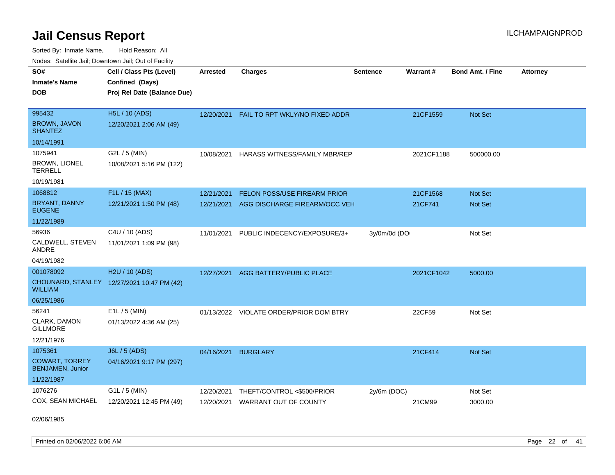Sorted By: Inmate Name, Hold Reason: All Nodes: Satellite Jail; Downtown Jail; Out of Facility

| SO#<br><b>Inmate's Name</b><br><b>DOB</b>        | Cell / Class Pts (Level)<br>Confined (Days)<br>Proj Rel Date (Balance Due) | <b>Arrested</b> | <b>Charges</b>                      | <b>Sentence</b> | Warrant#   | <b>Bond Amt. / Fine</b> | <b>Attorney</b> |
|--------------------------------------------------|----------------------------------------------------------------------------|-----------------|-------------------------------------|-----------------|------------|-------------------------|-----------------|
|                                                  |                                                                            |                 |                                     |                 |            |                         |                 |
| 995432                                           | <b>H5L / 10 (ADS)</b>                                                      | 12/20/2021      | FAIL TO RPT WKLY/NO FIXED ADDR      |                 | 21CF1559   | <b>Not Set</b>          |                 |
| <b>BROWN, JAVON</b><br>SHANTEZ                   | 12/20/2021 2:06 AM (49)                                                    |                 |                                     |                 |            |                         |                 |
| 10/14/1991                                       |                                                                            |                 |                                     |                 |            |                         |                 |
| 1075941                                          | G2L / 5 (MIN)                                                              | 10/08/2021      | HARASS WITNESS/FAMILY MBR/REP       |                 | 2021CF1188 | 500000.00               |                 |
| <b>BROWN, LIONEL</b><br>TERRELL                  | 10/08/2021 5:16 PM (122)                                                   |                 |                                     |                 |            |                         |                 |
| 10/19/1981                                       |                                                                            |                 |                                     |                 |            |                         |                 |
| 1068812                                          | F1L / 15 (MAX)                                                             | 12/21/2021      | FELON POSS/USE FIREARM PRIOR        |                 | 21CF1568   | <b>Not Set</b>          |                 |
| <b>BRYANT, DANNY</b><br><b>EUGENE</b>            | 12/21/2021 1:50 PM (48)                                                    | 12/21/2021      | AGG DISCHARGE FIREARM/OCC VEH       |                 | 21CF741    | <b>Not Set</b>          |                 |
| 11/22/1989                                       |                                                                            |                 |                                     |                 |            |                         |                 |
| 56936                                            | C4U / 10 (ADS)                                                             | 11/01/2021      | PUBLIC INDECENCY/EXPOSURE/3+        | 3y/0m/0d (DO    |            | Not Set                 |                 |
| CALDWELL, STEVEN<br>ANDRE                        | 11/01/2021 1:09 PM (98)                                                    |                 |                                     |                 |            |                         |                 |
| 04/19/1982                                       |                                                                            |                 |                                     |                 |            |                         |                 |
| 001078092                                        | H <sub>2</sub> U / 10 (ADS)                                                | 12/27/2021      | AGG BATTERY/PUBLIC PLACE            |                 | 2021CF1042 | 5000.00                 |                 |
| WILLIAM                                          | CHOUNARD, STANLEY 12/27/2021 10:47 PM (42)                                 |                 |                                     |                 |            |                         |                 |
| 06/25/1986                                       |                                                                            |                 |                                     |                 |            |                         |                 |
| 56241                                            | $E1L / 5$ (MIN)                                                            | 01/13/2022      | <b>VIOLATE ORDER/PRIOR DOM BTRY</b> |                 | 22CF59     | Not Set                 |                 |
| CLARK, DAMON<br>GILLMORE                         | 01/13/2022 4:36 AM (25)                                                    |                 |                                     |                 |            |                         |                 |
| 12/21/1976                                       |                                                                            |                 |                                     |                 |            |                         |                 |
| 1075361                                          | <b>J6L / 5 (ADS)</b>                                                       | 04/16/2021      | <b>BURGLARY</b>                     |                 | 21CF414    | <b>Not Set</b>          |                 |
| <b>COWART, TORREY</b><br><b>BENJAMEN, Junior</b> | 04/16/2021 9:17 PM (297)                                                   |                 |                                     |                 |            |                         |                 |
| 11/22/1987                                       |                                                                            |                 |                                     |                 |            |                         |                 |
| 1076276                                          | $G1L / 5$ (MIN)                                                            | 12/20/2021      | THEFT/CONTROL <\$500/PRIOR          | $2y/6m$ (DOC)   |            | Not Set                 |                 |
| COX, SEAN MICHAEL                                | 12/20/2021 12:45 PM (49)                                                   | 12/20/2021      | WARRANT OUT OF COUNTY               |                 | 21CM99     | 3000.00                 |                 |

02/06/1985

Printed on 02/06/2022 6:06 AM Page 22 of 41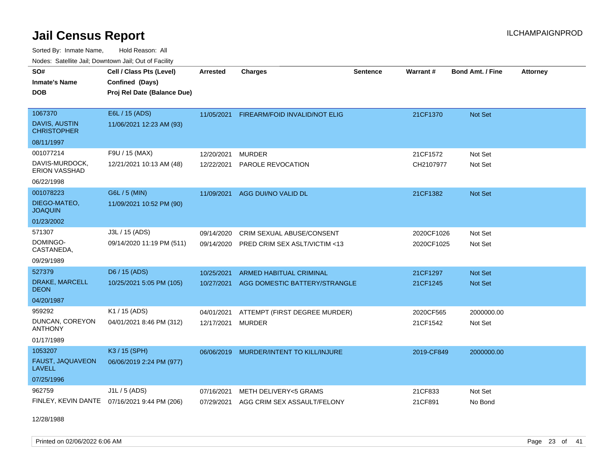Sorted By: Inmate Name, Hold Reason: All Nodes: Satellite Jail; Downtown Jail; Out of Facility

| Noucs. Calcinic Jail, Downtown Jail, Out of Facility |                                              |                 |                                |                 |            |                         |                 |
|------------------------------------------------------|----------------------------------------------|-----------------|--------------------------------|-----------------|------------|-------------------------|-----------------|
| SO#                                                  | Cell / Class Pts (Level)                     | <b>Arrested</b> | <b>Charges</b>                 | <b>Sentence</b> | Warrant#   | <b>Bond Amt. / Fine</b> | <b>Attorney</b> |
| <b>Inmate's Name</b>                                 | Confined (Days)                              |                 |                                |                 |            |                         |                 |
| <b>DOB</b>                                           | Proj Rel Date (Balance Due)                  |                 |                                |                 |            |                         |                 |
|                                                      |                                              |                 |                                |                 |            |                         |                 |
| 1067370                                              | E6L / 15 (ADS)                               | 11/05/2021      | FIREARM/FOID INVALID/NOT ELIG  |                 | 21CF1370   | Not Set                 |                 |
| DAVIS, AUSTIN<br><b>CHRISTOPHER</b>                  | 11/06/2021 12:23 AM (93)                     |                 |                                |                 |            |                         |                 |
| 08/11/1997                                           |                                              |                 |                                |                 |            |                         |                 |
| 001077214                                            | F9U / 15 (MAX)                               | 12/20/2021      | <b>MURDER</b>                  |                 | 21CF1572   | Not Set                 |                 |
| DAVIS-MURDOCK,<br>ERION VASSHAD                      | 12/21/2021 10:13 AM (48)                     | 12/22/2021      | PAROLE REVOCATION              |                 | CH2107977  | Not Set                 |                 |
| 06/22/1998                                           |                                              |                 |                                |                 |            |                         |                 |
| 001078223                                            | G6L / 5 (MIN)                                | 11/09/2021      | AGG DUI/NO VALID DL            |                 | 21CF1382   | Not Set                 |                 |
| DIEGO-MATEO,<br><b>JOAQUIN</b>                       | 11/09/2021 10:52 PM (90)                     |                 |                                |                 |            |                         |                 |
| 01/23/2002                                           |                                              |                 |                                |                 |            |                         |                 |
| 571307                                               | J3L / 15 (ADS)                               | 09/14/2020      | CRIM SEXUAL ABUSE/CONSENT      |                 | 2020CF1026 | Not Set                 |                 |
| DOMINGO-<br>CASTANEDA,                               | 09/14/2020 11:19 PM (511)                    | 09/14/2020      | PRED CRIM SEX ASLT/VICTIM <13  |                 | 2020CF1025 | Not Set                 |                 |
| 09/29/1989                                           |                                              |                 |                                |                 |            |                         |                 |
| 527379                                               | D6 / 15 (ADS)                                | 10/25/2021      | <b>ARMED HABITUAL CRIMINAL</b> |                 | 21CF1297   | <b>Not Set</b>          |                 |
| DRAKE, MARCELL<br><b>DEON</b>                        | 10/25/2021 5:05 PM (105)                     | 10/27/2021      | AGG DOMESTIC BATTERY/STRANGLE  |                 | 21CF1245   | <b>Not Set</b>          |                 |
| 04/20/1987                                           |                                              |                 |                                |                 |            |                         |                 |
| 959292                                               | K1 / 15 (ADS)                                | 04/01/2021      | ATTEMPT (FIRST DEGREE MURDER)  |                 | 2020CF565  | 2000000.00              |                 |
| DUNCAN, COREYON<br><b>ANTHONY</b>                    | 04/01/2021 8:46 PM (312)                     | 12/17/2021      | <b>MURDER</b>                  |                 | 21CF1542   | Not Set                 |                 |
| 01/17/1989                                           |                                              |                 |                                |                 |            |                         |                 |
| 1053207                                              | K3 / 15 (SPH)                                | 06/06/2019      | MURDER/INTENT TO KILL/INJURE   |                 | 2019-CF849 | 2000000.00              |                 |
| FAUST, JAQUAVEON<br><b>LAVELL</b>                    | 06/06/2019 2:24 PM (977)                     |                 |                                |                 |            |                         |                 |
| 07/25/1996                                           |                                              |                 |                                |                 |            |                         |                 |
| 962759                                               | J1L / 5 (ADS)                                | 07/16/2021      | METH DELIVERY<5 GRAMS          |                 | 21CF833    | Not Set                 |                 |
|                                                      | FINLEY, KEVIN DANTE 07/16/2021 9:44 PM (206) | 07/29/2021      | AGG CRIM SEX ASSAULT/FELONY    |                 | 21CF891    | No Bond                 |                 |

12/28/1988

Printed on 02/06/2022 6:06 AM Page 23 of 41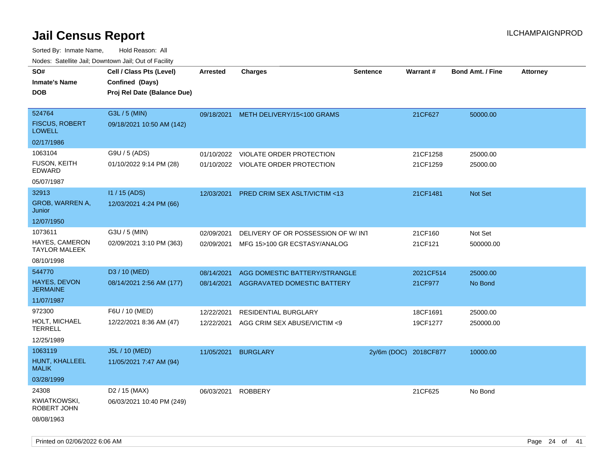| rouco. Calcinic Jan, Downtown Jan, Out of Facility |                                                                            |                 |                                         |                       |                 |                         |                 |
|----------------------------------------------------|----------------------------------------------------------------------------|-----------------|-----------------------------------------|-----------------------|-----------------|-------------------------|-----------------|
| SO#<br>Inmate's Name<br><b>DOB</b>                 | Cell / Class Pts (Level)<br>Confined (Days)<br>Proj Rel Date (Balance Due) | <b>Arrested</b> | <b>Charges</b>                          | <b>Sentence</b>       | <b>Warrant#</b> | <b>Bond Amt. / Fine</b> | <b>Attorney</b> |
| 524764<br><b>FISCUS, ROBERT</b><br><b>LOWELL</b>   | G3L / 5 (MIN)<br>09/18/2021 10:50 AM (142)                                 |                 | 09/18/2021 METH DELIVERY/15<100 GRAMS   |                       | 21CF627         | 50000.00                |                 |
| 02/17/1986                                         |                                                                            |                 |                                         |                       |                 |                         |                 |
| 1063104                                            | G9U / 5 (ADS)                                                              | 01/10/2022      | VIOLATE ORDER PROTECTION                |                       | 21CF1258        | 25000.00                |                 |
| FUSON, KEITH<br>EDWARD                             | 01/10/2022 9:14 PM (28)                                                    |                 | 01/10/2022 VIOLATE ORDER PROTECTION     |                       | 21CF1259        | 25000.00                |                 |
| 05/07/1987                                         |                                                                            |                 |                                         |                       |                 |                         |                 |
| 32913                                              | I1 / 15 (ADS)                                                              | 12/03/2021      | <b>PRED CRIM SEX ASLT/VICTIM &lt;13</b> |                       | 21CF1481        | <b>Not Set</b>          |                 |
| <b>GROB, WARREN A,</b><br>Junior                   | 12/03/2021 4:24 PM (66)                                                    |                 |                                         |                       |                 |                         |                 |
| 12/07/1950                                         |                                                                            |                 |                                         |                       |                 |                         |                 |
| 1073611                                            | G3U / 5 (MIN)                                                              | 02/09/2021      | DELIVERY OF OR POSSESSION OF W/INT      |                       | 21CF160         | Not Set                 |                 |
| HAYES, CAMERON<br>TAYLOR MALEEK                    | 02/09/2021 3:10 PM (363)                                                   | 02/09/2021      | MFG 15>100 GR ECSTASY/ANALOG            |                       | 21CF121         | 500000.00               |                 |
| 08/10/1998                                         |                                                                            |                 |                                         |                       |                 |                         |                 |
| 544770                                             | D3 / 10 (MED)                                                              | 08/14/2021      | AGG DOMESTIC BATTERY/STRANGLE           |                       | 2021CF514       | 25000.00                |                 |
| <b>HAYES, DEVON</b><br>JERMAINE                    | 08/14/2021 2:56 AM (177)                                                   | 08/14/2021      | AGGRAVATED DOMESTIC BATTERY             |                       | 21CF977         | No Bond                 |                 |
| 11/07/1987                                         |                                                                            |                 |                                         |                       |                 |                         |                 |
| 972300                                             | F6U / 10 (MED)                                                             | 12/22/2021      | RESIDENTIAL BURGLARY                    |                       | 18CF1691        | 25000.00                |                 |
| HOLT, MICHAEL<br>TERRELL                           | 12/22/2021 8:36 AM (47)                                                    | 12/22/2021      | AGG CRIM SEX ABUSE/VICTIM <9            |                       | 19CF1277        | 250000.00               |                 |
| 12/25/1989                                         |                                                                            |                 |                                         |                       |                 |                         |                 |
| 1063119                                            | J5L / 10 (MED)                                                             | 11/05/2021      | <b>BURGLARY</b>                         | 2y/6m (DOC) 2018CF877 |                 | 10000.00                |                 |
| HUNT, KHALLEEL<br>MALIK                            | 11/05/2021 7:47 AM (94)                                                    |                 |                                         |                       |                 |                         |                 |
| 03/28/1999                                         |                                                                            |                 |                                         |                       |                 |                         |                 |
| 24308                                              | D <sub>2</sub> / 15 (MAX)                                                  | 06/03/2021      | <b>ROBBERY</b>                          |                       | 21CF625         | No Bond                 |                 |
| KWIATKOWSKI,<br>ROBERT JOHN                        | 06/03/2021 10:40 PM (249)                                                  |                 |                                         |                       |                 |                         |                 |
| 08/08/1963                                         |                                                                            |                 |                                         |                       |                 |                         |                 |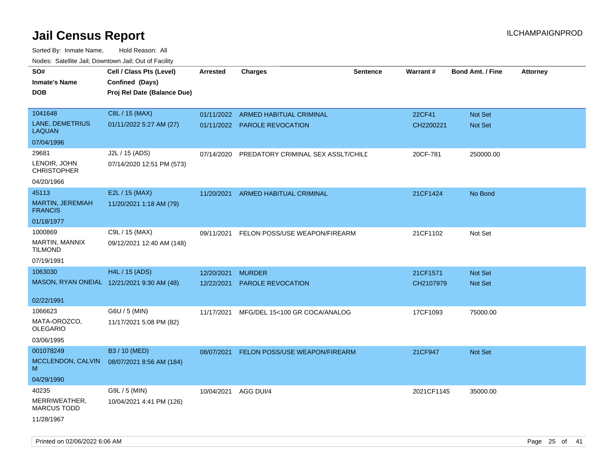| rougs. Calcing Jan, Downtown Jan, Out of Facility |                                                                            |                 |                                      |                 |            |                         |                 |
|---------------------------------------------------|----------------------------------------------------------------------------|-----------------|--------------------------------------|-----------------|------------|-------------------------|-----------------|
| SO#<br><b>Inmate's Name</b><br><b>DOB</b>         | Cell / Class Pts (Level)<br>Confined (Days)<br>Proj Rel Date (Balance Due) | <b>Arrested</b> | <b>Charges</b>                       | <b>Sentence</b> | Warrant#   | <b>Bond Amt. / Fine</b> | <b>Attorney</b> |
| 1041648                                           | C8L / 15 (MAX)                                                             | 01/11/2022      | ARMED HABITUAL CRIMINAL              |                 | 22CF41     | <b>Not Set</b>          |                 |
| LANE, DEMETRIUS<br>LAQUAN                         | 01/11/2022 5:27 AM (27)                                                    |                 | 01/11/2022 PAROLE REVOCATION         |                 | CH2200221  | <b>Not Set</b>          |                 |
| 07/04/1996                                        |                                                                            |                 |                                      |                 |            |                         |                 |
| 29681                                             | J2L / 15 (ADS)                                                             | 07/14/2020      | PREDATORY CRIMINAL SEX ASSLT/CHILD   |                 | 20CF-781   | 250000.00               |                 |
| LENOIR, JOHN<br><b>CHRISTOPHER</b>                | 07/14/2020 12:51 PM (573)                                                  |                 |                                      |                 |            |                         |                 |
| 04/20/1966                                        |                                                                            |                 |                                      |                 |            |                         |                 |
| 45113                                             | E2L / 15 (MAX)                                                             | 11/20/2021      | ARMED HABITUAL CRIMINAL              |                 | 21CF1424   | No Bond                 |                 |
| MARTIN, JEREMIAH<br><b>FRANCIS</b>                | 11/20/2021 1:18 AM (79)                                                    |                 |                                      |                 |            |                         |                 |
| 01/18/1977                                        |                                                                            |                 |                                      |                 |            |                         |                 |
| 1000869                                           | C9L / 15 (MAX)                                                             | 09/11/2021      | FELON POSS/USE WEAPON/FIREARM        |                 | 21CF1102   | Not Set                 |                 |
| MARTIN, MANNIX<br>TILMOND                         | 09/12/2021 12:40 AM (148)                                                  |                 |                                      |                 |            |                         |                 |
| 07/19/1991                                        |                                                                            |                 |                                      |                 |            |                         |                 |
| 1063030                                           | H4L / 15 (ADS)                                                             | 12/20/2021      | <b>MURDER</b>                        |                 | 21CF1571   | Not Set                 |                 |
|                                                   | MASON, RYAN ONEIAL 12/21/2021 9:30 AM (48)                                 | 12/22/2021      | <b>PAROLE REVOCATION</b>             |                 | CH2107979  | <b>Not Set</b>          |                 |
| 02/22/1991                                        |                                                                            |                 |                                      |                 |            |                         |                 |
| 1066623                                           | G6U / 5 (MIN)                                                              | 11/17/2021      | MFG/DEL 15<100 GR COCA/ANALOG        |                 | 17CF1093   | 75000.00                |                 |
| MATA-OROZCO.<br>OLEGARIO                          | 11/17/2021 5:08 PM (82)                                                    |                 |                                      |                 |            |                         |                 |
| 03/06/1995                                        |                                                                            |                 |                                      |                 |            |                         |                 |
| 001078249                                         | B3 / 10 (MED)                                                              | 08/07/2021      | <b>FELON POSS/USE WEAPON/FIREARM</b> |                 | 21CF947    | <b>Not Set</b>          |                 |
| MCCLENDON, CALVIN<br>М                            | 08/07/2021 8:56 AM (184)                                                   |                 |                                      |                 |            |                         |                 |
| 04/29/1990                                        |                                                                            |                 |                                      |                 |            |                         |                 |
| 40235                                             | G9L / 5 (MIN)                                                              | 10/04/2021      | AGG DUI/4                            |                 | 2021CF1145 | 35000.00                |                 |
| MERRIWEATHER,<br><b>MARCUS TODD</b>               | 10/04/2021 4:41 PM (126)                                                   |                 |                                      |                 |            |                         |                 |
| 11/28/1967                                        |                                                                            |                 |                                      |                 |            |                         |                 |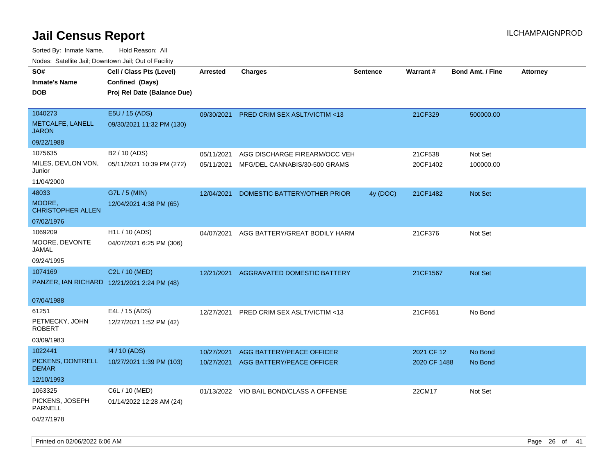| roaco. Catolino cali, Domntonn cali, Out of Facility |                             |                 |                                          |                 |              |                         |                 |
|------------------------------------------------------|-----------------------------|-----------------|------------------------------------------|-----------------|--------------|-------------------------|-----------------|
| SO#                                                  | Cell / Class Pts (Level)    | <b>Arrested</b> | <b>Charges</b>                           | <b>Sentence</b> | Warrant#     | <b>Bond Amt. / Fine</b> | <b>Attorney</b> |
| <b>Inmate's Name</b>                                 | Confined (Days)             |                 |                                          |                 |              |                         |                 |
| <b>DOB</b>                                           | Proj Rel Date (Balance Due) |                 |                                          |                 |              |                         |                 |
|                                                      |                             |                 |                                          |                 |              |                         |                 |
| 1040273                                              | E5U / 15 (ADS)              |                 | 09/30/2021 PRED CRIM SEX ASLT/VICTIM <13 |                 | 21CF329      | 500000.00               |                 |
| METCALFE, LANELL<br><b>JARON</b>                     | 09/30/2021 11:32 PM (130)   |                 |                                          |                 |              |                         |                 |
| 09/22/1988                                           |                             |                 |                                          |                 |              |                         |                 |
| 1075635                                              | B2 / 10 (ADS)               | 05/11/2021      | AGG DISCHARGE FIREARM/OCC VEH            |                 | 21CF538      | Not Set                 |                 |
| MILES, DEVLON VON,<br>Junior                         | 05/11/2021 10:39 PM (272)   | 05/11/2021      | MFG/DEL CANNABIS/30-500 GRAMS            |                 | 20CF1402     | 100000.00               |                 |
| 11/04/2000                                           |                             |                 |                                          |                 |              |                         |                 |
| 48033                                                | G7L / 5 (MIN)               | 12/04/2021      | DOMESTIC BATTERY/OTHER PRIOR             | 4y (DOC)        | 21CF1482     | Not Set                 |                 |
| MOORE,<br><b>CHRISTOPHER ALLEN</b>                   | 12/04/2021 4:38 PM (65)     |                 |                                          |                 |              |                         |                 |
| 07/02/1976                                           |                             |                 |                                          |                 |              |                         |                 |
| 1069209                                              | H <sub>1</sub> L / 10 (ADS) |                 | 04/07/2021 AGG BATTERY/GREAT BODILY HARM |                 | 21CF376      | Not Set                 |                 |
| MOORE, DEVONTE<br>JAMAL                              | 04/07/2021 6:25 PM (306)    |                 |                                          |                 |              |                         |                 |
| 09/24/1995                                           |                             |                 |                                          |                 |              |                         |                 |
| 1074169                                              | C2L / 10 (MED)              | 12/21/2021      | AGGRAVATED DOMESTIC BATTERY              |                 | 21CF1567     | <b>Not Set</b>          |                 |
| PANZER, IAN RICHARD 12/21/2021 2:24 PM (48)          |                             |                 |                                          |                 |              |                         |                 |
|                                                      |                             |                 |                                          |                 |              |                         |                 |
| 07/04/1988                                           |                             |                 |                                          |                 |              |                         |                 |
| 61251                                                | E4L / 15 (ADS)              | 12/27/2021      | <b>PRED CRIM SEX ASLT/VICTIM &lt;13</b>  |                 | 21CF651      | No Bond                 |                 |
| PETMECKY, JOHN<br><b>ROBERT</b>                      | 12/27/2021 1:52 PM (42)     |                 |                                          |                 |              |                         |                 |
| 03/09/1983                                           |                             |                 |                                          |                 |              |                         |                 |
| 1022441                                              | 14 / 10 (ADS)               | 10/27/2021      | AGG BATTERY/PEACE OFFICER                |                 | 2021 CF 12   | No Bond                 |                 |
| PICKENS, DONTRELL<br><b>DEMAR</b>                    | 10/27/2021 1:39 PM (103)    | 10/27/2021      | AGG BATTERY/PEACE OFFICER                |                 | 2020 CF 1488 | No Bond                 |                 |
| 12/10/1993                                           |                             |                 |                                          |                 |              |                         |                 |
| 1063325                                              | C6L / 10 (MED)              |                 | 01/13/2022 VIO BAIL BOND/CLASS A OFFENSE |                 | 22CM17       | Not Set                 |                 |
| PICKENS, JOSEPH<br><b>PARNELL</b>                    | 01/14/2022 12:28 AM (24)    |                 |                                          |                 |              |                         |                 |
| 04/27/1978                                           |                             |                 |                                          |                 |              |                         |                 |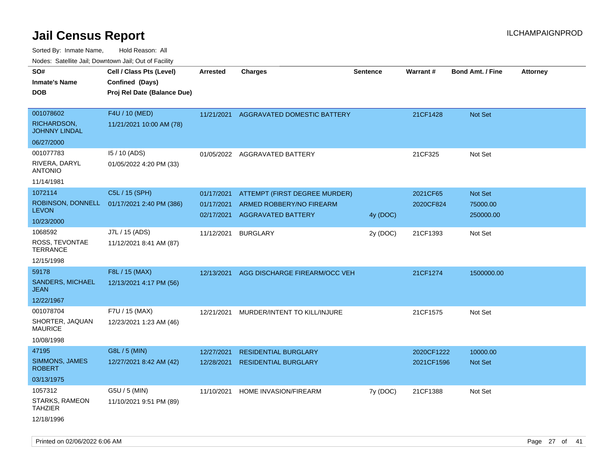Sorted By: Inmate Name, Hold Reason: All Nodes: Satellite Jail; Downtown Jail; Out of Facility

| Nudes. Satellite Jali, Downtown Jali, Out of Facility |                                            |                 |                                        |                 |            |                         |                 |
|-------------------------------------------------------|--------------------------------------------|-----------------|----------------------------------------|-----------------|------------|-------------------------|-----------------|
| SO#                                                   | Cell / Class Pts (Level)                   | <b>Arrested</b> | <b>Charges</b>                         | <b>Sentence</b> | Warrant#   | <b>Bond Amt. / Fine</b> | <b>Attorney</b> |
| <b>Inmate's Name</b>                                  | Confined (Days)                            |                 |                                        |                 |            |                         |                 |
| <b>DOB</b>                                            | Proj Rel Date (Balance Due)                |                 |                                        |                 |            |                         |                 |
|                                                       |                                            |                 |                                        |                 |            |                         |                 |
| 001078602                                             | F4U / 10 (MED)                             |                 | 11/21/2021 AGGRAVATED DOMESTIC BATTERY |                 | 21CF1428   | Not Set                 |                 |
| RICHARDSON,<br><b>JOHNNY LINDAL</b>                   | 11/21/2021 10:00 AM (78)                   |                 |                                        |                 |            |                         |                 |
| 06/27/2000                                            |                                            |                 |                                        |                 |            |                         |                 |
| 001077783                                             | 15 / 10 (ADS)                              |                 | 01/05/2022 AGGRAVATED BATTERY          |                 | 21CF325    | Not Set                 |                 |
| RIVERA, DARYL<br><b>ANTONIO</b>                       | 01/05/2022 4:20 PM (33)                    |                 |                                        |                 |            |                         |                 |
| 11/14/1981                                            |                                            |                 |                                        |                 |            |                         |                 |
| 1072114                                               | C5L / 15 (SPH)                             | 01/17/2021      | ATTEMPT (FIRST DEGREE MURDER)          |                 | 2021CF65   | Not Set                 |                 |
|                                                       | ROBINSON, DONNELL 01/17/2021 2:40 PM (386) | 01/17/2021      | ARMED ROBBERY/NO FIREARM               |                 | 2020CF824  | 75000.00                |                 |
| <b>LEVON</b>                                          |                                            | 02/17/2021      | <b>AGGRAVATED BATTERY</b>              | 4y (DOC)        |            | 250000.00               |                 |
| 10/23/2000                                            |                                            |                 |                                        |                 |            |                         |                 |
| 1068592                                               | J7L / 15 (ADS)                             | 11/12/2021      | <b>BURGLARY</b>                        | 2y (DOC)        | 21CF1393   | Not Set                 |                 |
| ROSS, TEVONTAE<br>TERRANCE                            | 11/12/2021 8:41 AM (87)                    |                 |                                        |                 |            |                         |                 |
| 12/15/1998                                            |                                            |                 |                                        |                 |            |                         |                 |
| 59178                                                 | F8L / 15 (MAX)                             | 12/13/2021      | AGG DISCHARGE FIREARM/OCC VEH          |                 | 21CF1274   | 1500000.00              |                 |
| SANDERS, MICHAEL<br>JEAN                              | 12/13/2021 4:17 PM (56)                    |                 |                                        |                 |            |                         |                 |
| 12/22/1967                                            |                                            |                 |                                        |                 |            |                         |                 |
| 001078704                                             | F7U / 15 (MAX)                             | 12/21/2021      | MURDER/INTENT TO KILL/INJURE           |                 | 21CF1575   | Not Set                 |                 |
| SHORTER, JAQUAN<br>MAURICE                            | 12/23/2021 1:23 AM (46)                    |                 |                                        |                 |            |                         |                 |
| 10/08/1998                                            |                                            |                 |                                        |                 |            |                         |                 |
| 47195                                                 | G8L / 5 (MIN)                              | 12/27/2021      | <b>RESIDENTIAL BURGLARY</b>            |                 | 2020CF1222 | 10000.00                |                 |
| SIMMONS, JAMES<br><b>ROBERT</b>                       | 12/27/2021 8:42 AM (42)                    | 12/28/2021      | <b>RESIDENTIAL BURGLARY</b>            |                 | 2021CF1596 | Not Set                 |                 |
| 03/13/1975                                            |                                            |                 |                                        |                 |            |                         |                 |
| 1057312                                               | G5U / 5 (MIN)                              | 11/10/2021      | HOME INVASION/FIREARM                  | 7y (DOC)        | 21CF1388   | Not Set                 |                 |
| STARKS, RAMEON<br>TAHZIER                             | 11/10/2021 9:51 PM (89)                    |                 |                                        |                 |            |                         |                 |
| 12/18/1996                                            |                                            |                 |                                        |                 |            |                         |                 |

Printed on 02/06/2022 6:06 AM Page 27 of 41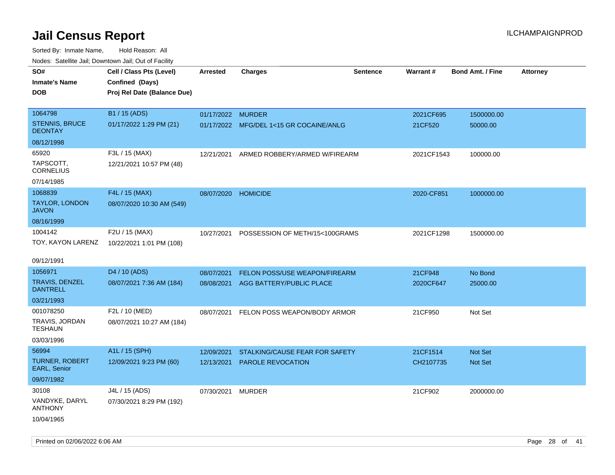| rougs. Calcing Jan, Downtown Jan, Out of Facility |                                                                            |                     |                                         |                 |                 |                         |                 |
|---------------------------------------------------|----------------------------------------------------------------------------|---------------------|-----------------------------------------|-----------------|-----------------|-------------------------|-----------------|
| SO#<br><b>Inmate's Name</b><br><b>DOB</b>         | Cell / Class Pts (Level)<br>Confined (Days)<br>Proj Rel Date (Balance Due) | <b>Arrested</b>     | <b>Charges</b>                          | <b>Sentence</b> | <b>Warrant#</b> | <b>Bond Amt. / Fine</b> | <b>Attorney</b> |
| 1064798                                           | B1 / 15 (ADS)                                                              | 01/17/2022 MURDER   |                                         |                 | 2021CF695       | 1500000.00              |                 |
| <b>STENNIS, BRUCE</b><br><b>DEONTAY</b>           | 01/17/2022 1:29 PM (21)                                                    |                     | 01/17/2022 MFG/DEL 1<15 GR COCAINE/ANLG |                 | 21CF520         | 50000.00                |                 |
| 08/12/1998                                        |                                                                            |                     |                                         |                 |                 |                         |                 |
| 65920                                             | F3L / 15 (MAX)                                                             | 12/21/2021          | ARMED ROBBERY/ARMED W/FIREARM           |                 | 2021CF1543      | 100000.00               |                 |
| TAPSCOTT.<br><b>CORNELIUS</b>                     | 12/21/2021 10:57 PM (48)                                                   |                     |                                         |                 |                 |                         |                 |
| 07/14/1985                                        |                                                                            |                     |                                         |                 |                 |                         |                 |
| 1068839                                           | F4L / 15 (MAX)                                                             | 08/07/2020 HOMICIDE |                                         |                 | 2020-CF851      | 1000000.00              |                 |
| <b>TAYLOR, LONDON</b><br><b>JAVON</b>             | 08/07/2020 10:30 AM (549)                                                  |                     |                                         |                 |                 |                         |                 |
| 08/16/1999                                        |                                                                            |                     |                                         |                 |                 |                         |                 |
| 1004142<br>TOY, KAYON LARENZ                      | F2U / 15 (MAX)<br>10/22/2021 1:01 PM (108)                                 | 10/27/2021          | POSSESSION OF METH/15<100GRAMS          |                 | 2021CF1298      | 1500000.00              |                 |
| 09/12/1991                                        |                                                                            |                     |                                         |                 |                 |                         |                 |
| 1056971                                           | D4 / 10 (ADS)                                                              | 08/07/2021          | <b>FELON POSS/USE WEAPON/FIREARM</b>    |                 | 21CF948         | No Bond                 |                 |
| <b>TRAVIS, DENZEL</b><br><b>DANTRELL</b>          | 08/07/2021 7:36 AM (184)                                                   | 08/08/2021          | AGG BATTERY/PUBLIC PLACE                |                 | 2020CF647       | 25000.00                |                 |
| 03/21/1993                                        |                                                                            |                     |                                         |                 |                 |                         |                 |
| 001078250                                         | F2L / 10 (MED)                                                             | 08/07/2021          | FELON POSS WEAPON/BODY ARMOR            |                 | 21CF950         | Not Set                 |                 |
| TRAVIS, JORDAN<br>TESHAUN                         | 08/07/2021 10:27 AM (184)                                                  |                     |                                         |                 |                 |                         |                 |
| 03/03/1996                                        |                                                                            |                     |                                         |                 |                 |                         |                 |
| 56994                                             | A1L / 15 (SPH)                                                             | 12/09/2021          | STALKING/CAUSE FEAR FOR SAFETY          |                 | 21CF1514        | <b>Not Set</b>          |                 |
| <b>TURNER, ROBERT</b><br>EARL, Senior             | 12/09/2021 9:23 PM (60)                                                    | 12/13/2021          | PAROLE REVOCATION                       |                 | CH2107735       | <b>Not Set</b>          |                 |
| 09/07/1982                                        |                                                                            |                     |                                         |                 |                 |                         |                 |
| 30108                                             | J4L / 15 (ADS)                                                             | 07/30/2021          | MURDER                                  |                 | 21CF902         | 2000000.00              |                 |
| VANDYKE, DARYL<br><b>ANTHONY</b>                  | 07/30/2021 8:29 PM (192)                                                   |                     |                                         |                 |                 |                         |                 |
| 10/04/1965                                        |                                                                            |                     |                                         |                 |                 |                         |                 |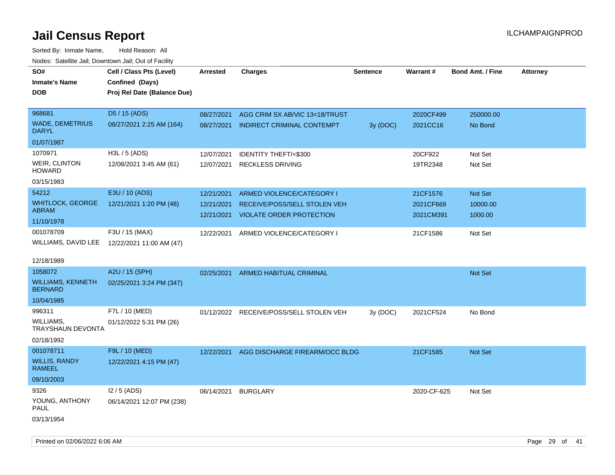Sorted By: Inmate Name, Hold Reason: All Nodes: Satellite Jail; Downtown Jail; Out of Facility

| rouco. Calcillo Jali, Downtown Jali, Out of Facility |                                                                            |                 |                                         |                 |             |                         |                 |
|------------------------------------------------------|----------------------------------------------------------------------------|-----------------|-----------------------------------------|-----------------|-------------|-------------------------|-----------------|
| SO#<br>Inmate's Name<br><b>DOB</b>                   | Cell / Class Pts (Level)<br>Confined (Days)<br>Proj Rel Date (Balance Due) | <b>Arrested</b> | <b>Charges</b>                          | <b>Sentence</b> | Warrant#    | <b>Bond Amt. / Fine</b> | <b>Attorney</b> |
|                                                      |                                                                            |                 |                                         |                 |             |                         |                 |
| 968681                                               | D5 / 15 (ADS)                                                              | 08/27/2021      | AGG CRIM SX AB/VIC 13<18/TRUST          |                 | 2020CF499   | 250000.00               |                 |
| <b>WADE, DEMETRIUS</b><br>DARYL                      | 08/27/2021 2:25 AM (164)                                                   | 08/27/2021      | <b>INDIRECT CRIMINAL CONTEMPT</b>       | 3y (DOC)        | 2021CC16    | No Bond                 |                 |
| 01/07/1987                                           |                                                                            |                 |                                         |                 |             |                         |                 |
| 1070971                                              | H3L / 5 (ADS)                                                              | 12/07/2021      | <b>IDENTITY THEFT/&lt;\$300</b>         |                 | 20CF922     | Not Set                 |                 |
| WEIR, CLINTON<br>HOWARD                              | 12/08/2021 3:45 AM (61)                                                    | 12/07/2021      | <b>RECKLESS DRIVING</b>                 |                 | 19TR2348    | Not Set                 |                 |
| 03/15/1983                                           |                                                                            |                 |                                         |                 |             |                         |                 |
| 54212                                                | E3U / 10 (ADS)                                                             | 12/21/2021      | ARMED VIOLENCE/CATEGORY I               |                 | 21CF1576    | Not Set                 |                 |
| WHITLOCK, GEORGE                                     | 12/21/2021 1:20 PM (48)                                                    | 12/21/2021      | RECEIVE/POSS/SELL STOLEN VEH            |                 | 2021CF669   | 10000.00                |                 |
| ABRAM                                                |                                                                            |                 | 12/21/2021 VIOLATE ORDER PROTECTION     |                 | 2021CM391   | 1000.00                 |                 |
| 11/10/1978                                           |                                                                            |                 |                                         |                 |             |                         |                 |
| 001078709                                            | F3U / 15 (MAX)                                                             | 12/22/2021      | ARMED VIOLENCE/CATEGORY I               |                 | 21CF1586    | Not Set                 |                 |
|                                                      | WILLIAMS, DAVID LEE 12/22/2021 11:00 AM (47)                               |                 |                                         |                 |             |                         |                 |
| 12/18/1989                                           |                                                                            |                 |                                         |                 |             |                         |                 |
| 1058072                                              | A2U / 15 (SPH)                                                             | 02/25/2021      | ARMED HABITUAL CRIMINAL                 |                 |             | Not Set                 |                 |
| WILLIAMS, KENNETH<br><b>BERNARD</b>                  | 02/25/2021 3:24 PM (347)                                                   |                 |                                         |                 |             |                         |                 |
| 10/04/1985                                           |                                                                            |                 |                                         |                 |             |                         |                 |
| 996311                                               | F7L / 10 (MED)                                                             |                 | 01/12/2022 RECEIVE/POSS/SELL STOLEN VEH | 3y(DOC)         | 2021CF524   | No Bond                 |                 |
| WILLIAMS,<br>TRAYSHAUN DEVONTA                       | 01/12/2022 5:31 PM (26)                                                    |                 |                                         |                 |             |                         |                 |
| 02/18/1992                                           |                                                                            |                 |                                         |                 |             |                         |                 |
| 001078711                                            | F9L / 10 (MED)                                                             | 12/22/2021      | AGG DISCHARGE FIREARM/OCC BLDG          |                 | 21CF1585    | Not Set                 |                 |
| <b>WILLIS, RANDY</b><br>RAMEEL                       | 12/22/2021 4:15 PM (47)                                                    |                 |                                         |                 |             |                         |                 |
| 09/10/2003                                           |                                                                            |                 |                                         |                 |             |                         |                 |
| 9326                                                 | $12/5$ (ADS)                                                               | 06/14/2021      | <b>BURGLARY</b>                         |                 | 2020-CF-625 | Not Set                 |                 |
| YOUNG, ANTHONY<br>PAUL                               | 06/14/2021 12:07 PM (238)                                                  |                 |                                         |                 |             |                         |                 |
| 03/13/1954                                           |                                                                            |                 |                                         |                 |             |                         |                 |

Printed on 02/06/2022 6:06 AM Page 29 of 41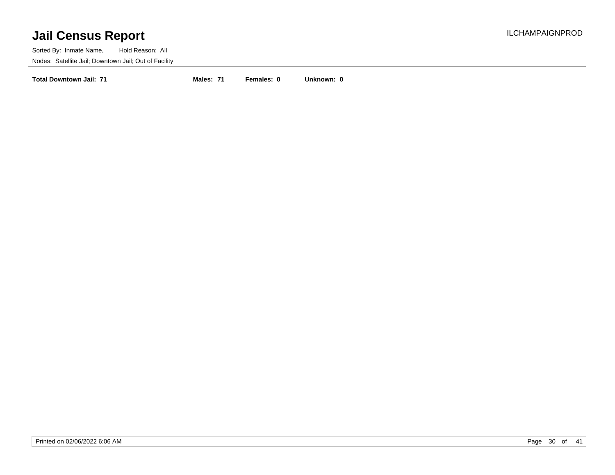Sorted By: Inmate Name, Hold Reason: All Nodes: Satellite Jail; Downtown Jail; Out of Facility

**Total Downtown Jail: 71 Males: 71 Females: 0 Unknown: 0**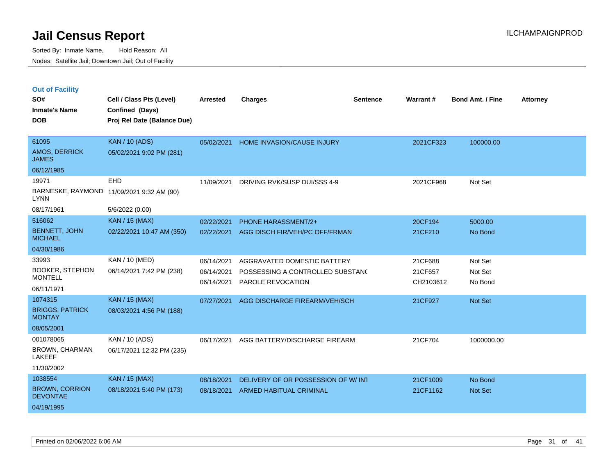|  | <b>Out of Facility</b> |  |
|--|------------------------|--|
|  |                        |  |

| SO#<br><b>Inmate's Name</b>              | Cell / Class Pts (Level)<br>Confined (Days) | <b>Arrested</b> | <b>Charges</b>                     | <b>Sentence</b> | Warrant#  | <b>Bond Amt. / Fine</b> | <b>Attorney</b> |
|------------------------------------------|---------------------------------------------|-----------------|------------------------------------|-----------------|-----------|-------------------------|-----------------|
| <b>DOB</b>                               | Proj Rel Date (Balance Due)                 |                 |                                    |                 |           |                         |                 |
|                                          |                                             |                 |                                    |                 |           |                         |                 |
| 61095                                    | <b>KAN / 10 (ADS)</b>                       | 05/02/2021      | HOME INVASION/CAUSE INJURY         |                 | 2021CF323 | 100000.00               |                 |
| <b>AMOS, DERRICK</b><br><b>JAMES</b>     | 05/02/2021 9:02 PM (281)                    |                 |                                    |                 |           |                         |                 |
| 06/12/1985                               |                                             |                 |                                    |                 |           |                         |                 |
| 19971                                    | <b>EHD</b>                                  | 11/09/2021      | DRIVING RVK/SUSP DUI/SSS 4-9       |                 | 2021CF968 | Not Set                 |                 |
| <b>LYNN</b>                              | BARNESKE, RAYMOND 11/09/2021 9:32 AM (90)   |                 |                                    |                 |           |                         |                 |
| 08/17/1961                               | 5/6/2022 (0.00)                             |                 |                                    |                 |           |                         |                 |
| 516062                                   | <b>KAN / 15 (MAX)</b>                       | 02/22/2021      | <b>PHONE HARASSMENT/2+</b>         |                 | 20CF194   | 5000.00                 |                 |
| <b>BENNETT, JOHN</b><br><b>MICHAEL</b>   | 02/22/2021 10:47 AM (350)                   | 02/22/2021      | AGG DISCH FIR/VEH/PC OFF/FRMAN     |                 | 21CF210   | No Bond                 |                 |
| 04/30/1986                               |                                             |                 |                                    |                 |           |                         |                 |
| 33993                                    | <b>KAN / 10 (MED)</b>                       | 06/14/2021      | AGGRAVATED DOMESTIC BATTERY        |                 | 21CF688   | Not Set                 |                 |
| <b>BOOKER, STEPHON</b>                   | 06/14/2021 7:42 PM (238)                    | 06/14/2021      | POSSESSING A CONTROLLED SUBSTANC   |                 | 21CF657   | Not Set                 |                 |
| <b>MONTELL</b><br>06/11/1971             |                                             | 06/14/2021      | <b>PAROLE REVOCATION</b>           |                 | CH2103612 | No Bond                 |                 |
|                                          |                                             |                 |                                    |                 |           |                         |                 |
| 1074315                                  | <b>KAN / 15 (MAX)</b>                       | 07/27/2021      | AGG DISCHARGE FIREARM/VEH/SCH      |                 | 21CF927   | Not Set                 |                 |
| <b>BRIGGS, PATRICK</b><br><b>MONTAY</b>  | 08/03/2021 4:56 PM (188)                    |                 |                                    |                 |           |                         |                 |
| 08/05/2001                               |                                             |                 |                                    |                 |           |                         |                 |
| 001078065                                | KAN / 10 (ADS)                              | 06/17/2021      | AGG BATTERY/DISCHARGE FIREARM      |                 | 21CF704   | 1000000.00              |                 |
| <b>BROWN, CHARMAN</b><br>LAKEEF          | 06/17/2021 12:32 PM (235)                   |                 |                                    |                 |           |                         |                 |
| 11/30/2002                               |                                             |                 |                                    |                 |           |                         |                 |
| 1038554                                  | <b>KAN / 15 (MAX)</b>                       | 08/18/2021      | DELIVERY OF OR POSSESSION OF W/INT |                 | 21CF1009  | No Bond                 |                 |
| <b>BROWN, CORRION</b><br><b>DEVONTAE</b> | 08/18/2021 5:40 PM (173)                    | 08/18/2021      | <b>ARMED HABITUAL CRIMINAL</b>     |                 | 21CF1162  | <b>Not Set</b>          |                 |
| 04/19/1995                               |                                             |                 |                                    |                 |           |                         |                 |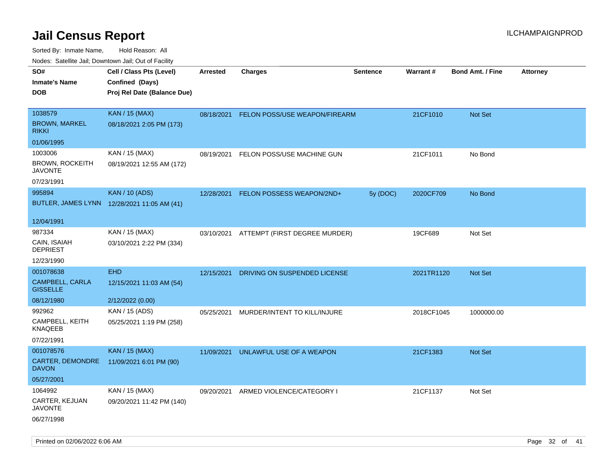| ivouss. Satellite Jali, Downtown Jali, Out of Facility |                                             |            |                                          |                 |            |                         |                 |
|--------------------------------------------------------|---------------------------------------------|------------|------------------------------------------|-----------------|------------|-------------------------|-----------------|
| SO#                                                    | Cell / Class Pts (Level)                    | Arrested   | <b>Charges</b>                           | <b>Sentence</b> | Warrant#   | <b>Bond Amt. / Fine</b> | <b>Attorney</b> |
| Inmate's Name                                          | Confined (Days)                             |            |                                          |                 |            |                         |                 |
| DOB                                                    | Proj Rel Date (Balance Due)                 |            |                                          |                 |            |                         |                 |
|                                                        |                                             |            |                                          |                 |            |                         |                 |
| 1038579                                                | <b>KAN / 15 (MAX)</b>                       | 08/18/2021 | FELON POSS/USE WEAPON/FIREARM            |                 | 21CF1010   | Not Set                 |                 |
| <b>BROWN, MARKEL</b><br>rikki                          | 08/18/2021 2:05 PM (173)                    |            |                                          |                 |            |                         |                 |
| 01/06/1995                                             |                                             |            |                                          |                 |            |                         |                 |
| 1003006                                                | KAN / 15 (MAX)                              | 08/19/2021 | FELON POSS/USE MACHINE GUN               |                 | 21CF1011   | No Bond                 |                 |
| BROWN, ROCKEITH<br>JAVONTE                             | 08/19/2021 12:55 AM (172)                   |            |                                          |                 |            |                         |                 |
| 07/23/1991                                             |                                             |            |                                          |                 |            |                         |                 |
| 995894                                                 | <b>KAN / 10 (ADS)</b>                       | 12/28/2021 | FELON POSSESS WEAPON/2ND+                | 5y (DOC)        | 2020CF709  | No Bond                 |                 |
|                                                        | BUTLER, JAMES LYNN 12/28/2021 11:05 AM (41) |            |                                          |                 |            |                         |                 |
|                                                        |                                             |            |                                          |                 |            |                         |                 |
| 12/04/1991                                             |                                             |            |                                          |                 |            |                         |                 |
| 987334                                                 | KAN / 15 (MAX)                              |            | 03/10/2021 ATTEMPT (FIRST DEGREE MURDER) |                 | 19CF689    | Not Set                 |                 |
| CAIN, ISAIAH<br><b>DEPRIEST</b>                        | 03/10/2021 2:22 PM (334)                    |            |                                          |                 |            |                         |                 |
| 12/23/1990                                             |                                             |            |                                          |                 |            |                         |                 |
| 001078638                                              | <b>EHD</b>                                  | 12/15/2021 | DRIVING ON SUSPENDED LICENSE             |                 | 2021TR1120 | <b>Not Set</b>          |                 |
| CAMPBELL, CARLA<br><b>GISSELLE</b>                     | 12/15/2021 11:03 AM (54)                    |            |                                          |                 |            |                         |                 |
| 08/12/1980                                             | 2/12/2022 (0.00)                            |            |                                          |                 |            |                         |                 |
| 992962                                                 | KAN / 15 (ADS)                              | 05/25/2021 | MURDER/INTENT TO KILL/INJURE             |                 | 2018CF1045 | 1000000.00              |                 |
| CAMPBELL, KEITH<br>KNAQEEB                             | 05/25/2021 1:19 PM (258)                    |            |                                          |                 |            |                         |                 |
| 07/22/1991                                             |                                             |            |                                          |                 |            |                         |                 |
| 001078576                                              | <b>KAN / 15 (MAX)</b>                       | 11/09/2021 | UNLAWFUL USE OF A WEAPON                 |                 | 21CF1383   | <b>Not Set</b>          |                 |
| <b>CARTER, DEMONDRE</b><br>DAVON                       | 11/09/2021 6:01 PM (90)                     |            |                                          |                 |            |                         |                 |
| 05/27/2001                                             |                                             |            |                                          |                 |            |                         |                 |
| 1064992                                                | KAN / 15 (MAX)                              | 09/20/2021 | ARMED VIOLENCE/CATEGORY I                |                 | 21CF1137   | Not Set                 |                 |
| CARTER, KEJUAN<br>JAVONTE                              | 09/20/2021 11:42 PM (140)                   |            |                                          |                 |            |                         |                 |
| 06/27/1998                                             |                                             |            |                                          |                 |            |                         |                 |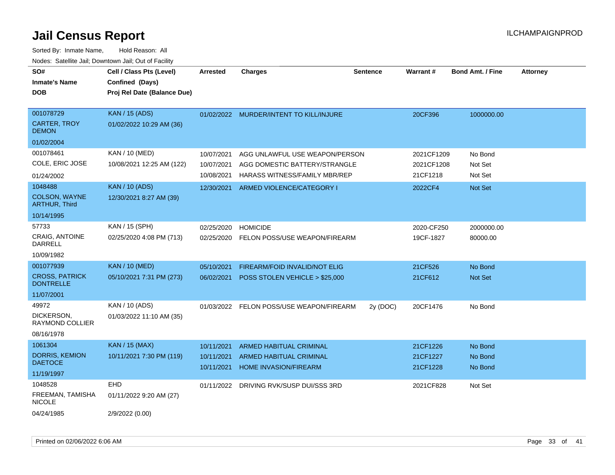| SO#<br><b>Inmate's Name</b><br><b>DOB</b>        | Cell / Class Pts (Level)<br>Confined (Days)<br>Proj Rel Date (Balance Due) | <b>Arrested</b>          | <b>Charges</b>                                          | <b>Sentence</b> | Warrant#             | <b>Bond Amt. / Fine</b> | <b>Attorney</b> |
|--------------------------------------------------|----------------------------------------------------------------------------|--------------------------|---------------------------------------------------------|-----------------|----------------------|-------------------------|-----------------|
| 001078729<br><b>CARTER, TROY</b><br><b>DEMON</b> | <b>KAN / 15 (ADS)</b><br>01/02/2022 10:29 AM (36)                          |                          | 01/02/2022 MURDER/INTENT TO KILL/INJURE                 |                 | 20CF396              | 1000000.00              |                 |
| 01/02/2004                                       |                                                                            |                          |                                                         |                 |                      |                         |                 |
| 001078461                                        | KAN / 10 (MED)                                                             | 10/07/2021               | AGG UNLAWFUL USE WEAPON/PERSON                          |                 | 2021CF1209           | No Bond                 |                 |
| COLE, ERIC JOSE                                  | 10/08/2021 12:25 AM (122)                                                  | 10/07/2021               | AGG DOMESTIC BATTERY/STRANGLE                           |                 | 2021CF1208           | Not Set                 |                 |
| 01/24/2002                                       |                                                                            | 10/08/2021               | <b>HARASS WITNESS/FAMILY MBR/REP</b>                    |                 | 21CF1218             | Not Set                 |                 |
| 1048488                                          | <b>KAN / 10 (ADS)</b>                                                      | 12/30/2021               | ARMED VIOLENCE/CATEGORY I                               |                 | 2022CF4              | Not Set                 |                 |
| COLSON, WAYNE<br><b>ARTHUR, Third</b>            | 12/30/2021 8:27 AM (39)                                                    |                          |                                                         |                 |                      |                         |                 |
| 10/14/1995                                       |                                                                            |                          |                                                         |                 |                      |                         |                 |
| 57733                                            | KAN / 15 (SPH)                                                             | 02/25/2020               | <b>HOMICIDE</b>                                         |                 | 2020-CF250           | 2000000.00              |                 |
| CRAIG, ANTOINE<br>DARRELL                        | 02/25/2020 4:08 PM (713)                                                   | 02/25/2020               | FELON POSS/USE WEAPON/FIREARM                           |                 | 19CF-1827            | 80000.00                |                 |
| 10/09/1982                                       |                                                                            |                          |                                                         |                 |                      |                         |                 |
| 001077939                                        | <b>KAN / 10 (MED)</b>                                                      | 05/10/2021               | FIREARM/FOID INVALID/NOT ELIG                           |                 | 21CF526              | No Bond                 |                 |
| <b>CROSS, PATRICK</b><br><b>DONTRELLE</b>        | 05/10/2021 7:31 PM (273)                                                   | 06/02/2021               | POSS STOLEN VEHICLE > \$25,000                          |                 | 21CF612              | Not Set                 |                 |
| 11/07/2001                                       |                                                                            |                          |                                                         |                 |                      |                         |                 |
| 49972                                            | KAN / 10 (ADS)                                                             |                          | 01/03/2022 FELON POSS/USE WEAPON/FIREARM                | 2y (DOC)        | 20CF1476             | No Bond                 |                 |
| DICKERSON,<br><b>RAYMOND COLLIER</b>             | 01/03/2022 11:10 AM (35)                                                   |                          |                                                         |                 |                      |                         |                 |
| 08/16/1978                                       |                                                                            |                          |                                                         |                 |                      |                         |                 |
| 1061304                                          | <b>KAN / 15 (MAX)</b>                                                      | 10/11/2021               | <b>ARMED HABITUAL CRIMINAL</b>                          |                 | 21CF1226             | No Bond                 |                 |
| <b>DORRIS, KEMION</b><br><b>DAETOCE</b>          | 10/11/2021 7:30 PM (119)                                                   | 10/11/2021<br>10/11/2021 | <b>ARMED HABITUAL CRIMINAL</b><br>HOME INVASION/FIREARM |                 | 21CF1227<br>21CF1228 | No Bond<br>No Bond      |                 |
| 11/19/1997                                       |                                                                            |                          |                                                         |                 |                      |                         |                 |
| 1048528                                          | <b>EHD</b>                                                                 | 01/11/2022               | DRIVING RVK/SUSP DUI/SSS 3RD                            |                 | 2021CF828            | Not Set                 |                 |
| FREEMAN, TAMISHA<br><b>NICOLE</b>                | 01/11/2022 9:20 AM (27)                                                    |                          |                                                         |                 |                      |                         |                 |
| 04/24/1985                                       | 2/9/2022 (0.00)                                                            |                          |                                                         |                 |                      |                         |                 |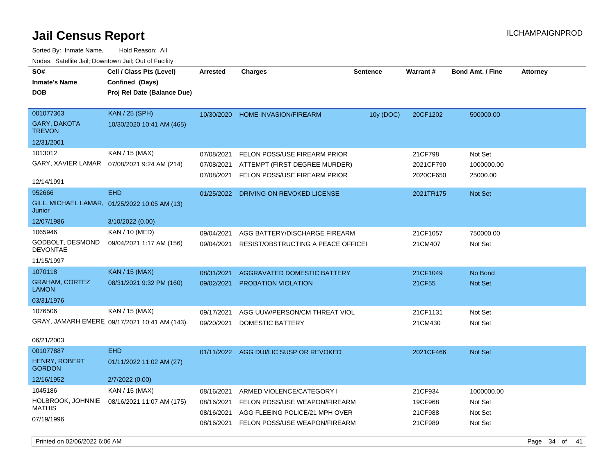| SO#<br><b>Inmate's Name</b><br><b>DOB</b>         | Cell / Class Pts (Level)<br>Confined (Days)<br>Proj Rel Date (Balance Due) | <b>Arrested</b> | <b>Charges</b>                         | <b>Sentence</b> | Warrant#  | <b>Bond Amt. / Fine</b> | <b>Attorney</b> |
|---------------------------------------------------|----------------------------------------------------------------------------|-----------------|----------------------------------------|-----------------|-----------|-------------------------|-----------------|
| 001077363<br><b>GARY, DAKOTA</b><br><b>TREVON</b> | <b>KAN / 25 (SPH)</b><br>10/30/2020 10:41 AM (465)                         | 10/30/2020      | <b>HOME INVASION/FIREARM</b>           | 10y (DOC)       | 20CF1202  | 500000.00               |                 |
| 12/31/2001                                        |                                                                            |                 |                                        |                 |           |                         |                 |
| 1013012                                           | KAN / 15 (MAX)                                                             | 07/08/2021      | FELON POSS/USE FIREARM PRIOR           |                 | 21CF798   | Not Set                 |                 |
|                                                   | GARY, XAVIER LAMAR  07/08/2021 9:24 AM (214)                               | 07/08/2021      | ATTEMPT (FIRST DEGREE MURDER)          |                 | 2021CF790 | 1000000.00              |                 |
| 12/14/1991                                        |                                                                            | 07/08/2021      | FELON POSS/USE FIREARM PRIOR           |                 | 2020CF650 | 25000.00                |                 |
| 952666                                            | <b>EHD</b>                                                                 | 01/25/2022      | DRIVING ON REVOKED LICENSE             |                 | 2021TR175 | <b>Not Set</b>          |                 |
| Junior                                            | GILL, MICHAEL LAMAR, 01/25/2022 10:05 AM (13)                              |                 |                                        |                 |           |                         |                 |
| 12/07/1986                                        | 3/10/2022 (0.00)                                                           |                 |                                        |                 |           |                         |                 |
| 1065946                                           | KAN / 10 (MED)                                                             | 09/04/2021      | AGG BATTERY/DISCHARGE FIREARM          |                 | 21CF1057  | 750000.00               |                 |
| GODBOLT, DESMOND<br><b>DEVONTAE</b>               | 09/04/2021 1:17 AM (156)                                                   | 09/04/2021      | RESIST/OBSTRUCTING A PEACE OFFICEF     |                 | 21CM407   | Not Set                 |                 |
| 11/15/1997                                        |                                                                            |                 |                                        |                 |           |                         |                 |
| 1070118                                           | KAN / 15 (MAX)                                                             | 08/31/2021      | AGGRAVATED DOMESTIC BATTERY            |                 | 21CF1049  | No Bond                 |                 |
| <b>GRAHAM, CORTEZ</b><br><b>LAMON</b>             | 08/31/2021 9:32 PM (160)                                                   | 09/02/2021      | PROBATION VIOLATION                    |                 | 21CF55    | Not Set                 |                 |
| 03/31/1976                                        |                                                                            |                 |                                        |                 |           |                         |                 |
| 1076506                                           | KAN / 15 (MAX)                                                             | 09/17/2021      | AGG UUW/PERSON/CM THREAT VIOL          |                 | 21CF1131  | Not Set                 |                 |
|                                                   | GRAY, JAMARH EMERE 09/17/2021 10:41 AM (143)                               | 09/20/2021      | DOMESTIC BATTERY                       |                 | 21CM430   | Not Set                 |                 |
| 06/21/2003                                        |                                                                            |                 |                                        |                 |           |                         |                 |
| 001077887                                         | <b>EHD</b>                                                                 |                 | 01/11/2022 AGG DUI/LIC SUSP OR REVOKED |                 | 2021CF466 | <b>Not Set</b>          |                 |
| <b>HENRY, ROBERT</b><br><b>GORDON</b>             | 01/11/2022 11:02 AM (27)                                                   |                 |                                        |                 |           |                         |                 |
| 12/16/1952                                        | 2/7/2022 (0.00)                                                            |                 |                                        |                 |           |                         |                 |
| 1045186                                           | KAN / 15 (MAX)                                                             | 08/16/2021      | ARMED VIOLENCE/CATEGORY I              |                 | 21CF934   | 1000000.00              |                 |
| HOLBROOK, JOHNNIE<br><b>MATHIS</b>                | 08/16/2021 11:07 AM (175)                                                  | 08/16/2021      | FELON POSS/USE WEAPON/FIREARM          |                 | 19CF968   | Not Set                 |                 |
|                                                   |                                                                            | 08/16/2021      | AGG FLEEING POLICE/21 MPH OVER         |                 | 21CF988   | Not Set                 |                 |
| 07/19/1996                                        |                                                                            | 08/16/2021      | FELON POSS/USE WEAPON/FIREARM          |                 | 21CF989   | Not Set                 |                 |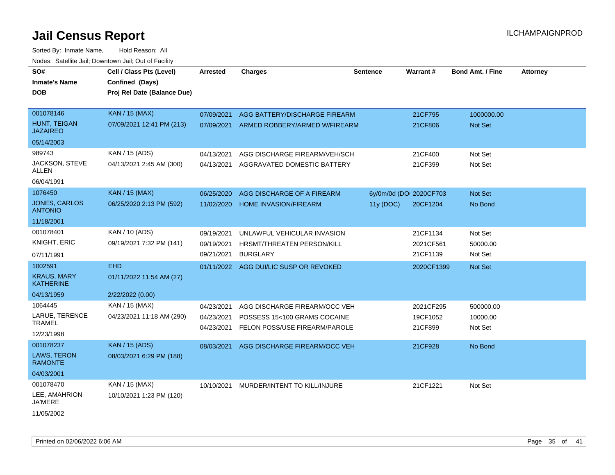| SO#<br><b>Inmate's Name</b><br><b>DOB</b> | Cell / Class Pts (Level)<br>Confined (Days)<br>Proj Rel Date (Balance Due) | <b>Arrested</b> | <b>Charges</b>                         | <b>Sentence</b> | Warrant#                | <b>Bond Amt. / Fine</b> | <b>Attorney</b> |  |
|-------------------------------------------|----------------------------------------------------------------------------|-----------------|----------------------------------------|-----------------|-------------------------|-------------------------|-----------------|--|
| 001078146                                 | <b>KAN / 15 (MAX)</b>                                                      | 07/09/2021      | AGG BATTERY/DISCHARGE FIREARM          |                 | 21CF795                 | 1000000.00              |                 |  |
| <b>HUNT, TEIGAN</b><br><b>JAZAIREO</b>    | 07/09/2021 12:41 PM (213)                                                  | 07/09/2021      | ARMED ROBBERY/ARMED W/FIREARM          |                 | 21CF806                 | Not Set                 |                 |  |
| 05/14/2003                                |                                                                            |                 |                                        |                 |                         |                         |                 |  |
| 989743                                    | KAN / 15 (ADS)                                                             | 04/13/2021      | AGG DISCHARGE FIREARM/VEH/SCH          |                 | 21CF400                 | Not Set                 |                 |  |
| JACKSON, STEVE<br>ALLEN                   | 04/13/2021 2:45 AM (300)                                                   | 04/13/2021      | AGGRAVATED DOMESTIC BATTERY            |                 | 21CF399                 | Not Set                 |                 |  |
| 06/04/1991                                |                                                                            |                 |                                        |                 |                         |                         |                 |  |
| 1076450                                   | <b>KAN / 15 (MAX)</b>                                                      | 06/25/2020      | AGG DISCHARGE OF A FIREARM             |                 | 6y/0m/0d (DOI 2020CF703 | Not Set                 |                 |  |
| <b>JONES, CARLOS</b><br><b>ANTONIO</b>    | 06/25/2020 2:13 PM (592)                                                   | 11/02/2020      | <b>HOME INVASION/FIREARM</b>           | 11y (DOC)       | 20CF1204                | No Bond                 |                 |  |
| 11/18/2001                                |                                                                            |                 |                                        |                 |                         |                         |                 |  |
| 001078401                                 | KAN / 10 (ADS)                                                             | 09/19/2021      | UNLAWFUL VEHICULAR INVASION            |                 | 21CF1134                | Not Set                 |                 |  |
| KNIGHT, ERIC                              | 09/19/2021 7:32 PM (141)                                                   | 09/19/2021      | HRSMT/THREATEN PERSON/KILL             |                 | 2021CF561               | 50000.00                |                 |  |
| 07/11/1991                                |                                                                            | 09/21/2021      | <b>BURGLARY</b>                        |                 | 21CF1139                | Not Set                 |                 |  |
| 1002591                                   | <b>EHD</b>                                                                 |                 | 01/11/2022 AGG DUI/LIC SUSP OR REVOKED |                 | 2020CF1399              | Not Set                 |                 |  |
| <b>KRAUS, MARY</b><br><b>KATHERINE</b>    | 01/11/2022 11:54 AM (27)                                                   |                 |                                        |                 |                         |                         |                 |  |
| 04/13/1959                                | 2/22/2022 (0.00)                                                           |                 |                                        |                 |                         |                         |                 |  |
| 1064445                                   | KAN / 15 (MAX)                                                             | 04/23/2021      | AGG DISCHARGE FIREARM/OCC VEH          |                 | 2021CF295               | 500000.00               |                 |  |
| LARUE, TERENCE                            | 04/23/2021 11:18 AM (290)                                                  | 04/23/2021      | POSSESS 15<100 GRAMS COCAINE           |                 | 19CF1052                | 10000.00                |                 |  |
| <b>TRAMEL</b>                             |                                                                            | 04/23/2021      | FELON POSS/USE FIREARM/PAROLE          |                 | 21CF899                 | Not Set                 |                 |  |
| 12/23/1998                                |                                                                            |                 |                                        |                 |                         |                         |                 |  |
| 001078237                                 | <b>KAN / 15 (ADS)</b>                                                      | 08/03/2021      | AGG DISCHARGE FIREARM/OCC VEH          |                 | 21CF928                 | No Bond                 |                 |  |
| <b>LAWS, TERON</b><br><b>RAMONTE</b>      | 08/03/2021 6:29 PM (188)                                                   |                 |                                        |                 |                         |                         |                 |  |
| 04/03/2001                                |                                                                            |                 |                                        |                 |                         |                         |                 |  |
| 001078470                                 | KAN / 15 (MAX)                                                             | 10/10/2021      | MURDER/INTENT TO KILL/INJURE           |                 | 21CF1221                | Not Set                 |                 |  |
| LEE, AMAHRION<br>JA'MERE                  | 10/10/2021 1:23 PM (120)                                                   |                 |                                        |                 |                         |                         |                 |  |
| 11/05/2002                                |                                                                            |                 |                                        |                 |                         |                         |                 |  |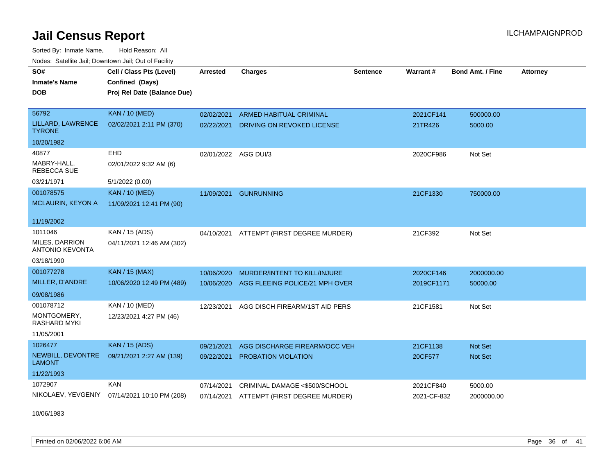Sorted By: Inmate Name, Hold Reason: All Nodes: Satellite Jail; Downtown Jail; Out of Facility

| SO#                                      | Cell / Class Pts (Level)    | <b>Arrested</b>      | <b>Charges</b>                           | <b>Sentence</b> | Warrant#    | <b>Bond Amt. / Fine</b> | <b>Attorney</b> |
|------------------------------------------|-----------------------------|----------------------|------------------------------------------|-----------------|-------------|-------------------------|-----------------|
| <b>Inmate's Name</b>                     | Confined (Days)             |                      |                                          |                 |             |                         |                 |
| <b>DOB</b>                               | Proj Rel Date (Balance Due) |                      |                                          |                 |             |                         |                 |
|                                          |                             |                      |                                          |                 |             |                         |                 |
| 56792                                    | <b>KAN / 10 (MED)</b>       | 02/02/2021           | <b>ARMED HABITUAL CRIMINAL</b>           |                 | 2021CF141   | 500000.00               |                 |
| LILLARD, LAWRENCE<br><b>TYRONE</b>       | 02/02/2021 2:11 PM (370)    | 02/22/2021           | DRIVING ON REVOKED LICENSE               |                 | 21TR426     | 5000.00                 |                 |
| 10/20/1982                               |                             |                      |                                          |                 |             |                         |                 |
| 40877                                    | <b>EHD</b>                  | 02/01/2022 AGG DUI/3 |                                          |                 | 2020CF986   | Not Set                 |                 |
| MABRY-HALL.<br><b>REBECCA SUE</b>        | 02/01/2022 9:32 AM (6)      |                      |                                          |                 |             |                         |                 |
| 03/21/1971                               | 5/1/2022 (0.00)             |                      |                                          |                 |             |                         |                 |
| 001078575                                | <b>KAN / 10 (MED)</b>       | 11/09/2021           | <b>GUNRUNNING</b>                        |                 | 21CF1330    | 750000.00               |                 |
| MCLAURIN, KEYON A                        | 11/09/2021 12:41 PM (90)    |                      |                                          |                 |             |                         |                 |
| 11/19/2002                               |                             |                      |                                          |                 |             |                         |                 |
| 1011046                                  | KAN / 15 (ADS)              | 04/10/2021           | ATTEMPT (FIRST DEGREE MURDER)            |                 | 21CF392     | Not Set                 |                 |
| MILES, DARRION<br><b>ANTONIO KEVONTA</b> | 04/11/2021 12:46 AM (302)   |                      |                                          |                 |             |                         |                 |
| 03/18/1990                               |                             |                      |                                          |                 |             |                         |                 |
| 001077278                                | KAN / 15 (MAX)              | 10/06/2020           | MURDER/INTENT TO KILL/INJURE             |                 | 2020CF146   | 2000000.00              |                 |
| MILLER, D'ANDRE                          | 10/06/2020 12:49 PM (489)   | 10/06/2020           | AGG FLEEING POLICE/21 MPH OVER           |                 | 2019CF1171  | 50000.00                |                 |
| 09/08/1986                               |                             |                      |                                          |                 |             |                         |                 |
| 001078712                                | KAN / 10 (MED)              | 12/23/2021           | AGG DISCH FIREARM/1ST AID PERS           |                 | 21CF1581    | Not Set                 |                 |
| MONTGOMERY,<br><b>RASHARD MYKI</b>       | 12/23/2021 4:27 PM (46)     |                      |                                          |                 |             |                         |                 |
| 11/05/2001                               |                             |                      |                                          |                 |             |                         |                 |
| 1026477                                  | <b>KAN / 15 (ADS)</b>       | 09/21/2021           | AGG DISCHARGE FIREARM/OCC VEH            |                 | 21CF1138    | <b>Not Set</b>          |                 |
| NEWBILL, DEVONTRE<br><b>LAMONT</b>       | 09/21/2021 2:27 AM (139)    | 09/22/2021           | <b>PROBATION VIOLATION</b>               |                 | 20CF577     | Not Set                 |                 |
| 11/22/1993                               |                             |                      |                                          |                 |             |                         |                 |
| 1072907                                  | <b>KAN</b>                  | 07/14/2021           | CRIMINAL DAMAGE <\$500/SCHOOL            |                 | 2021CF840   | 5000.00                 |                 |
| NIKOLAEV, YEVGENIY                       | 07/14/2021 10:10 PM (208)   |                      | 07/14/2021 ATTEMPT (FIRST DEGREE MURDER) |                 | 2021-CF-832 | 2000000.00              |                 |
|                                          |                             |                      |                                          |                 |             |                         |                 |

10/06/1983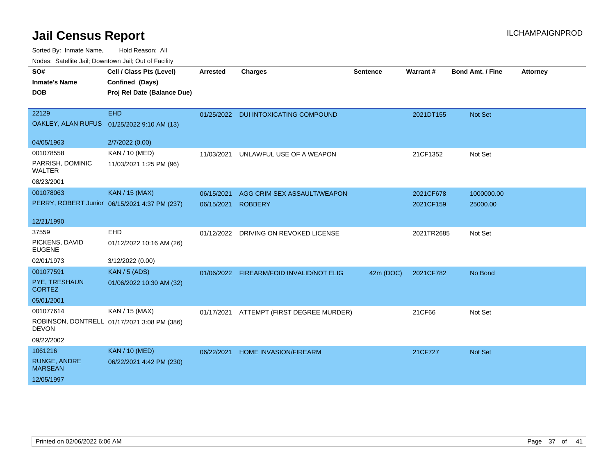| routes. Saleline Jali, Downlown Jali, Out of Facility |                                               |                 |                                          |                 |            |                         |                 |
|-------------------------------------------------------|-----------------------------------------------|-----------------|------------------------------------------|-----------------|------------|-------------------------|-----------------|
| SO#                                                   | Cell / Class Pts (Level)                      | <b>Arrested</b> | <b>Charges</b>                           | <b>Sentence</b> | Warrant#   | <b>Bond Amt. / Fine</b> | <b>Attorney</b> |
| <b>Inmate's Name</b>                                  | Confined (Days)                               |                 |                                          |                 |            |                         |                 |
| <b>DOB</b>                                            | Proj Rel Date (Balance Due)                   |                 |                                          |                 |            |                         |                 |
|                                                       |                                               |                 |                                          |                 |            |                         |                 |
| 22129                                                 | <b>EHD</b>                                    | 01/25/2022      | <b>DUI INTOXICATING COMPOUND</b>         |                 | 2021DT155  | <b>Not Set</b>          |                 |
|                                                       | OAKLEY, ALAN RUFUS 01/25/2022 9:10 AM (13)    |                 |                                          |                 |            |                         |                 |
|                                                       |                                               |                 |                                          |                 |            |                         |                 |
| 04/05/1963                                            | 2/7/2022 (0.00)                               |                 |                                          |                 |            |                         |                 |
| 001078558                                             | <b>KAN / 10 (MED)</b>                         | 11/03/2021      | UNLAWFUL USE OF A WEAPON                 |                 | 21CF1352   | Not Set                 |                 |
| PARRISH, DOMINIC<br><b>WALTER</b>                     | 11/03/2021 1:25 PM (96)                       |                 |                                          |                 |            |                         |                 |
| 08/23/2001                                            |                                               |                 |                                          |                 |            |                         |                 |
| 001078063                                             | <b>KAN / 15 (MAX)</b>                         | 06/15/2021      | AGG CRIM SEX ASSAULT/WEAPON              |                 | 2021CF678  | 1000000.00              |                 |
|                                                       | PERRY, ROBERT Junior 06/15/2021 4:37 PM (237) | 06/15/2021      | <b>ROBBERY</b>                           |                 | 2021CF159  | 25000.00                |                 |
|                                                       |                                               |                 |                                          |                 |            |                         |                 |
| 12/21/1990                                            |                                               |                 |                                          |                 |            |                         |                 |
| 37559                                                 | EHD                                           |                 | 01/12/2022 DRIVING ON REVOKED LICENSE    |                 | 2021TR2685 | Not Set                 |                 |
| PICKENS, DAVID<br><b>EUGENE</b>                       | 01/12/2022 10:16 AM (26)                      |                 |                                          |                 |            |                         |                 |
| 02/01/1973                                            | 3/12/2022 (0.00)                              |                 |                                          |                 |            |                         |                 |
| 001077591                                             | <b>KAN / 5 (ADS)</b>                          |                 | 01/06/2022 FIREARM/FOID INVALID/NOT ELIG | 42m (DOC)       | 2021CF782  | No Bond                 |                 |
| PYE, TRESHAUN<br><b>CORTEZ</b>                        | 01/06/2022 10:30 AM (32)                      |                 |                                          |                 |            |                         |                 |
| 05/01/2001                                            |                                               |                 |                                          |                 |            |                         |                 |
| 001077614                                             | KAN / 15 (MAX)                                | 01/17/2021      | ATTEMPT (FIRST DEGREE MURDER)            |                 | 21CF66     | Not Set                 |                 |
| <b>DEVON</b>                                          | ROBINSON, DONTRELL 01/17/2021 3:08 PM (386)   |                 |                                          |                 |            |                         |                 |
| 09/22/2002                                            |                                               |                 |                                          |                 |            |                         |                 |
| 1061216                                               | <b>KAN / 10 (MED)</b>                         | 06/22/2021      | HOME INVASION/FIREARM                    |                 | 21CF727    | Not Set                 |                 |
| <b>RUNGE, ANDRE</b><br><b>MARSEAN</b>                 | 06/22/2021 4:42 PM (230)                      |                 |                                          |                 |            |                         |                 |
| 12/05/1997                                            |                                               |                 |                                          |                 |            |                         |                 |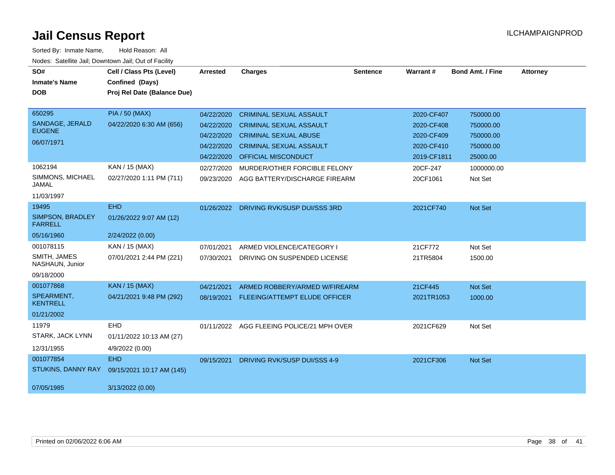| SO#                                | Cell / Class Pts (Level)    | <b>Arrested</b> | <b>Charges</b>                            | <b>Sentence</b> | <b>Warrant#</b> | <b>Bond Amt. / Fine</b> | <b>Attorney</b> |
|------------------------------------|-----------------------------|-----------------|-------------------------------------------|-----------------|-----------------|-------------------------|-----------------|
| <b>Inmate's Name</b>               | Confined (Days)             |                 |                                           |                 |                 |                         |                 |
| <b>DOB</b>                         | Proj Rel Date (Balance Due) |                 |                                           |                 |                 |                         |                 |
|                                    |                             |                 |                                           |                 |                 |                         |                 |
| 650295                             | <b>PIA / 50 (MAX)</b>       | 04/22/2020      | <b>CRIMINAL SEXUAL ASSAULT</b>            |                 | 2020-CF407      | 750000.00               |                 |
| SANDAGE, JERALD                    | 04/22/2020 6:30 AM (656)    | 04/22/2020      | <b>CRIMINAL SEXUAL ASSAULT</b>            |                 | 2020-CF408      | 750000.00               |                 |
| <b>EUGENE</b>                      |                             | 04/22/2020      | <b>CRIMINAL SEXUAL ABUSE</b>              |                 | 2020-CF409      | 750000.00               |                 |
| 06/07/1971                         |                             | 04/22/2020      | <b>CRIMINAL SEXUAL ASSAULT</b>            |                 | 2020-CF410      | 750000.00               |                 |
|                                    |                             | 04/22/2020      | <b>OFFICIAL MISCONDUCT</b>                |                 | 2019-CF1811     | 25000.00                |                 |
| 1062194                            | KAN / 15 (MAX)              | 02/27/2020      | MURDER/OTHER FORCIBLE FELONY              |                 | 20CF-247        | 1000000.00              |                 |
| SIMMONS, MICHAEL<br><b>JAMAL</b>   | 02/27/2020 1:11 PM (711)    | 09/23/2020      | AGG BATTERY/DISCHARGE FIREARM             |                 | 20CF1061        | Not Set                 |                 |
| 11/03/1997                         |                             |                 |                                           |                 |                 |                         |                 |
| 19495                              | <b>EHD</b>                  | 01/26/2022      | DRIVING RVK/SUSP DUI/SSS 3RD              |                 | 2021CF740       | Not Set                 |                 |
| SIMPSON, BRADLEY<br><b>FARRELL</b> | 01/26/2022 9:07 AM (12)     |                 |                                           |                 |                 |                         |                 |
| 05/16/1960                         | 2/24/2022 (0.00)            |                 |                                           |                 |                 |                         |                 |
| 001078115                          | KAN / 15 (MAX)              | 07/01/2021      | ARMED VIOLENCE/CATEGORY I                 |                 | 21CF772         | Not Set                 |                 |
| SMITH, JAMES<br>NASHAUN, Junior    | 07/01/2021 2:44 PM (221)    | 07/30/2021      | DRIVING ON SUSPENDED LICENSE              |                 | 21TR5804        | 1500.00                 |                 |
| 09/18/2000                         |                             |                 |                                           |                 |                 |                         |                 |
| 001077868                          | <b>KAN / 15 (MAX)</b>       | 04/21/2021      | ARMED ROBBERY/ARMED W/FIREARM             |                 | 21CF445         | Not Set                 |                 |
| SPEARMENT,<br><b>KENTRELL</b>      | 04/21/2021 9:48 PM (292)    |                 | 08/19/2021 FLEEING/ATTEMPT ELUDE OFFICER  |                 | 2021TR1053      | 1000.00                 |                 |
| 01/21/2002                         |                             |                 |                                           |                 |                 |                         |                 |
| 11979                              | EHD                         |                 | 01/11/2022 AGG FLEEING POLICE/21 MPH OVER |                 | 2021CF629       | Not Set                 |                 |
| STARK, JACK LYNN                   | 01/11/2022 10:13 AM (27)    |                 |                                           |                 |                 |                         |                 |
| 12/31/1955                         | 4/9/2022 (0.00)             |                 |                                           |                 |                 |                         |                 |
| 001077854                          | <b>EHD</b>                  | 09/15/2021      | <b>DRIVING RVK/SUSP DUI/SSS 4-9</b>       |                 | 2021CF306       | Not Set                 |                 |
| STUKINS, DANNY RAY                 | 09/15/2021 10:17 AM (145)   |                 |                                           |                 |                 |                         |                 |
| 07/05/1985                         | 3/13/2022 (0.00)            |                 |                                           |                 |                 |                         |                 |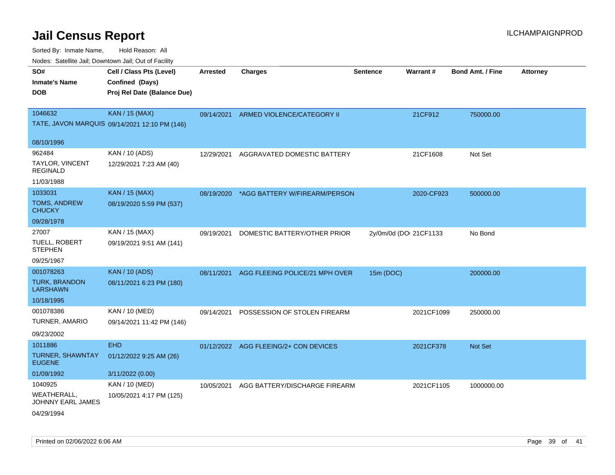| rouco. Calcillo Jali, Downtown Jali, Out of Facility   |                                                                            |                 |                                          |                 |                        |                         |                 |
|--------------------------------------------------------|----------------------------------------------------------------------------|-----------------|------------------------------------------|-----------------|------------------------|-------------------------|-----------------|
| SO#<br>Inmate's Name<br><b>DOB</b>                     | Cell / Class Pts (Level)<br>Confined (Days)<br>Proj Rel Date (Balance Due) | <b>Arrested</b> | <b>Charges</b>                           | <b>Sentence</b> | Warrant#               | <b>Bond Amt. / Fine</b> | <b>Attorney</b> |
| 1046632                                                | <b>KAN / 15 (MAX)</b><br>TATE, JAVON MARQUIS 09/14/2021 12:10 PM (146)     | 09/14/2021      | ARMED VIOLENCE/CATEGORY II               |                 | 21CF912                | 750000.00               |                 |
| 08/10/1996                                             |                                                                            |                 |                                          |                 |                        |                         |                 |
| 962484<br>TAYLOR, VINCENT<br>REGINALD                  | KAN / 10 (ADS)<br>12/29/2021 7:23 AM (40)                                  | 12/29/2021      | AGGRAVATED DOMESTIC BATTERY              |                 | 21CF1608               | Not Set                 |                 |
| 11/03/1988                                             |                                                                            |                 |                                          |                 |                        |                         |                 |
| 1033031<br>TOMS, ANDREW<br>CHUCKY                      | <b>KAN / 15 (MAX)</b><br>08/19/2020 5:59 PM (537)                          |                 | 08/19/2020 *AGG BATTERY W/FIREARM/PERSON |                 | 2020-CF923             | 500000.00               |                 |
| 09/28/1978                                             |                                                                            |                 |                                          |                 |                        |                         |                 |
| 27007<br>TUELL, ROBERT<br><b>STEPHEN</b><br>09/25/1967 | KAN / 15 (MAX)<br>09/19/2021 9:51 AM (141)                                 | 09/19/2021      | DOMESTIC BATTERY/OTHER PRIOR             |                 | 2y/0m/0d (DOI 21CF1133 | No Bond                 |                 |
| 001078263                                              | <b>KAN / 10 (ADS)</b>                                                      | 08/11/2021      | AGG FLEEING POLICE/21 MPH OVER           | 15m (DOC)       |                        | 200000.00               |                 |
| <b>TURK, BRANDON</b><br>LARSHAWN                       | 08/11/2021 6:23 PM (180)                                                   |                 |                                          |                 |                        |                         |                 |
| 10/18/1995                                             |                                                                            |                 |                                          |                 |                        |                         |                 |
| 001078386<br>TURNER, AMARIO<br>09/23/2002              | KAN / 10 (MED)<br>09/14/2021 11:42 PM (146)                                | 09/14/2021      | POSSESSION OF STOLEN FIREARM             |                 | 2021CF1099             | 250000.00               |                 |
| 1011886                                                | <b>EHD</b>                                                                 |                 | 01/12/2022 AGG FLEEING/2+ CON DEVICES    |                 | 2021CF378              | <b>Not Set</b>          |                 |
| TURNER, SHAWNTAY<br><b>EUGENE</b>                      | 01/12/2022 9:25 AM (26)                                                    |                 |                                          |                 |                        |                         |                 |
| 01/09/1992                                             | 3/11/2022 (0.00)                                                           |                 |                                          |                 |                        |                         |                 |
| 1040925                                                | KAN / 10 (MED)                                                             | 10/05/2021      | AGG BATTERY/DISCHARGE FIREARM            |                 | 2021CF1105             | 1000000.00              |                 |
| WEATHERALL.<br>JOHNNY EARL JAMES<br>04/29/1994         | 10/05/2021 4:17 PM (125)                                                   |                 |                                          |                 |                        |                         |                 |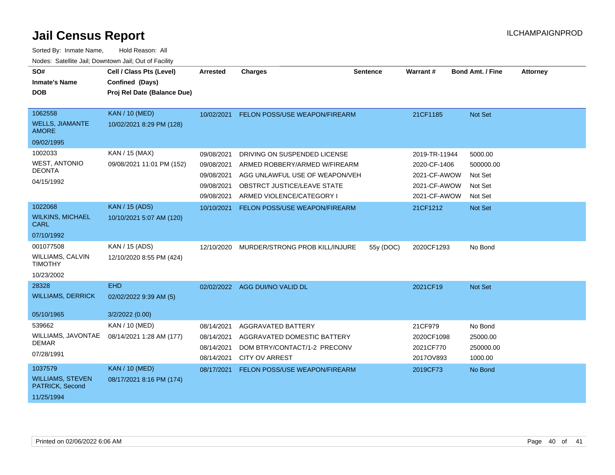| SO#<br><b>Inmate's Name</b><br><b>DOB</b>                            | Cell / Class Pts (Level)<br>Confined (Days)<br>Proj Rel Date (Balance Due) | <b>Arrested</b>                                                    | <b>Charges</b>                                                                                                                                              | <b>Sentence</b> | Warrant#                                                                      | <b>Bond Amt. / Fine</b>                               | <b>Attorney</b> |
|----------------------------------------------------------------------|----------------------------------------------------------------------------|--------------------------------------------------------------------|-------------------------------------------------------------------------------------------------------------------------------------------------------------|-----------------|-------------------------------------------------------------------------------|-------------------------------------------------------|-----------------|
| 1062558<br><b>WELLS, JIAMANTE</b><br><b>AMORE</b>                    | <b>KAN / 10 (MED)</b><br>10/02/2021 8:29 PM (128)                          | 10/02/2021                                                         | FELON POSS/USE WEAPON/FIREARM                                                                                                                               |                 | 21CF1185                                                                      | Not Set                                               |                 |
| 09/02/1995                                                           |                                                                            |                                                                    |                                                                                                                                                             |                 |                                                                               |                                                       |                 |
| 1002033<br><b>WEST, ANTONIO</b><br><b>DEONTA</b><br>04/15/1992       | KAN / 15 (MAX)<br>09/08/2021 11:01 PM (152)                                | 09/08/2021<br>09/08/2021<br>09/08/2021<br>09/08/2021<br>09/08/2021 | DRIVING ON SUSPENDED LICENSE<br>ARMED ROBBERY/ARMED W/FIREARM<br>AGG UNLAWFUL USE OF WEAPON/VEH<br>OBSTRCT JUSTICE/LEAVE STATE<br>ARMED VIOLENCE/CATEGORY I |                 | 2019-TR-11944<br>2020-CF-1406<br>2021-CF-AWOW<br>2021-CF-AWOW<br>2021-CF-AWOW | 5000.00<br>500000.00<br>Not Set<br>Not Set<br>Not Set |                 |
| 1022068                                                              | <b>KAN / 15 (ADS)</b>                                                      | 10/10/2021                                                         | FELON POSS/USE WEAPON/FIREARM                                                                                                                               |                 | 21CF1212                                                                      | Not Set                                               |                 |
| <b>WILKINS, MICHAEL</b><br><b>CARL</b>                               | 10/10/2021 5:07 AM (120)                                                   |                                                                    |                                                                                                                                                             |                 |                                                                               |                                                       |                 |
| 07/10/1992                                                           |                                                                            |                                                                    |                                                                                                                                                             |                 |                                                                               |                                                       |                 |
| 001077508<br><b>WILLIAMS, CALVIN</b><br><b>TIMOTHY</b><br>10/23/2002 | KAN / 15 (ADS)<br>12/10/2020 8:55 PM (424)                                 | 12/10/2020                                                         | MURDER/STRONG PROB KILL/INJURE                                                                                                                              | 55y (DOC)       | 2020CF1293                                                                    | No Bond                                               |                 |
| 28328                                                                | <b>EHD</b>                                                                 |                                                                    | 02/02/2022 AGG DUI/NO VALID DL                                                                                                                              |                 | 2021CF19                                                                      | Not Set                                               |                 |
| <b>WILLIAMS, DERRICK</b><br>05/10/1965                               | 02/02/2022 9:39 AM (5)<br>3/2/2022 (0.00)                                  |                                                                    |                                                                                                                                                             |                 |                                                                               |                                                       |                 |
| 539662<br>WILLIAMS, JAVONTAE<br><b>DEMAR</b><br>07/28/1991           | <b>KAN / 10 (MED)</b><br>08/14/2021 1:28 AM (177)                          | 08/14/2021<br>08/14/2021<br>08/14/2021<br>08/14/2021               | AGGRAVATED BATTERY<br>AGGRAVATED DOMESTIC BATTERY<br>DOM BTRY/CONTACT/1-2 PRECONV<br><b>CITY OV ARREST</b>                                                  |                 | 21CF979<br>2020CF1098<br>2021CF770<br>2017OV893                               | No Bond<br>25000.00<br>250000.00<br>1000.00           |                 |
| 1037579<br><b>WILLIAMS, STEVEN</b><br>PATRICK, Second<br>11/25/1994  | <b>KAN / 10 (MED)</b><br>08/17/2021 8:16 PM (174)                          | 08/17/2021                                                         | FELON POSS/USE WEAPON/FIREARM                                                                                                                               |                 | 2019CF73                                                                      | No Bond                                               |                 |